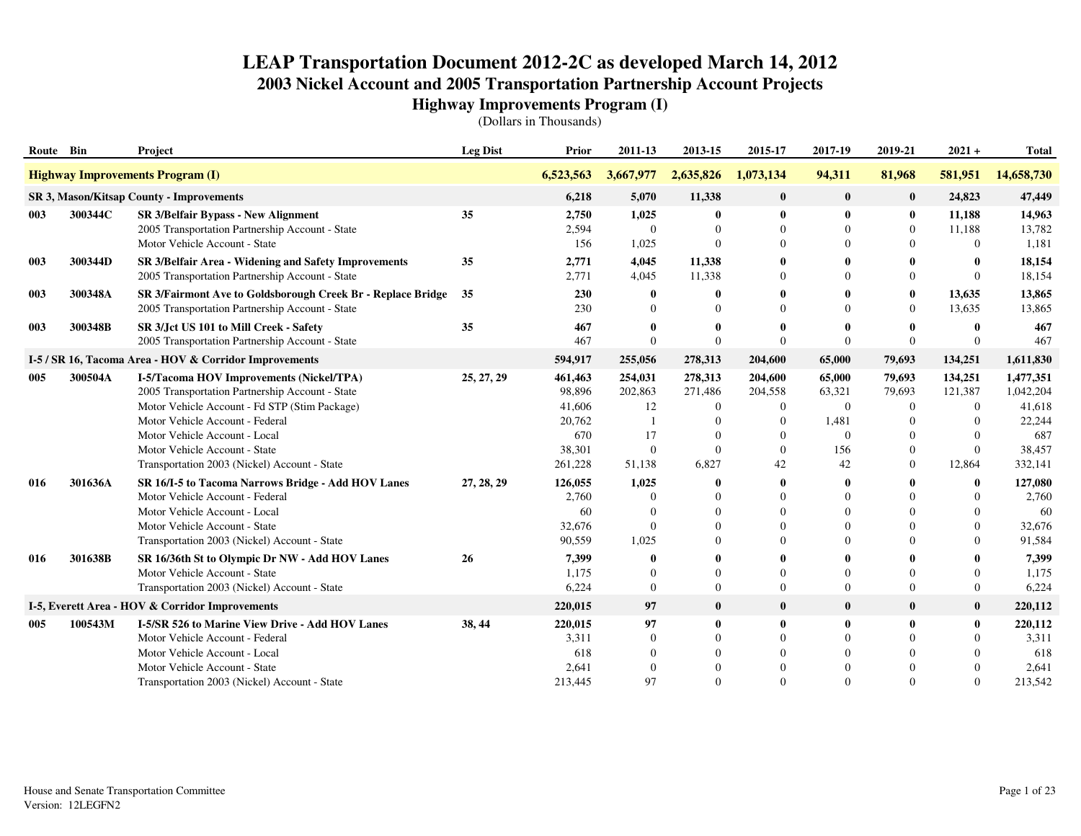| Route Bin |         | Project                                                                                                                                                                                                                                                                                           | <b>Leg Dist</b> | Prior                                                             | 2011-13                                                  | 2013-15                                                                 | 2015-17                                                                  | 2017-19                                                        | 2019-21                                                                           | $2021 +$                                                                     | <b>Total</b>                                                           |
|-----------|---------|---------------------------------------------------------------------------------------------------------------------------------------------------------------------------------------------------------------------------------------------------------------------------------------------------|-----------------|-------------------------------------------------------------------|----------------------------------------------------------|-------------------------------------------------------------------------|--------------------------------------------------------------------------|----------------------------------------------------------------|-----------------------------------------------------------------------------------|------------------------------------------------------------------------------|------------------------------------------------------------------------|
|           |         | <b>Highway Improvements Program (I)</b>                                                                                                                                                                                                                                                           |                 | 6,523,563                                                         | 3,667,977                                                | 2,635,826                                                               | 1,073,134                                                                | 94,311                                                         | 81,968                                                                            | 581,951                                                                      | 14,658,730                                                             |
|           |         | SR 3, Mason/Kitsap County - Improvements                                                                                                                                                                                                                                                          |                 | 6,218                                                             | 5,070                                                    | 11,338                                                                  | $\bf{0}$                                                                 | $\bf{0}$                                                       | $\bf{0}$                                                                          | 24,823                                                                       | 47,449                                                                 |
| 003       | 300344C | SR 3/Belfair Bypass - New Alignment<br>2005 Transportation Partnership Account - State<br>Motor Vehicle Account - State                                                                                                                                                                           | 35              | 2,750<br>2,594<br>156                                             | 1,025<br>$\overline{0}$<br>1,025                         | $\bf{0}$<br>$\Omega$<br>$\Omega$                                        | $\bf{0}$<br>$\Omega$<br>$\Omega$                                         | $\bf{0}$<br>$\theta$<br>$\Omega$                               | $\bf{0}$<br>$\mathbf{0}$<br>$\Omega$                                              | 11,188<br>11,188<br>$\Omega$                                                 | 14,963<br>13,782<br>1,181                                              |
| 003       | 300344D | SR 3/Belfair Area - Widening and Safety Improvements<br>2005 Transportation Partnership Account - State                                                                                                                                                                                           | 35              | 2,771<br>2,771                                                    | 4,045<br>4,045                                           | 11,338<br>11,338                                                        | 0<br>$\Omega$                                                            | $\mathbf{0}$<br>$\Omega$                                       | $\mathbf{0}$<br>$\Omega$                                                          | $\mathbf{0}$<br>$\Omega$                                                     | 18,154<br>18,154                                                       |
| 003       | 300348A | SR 3/Fairmont Ave to Goldsborough Creek Br - Replace Bridge<br>2005 Transportation Partnership Account - State                                                                                                                                                                                    | 35              | 230<br>230                                                        | $\bf{0}$<br>$\Omega$                                     | $\bf{0}$                                                                | $\Omega$                                                                 | $\mathbf{0}$<br>$\Omega$                                       | $\bf{0}$<br>$\overline{0}$                                                        | 13,635<br>13,635                                                             | 13,865<br>13,865                                                       |
| 003       | 300348B | SR 3/Jct US 101 to Mill Creek - Safety<br>2005 Transportation Partnership Account - State                                                                                                                                                                                                         | 35              | 467<br>467                                                        | 0<br>$\Omega$                                            | $\mathbf 0$<br>$\theta$                                                 | $\Omega$                                                                 | $\mathbf{0}$<br>$\Omega$                                       | $\bf{0}$<br>$\Omega$                                                              | $\mathbf 0$<br>$\Omega$                                                      | 467<br>467                                                             |
|           |         | I-5 / SR 16, Tacoma Area - HOV & Corridor Improvements                                                                                                                                                                                                                                            |                 | 594,917                                                           | 255,056                                                  | 278,313                                                                 | 204,600                                                                  | 65,000                                                         | 79,693                                                                            | 134,251                                                                      | 1,611,830                                                              |
| 005       | 300504A | I-5/Tacoma HOV Improvements (Nickel/TPA)<br>2005 Transportation Partnership Account - State<br>Motor Vehicle Account - Fd STP (Stim Package)<br>Motor Vehicle Account - Federal<br>Motor Vehicle Account - Local<br>Motor Vehicle Account - State<br>Transportation 2003 (Nickel) Account - State | 25, 27, 29      | 461,463<br>98,896<br>41,606<br>20,762<br>670<br>38,301<br>261,228 | 254,031<br>202,863<br>12<br>17<br>$\mathbf{0}$<br>51,138 | 278,313<br>271,486<br>$\boldsymbol{0}$<br>$\theta$<br>$\Omega$<br>6,827 | 204,600<br>204,558<br>$\Omega$<br>$\Omega$<br>$\Omega$<br>$\Omega$<br>42 | 65,000<br>63,321<br>$\theta$<br>1,481<br>$\Omega$<br>156<br>42 | 79,693<br>79,693<br>$\overline{0}$<br>$\Omega$<br>$\Omega$<br>$\overline{0}$<br>0 | 134,251<br>121,387<br>$\Omega$<br>$\Omega$<br>$\Omega$<br>$\Omega$<br>12,864 | 1,477,351<br>1,042,204<br>41,618<br>22,244<br>687<br>38,457<br>332,141 |
| 016       | 301636A | SR 16/I-5 to Tacoma Narrows Bridge - Add HOV Lanes<br>Motor Vehicle Account - Federal<br>Motor Vehicle Account - Local<br>Motor Vehicle Account - State<br>Transportation 2003 (Nickel) Account - State                                                                                           | 27, 28, 29      | 126,055<br>2,760<br>60<br>32,676<br>90.559                        | 1,025<br>$\Omega$<br>$\Omega$<br>$\mathbf{0}$<br>1,025   | 0<br>$\Omega$<br>$\Omega$<br>$\Omega$                                   | 0<br>$\Omega$<br>$\Omega$                                                | $\mathbf 0$<br>$\Omega$<br>$\Omega$<br>$\Omega$<br>$\Omega$    | 0<br>$\Omega$<br>$\Omega$                                                         | $\mathbf{0}$<br>$\Omega$<br>$\Omega$<br>$\Omega$<br>$\Omega$                 | 127,080<br>2,760<br>60<br>32,676<br>91,584                             |
| 016       | 301638B | SR 16/36th St to Olympic Dr NW - Add HOV Lanes<br>Motor Vehicle Account - State<br>Transportation 2003 (Nickel) Account - State                                                                                                                                                                   | 26              | 7,399<br>1,175<br>6,224                                           | 0<br>$\Omega$<br>$\mathbf{0}$                            | $\Omega$<br>$\overline{0}$                                              | $\Omega$<br>$\Omega$                                                     | $\Omega$<br>$\Omega$                                           | $\Omega$<br>$\overline{0}$                                                        | $\Omega$<br>$\overline{0}$                                                   | 7,399<br>1,175<br>6,224                                                |
|           |         | I-5, Everett Area - HOV & Corridor Improvements                                                                                                                                                                                                                                                   |                 | 220,015                                                           | 97                                                       | $\bf{0}$                                                                | $\bf{0}$                                                                 | $\mathbf{0}$                                                   | $\bf{0}$                                                                          | $\bf{0}$                                                                     | 220,112                                                                |
| 005       | 100543M | I-5/SR 526 to Marine View Drive - Add HOV Lanes<br>Motor Vehicle Account - Federal<br>Motor Vehicle Account - Local<br>Motor Vehicle Account - State<br>Transportation 2003 (Nickel) Account - State                                                                                              | 38, 44          | 220,015<br>3.311<br>618<br>2,641<br>213,445                       | 97<br>$\mathbf{0}$<br>$\Omega$<br>$\mathbf{0}$<br>97     | $\bf{0}$<br>$\Omega$<br>$\Omega$<br>$\Omega$                            | $\mathbf{0}$<br>$\Omega$                                                 | $\mathbf{0}$<br>$\theta$<br>$\Omega$<br>$\Omega$<br>$\Omega$   | $\bf{0}$<br>$\Omega$<br>$\Omega$<br>$\Omega$                                      | $\bf{0}$<br>$\Omega$<br>$\Omega$<br>$\Omega$<br>$\Omega$                     | 220,112<br>3,311<br>618<br>2,641<br>213,542                            |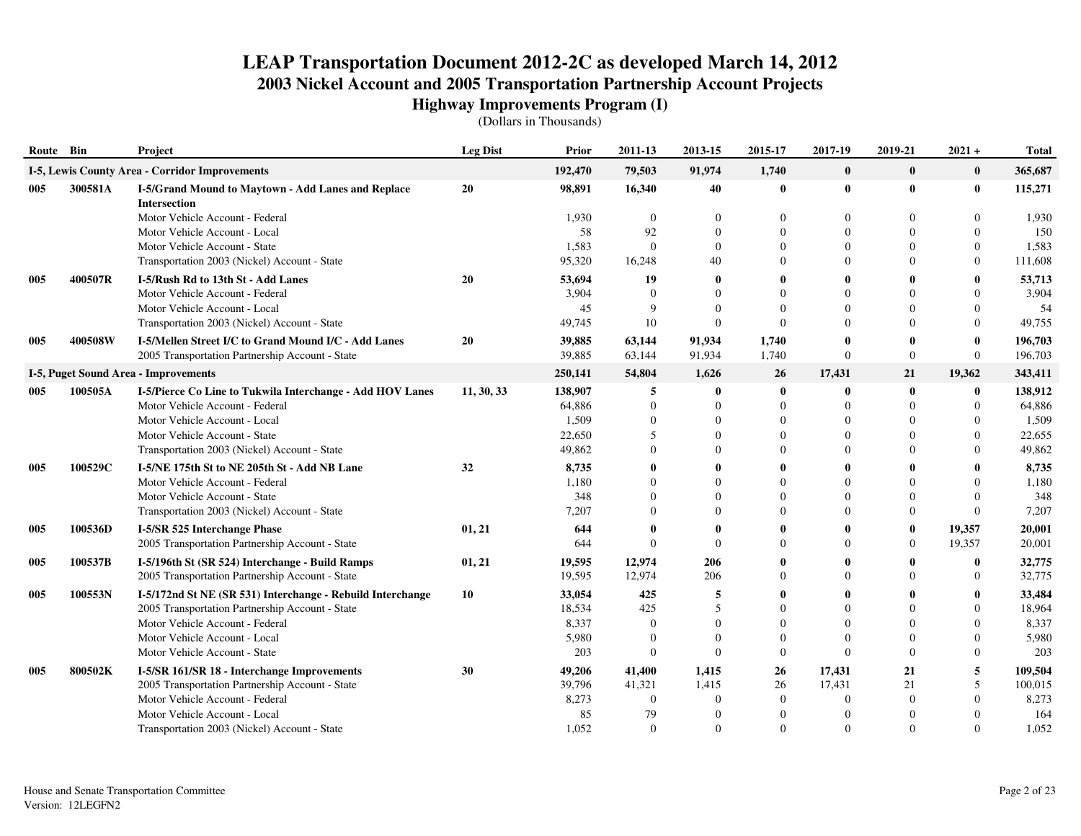| Route Bin |                                                                                                                 | Project                                                                                                 | <b>Leg Dist</b> | Prior            | 2011-13          | 2013-15                  | 2015-17              | 2017-19                  | 2019-21                        | $2021 +$                   | <b>Total</b>       |
|-----------|-----------------------------------------------------------------------------------------------------------------|---------------------------------------------------------------------------------------------------------|-----------------|------------------|------------------|--------------------------|----------------------|--------------------------|--------------------------------|----------------------------|--------------------|
|           | I-5, Lewis County Area - Corridor Improvements<br>300581A<br>I-5/Grand Mound to Maytown - Add Lanes and Replace |                                                                                                         |                 | 192,470          | 79,503           | 91,974                   | 1,740                | $\bf{0}$                 | $\bf{0}$                       | $\bf{0}$                   | 365,687            |
| 005       |                                                                                                                 | <b>Intersection</b>                                                                                     | 20              | 98,891           | 16,340           | 40                       | 0                    | $\boldsymbol{0}$         | $\bf{0}$                       | $\bf{0}$                   | 115,271            |
|           |                                                                                                                 | Motor Vehicle Account - Federal                                                                         |                 | 1,930            | $\overline{0}$   | $\Omega$                 | 0                    | $\Omega$                 | $\Omega$                       | 0                          | 1,930              |
|           |                                                                                                                 | Motor Vehicle Account - Local                                                                           |                 | 58               | 92               | $\Omega$                 | $\Omega$             | $\Omega$                 | $\Omega$                       | $\Omega$                   | 150                |
|           |                                                                                                                 | Motor Vehicle Account - State                                                                           |                 | 1,583            | $\overline{0}$   | $\mathbf{0}$             | $\Omega$             | $\Omega$                 | $\Omega$                       | $\Omega$                   | 1,583              |
|           |                                                                                                                 | Transportation 2003 (Nickel) Account - State                                                            |                 | 95,320           | 16,248           | 40                       | $\Omega$             | $\Omega$                 | $\Omega$                       | $\overline{0}$             | 111,608            |
| 005       | 400507R                                                                                                         | I-5/Rush Rd to 13th St - Add Lanes                                                                      | 20              | 53,694           | 19               | $\mathbf{0}$             | 0                    | $\mathbf 0$              |                                | 0                          | 53,713             |
|           |                                                                                                                 | Motor Vehicle Account - Federal                                                                         |                 | 3,904            | $\theta$<br>9    | $\Omega$                 | $\Omega$<br>$\Omega$ | $\Omega$<br>$\Omega$     | $\Omega$                       | $\Omega$                   | 3,904              |
|           |                                                                                                                 | Motor Vehicle Account - Local<br>Transportation 2003 (Nickel) Account - State                           |                 | 45<br>49,745     | 10               | $\Omega$<br>$\mathbf{0}$ | $\Omega$             | $\Omega$                 | $\Omega$<br>$\Omega$           | 0<br>$\overline{0}$        | 54<br>49,755       |
|           |                                                                                                                 |                                                                                                         |                 |                  |                  |                          |                      |                          |                                |                            |                    |
| 005       | 400508W                                                                                                         | I-5/Mellen Street I/C to Grand Mound I/C - Add Lanes<br>2005 Transportation Partnership Account - State | 20              | 39,885<br>39,885 | 63,144<br>63,144 | 91,934<br>91,934         | 1,740<br>1,740       | $\mathbf 0$<br>$\theta$  | $\mathbf{0}$<br>$\overline{0}$ | $\bf{0}$<br>$\overline{0}$ | 196,703<br>196,703 |
|           |                                                                                                                 |                                                                                                         |                 |                  |                  |                          |                      |                          |                                |                            |                    |
|           |                                                                                                                 | <b>I-5, Puget Sound Area - Improvements</b>                                                             |                 | 250,141          | 54,804           | 1,626                    | 26                   | 17,431                   | 21                             | 19,362                     | 343,411            |
| 005       | 100505A                                                                                                         | I-5/Pierce Co Line to Tukwila Interchange - Add HOV Lanes                                               | 11, 30, 33      | 138,907          | 5<br>$\theta$    | $\bf{0}$<br>$\Omega$     | $\bf{0}$<br>$\Omega$ | $\mathbf{0}$<br>$\Omega$ | $\bf{0}$<br>$\Omega$           | $\bf{0}$<br>$\Omega$       | 138,912            |
|           |                                                                                                                 | Motor Vehicle Account - Federal<br>Motor Vehicle Account - Local                                        |                 | 64,886<br>1,509  | $\theta$         | $\Omega$                 | $\Omega$             | $\Omega$                 | $\Omega$                       | $\Omega$                   | 64,886<br>1,509    |
|           |                                                                                                                 | Motor Vehicle Account - State                                                                           |                 | 22,650           | 5                | $\Omega$                 | $\Omega$             | $\theta$                 | $\Omega$                       | $\Omega$                   | 22,655             |
|           |                                                                                                                 | Transportation 2003 (Nickel) Account - State                                                            |                 | 49,862           | $\Omega$         | $\Omega$                 | $\Omega$             | $\Omega$                 | $\Omega$                       | $\Omega$                   | 49,862             |
| 005       | 100529C                                                                                                         | I-5/NE 175th St to NE 205th St - Add NB Lane                                                            | 32              | 8,735            | $\mathbf 0$      | 0                        | 0                    | $\mathbf 0$              |                                | 0                          | 8,735              |
|           |                                                                                                                 | Motor Vehicle Account - Federal                                                                         |                 | 1,180            | $\Omega$         | $\Omega$                 | $\Omega$             | $\Omega$                 | $\Omega$                       | $\Omega$                   | 1,180              |
|           |                                                                                                                 | Motor Vehicle Account - State                                                                           |                 | 348              | $\Omega$         | $\Omega$                 | $\Omega$             | $\Omega$                 | $\Omega$                       | 0                          | 348                |
|           |                                                                                                                 | Transportation 2003 (Nickel) Account - State                                                            |                 | 7,207            | $\Omega$         | $\Omega$                 | $\Omega$             | $\Omega$                 | $\Omega$                       | $\Omega$                   | 7,207              |
| 005       | 100536D                                                                                                         | I-5/SR 525 Interchange Phase                                                                            | 01, 21          | 644              | $\mathbf 0$      | $\Omega$                 | 0                    | $\mathbf{0}$             | $\mathbf{0}$                   | 19,357                     | 20,001             |
|           |                                                                                                                 | 2005 Transportation Partnership Account - State                                                         |                 | 644              | $\Omega$         | $\Omega$                 | $\Omega$             | $\Omega$                 | $\overline{0}$                 | 19,357                     | 20,001             |
| 005       | 100537B                                                                                                         | I-5/196th St (SR 524) Interchange - Build Ramps                                                         | 01, 21          | 19,595           | 12,974           | 206                      | $\mathbf{0}$         | $\mathbf 0$              |                                | $\bf{0}$                   | 32,775             |
|           |                                                                                                                 | 2005 Transportation Partnership Account - State                                                         |                 | 19,595           | 12,974           | 206                      | $\Omega$             | $\Omega$                 | $\Omega$                       | $\overline{0}$             | 32,775             |
| 005       | 100553N                                                                                                         | I-5/172nd St NE (SR 531) Interchange - Rebuild Interchange                                              | 10              | 33,054           | 425              | 5                        | 0                    | $\mathbf 0$              |                                | 0                          | 33,484             |
|           |                                                                                                                 | 2005 Transportation Partnership Account - State                                                         |                 | 18,534           | 425              | 5                        | $\Omega$             | $\Omega$                 |                                | $\Omega$                   | 18,964             |
|           |                                                                                                                 | Motor Vehicle Account - Federal                                                                         |                 | 8,337            | $\Omega$         | $\Omega$                 | $\Omega$             | $\Omega$                 | $\Omega$                       | 0                          | 8,337              |
|           |                                                                                                                 | Motor Vehicle Account - Local                                                                           |                 | 5,980            | $\theta$         | $\Omega$                 | $\Omega$             | $\Omega$                 | $\Omega$                       | $\Omega$                   | 5,980              |
|           |                                                                                                                 | Motor Vehicle Account - State                                                                           |                 | 203              | $\theta$         | $\Omega$                 | $\Omega$             | $\Omega$                 | $\theta$                       | $\overline{0}$             | 203                |
| 005       | 800502K                                                                                                         | I-5/SR 161/SR 18 - Interchange Improvements                                                             | 30              | 49,206           | 41,400           | 1,415                    | 26                   | 17,431                   | 21                             | 5                          | 109,504            |
|           |                                                                                                                 | 2005 Transportation Partnership Account - State                                                         |                 | 39,796           | 41,321           | 1,415                    | 26                   | 17,431                   | 21                             | 5                          | 100,015            |
|           |                                                                                                                 | Motor Vehicle Account - Federal                                                                         |                 | 8,273            | $\Omega$         | $\Omega$                 | $\theta$             | $\Omega$                 | $\Omega$                       | $\Omega$                   | 8,273              |
|           |                                                                                                                 | Motor Vehicle Account - Local                                                                           |                 | 85               | 79               |                          | $\theta$             | $\Omega$                 |                                |                            | 164                |
|           |                                                                                                                 | Transportation 2003 (Nickel) Account - State                                                            |                 | 1,052            | $\theta$         | $\Omega$                 | $\Omega$             | $\mathbf{0}$             | $\Omega$                       | $\Omega$                   | 1,052              |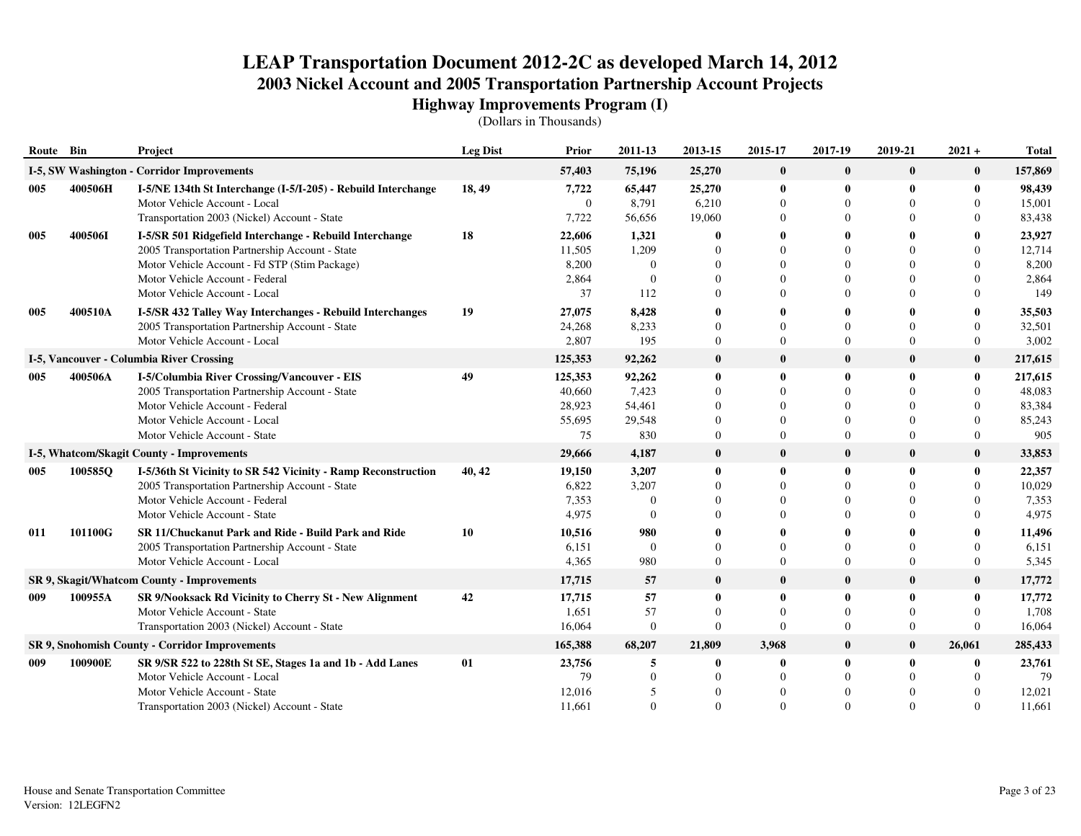| Route Bin |         | <b>Project</b>                                                                                                                                                                                                                  | <b>Leg Dist</b> | Prior                                       | 2011-13                                       | 2013-15                                  | 2015-17                                               | 2017-19                                                     | 2019-21                                          | $2021 +$                                                       | <b>Total</b>                                 |
|-----------|---------|---------------------------------------------------------------------------------------------------------------------------------------------------------------------------------------------------------------------------------|-----------------|---------------------------------------------|-----------------------------------------------|------------------------------------------|-------------------------------------------------------|-------------------------------------------------------------|--------------------------------------------------|----------------------------------------------------------------|----------------------------------------------|
|           |         | I-5, SW Washington - Corridor Improvements                                                                                                                                                                                      |                 | 57,403                                      | 75,196                                        | 25,270                                   | $\bf{0}$                                              | $\bf{0}$                                                    | $\bf{0}$                                         | $\bf{0}$                                                       | 157,869                                      |
| 005       | 400506H | I-5/NE 134th St Interchange (I-5/I-205) - Rebuild Interchange<br>Motor Vehicle Account - Local<br>Transportation 2003 (Nickel) Account - State                                                                                  | 18, 49          | 7,722<br>$\boldsymbol{0}$<br>7,722          | 65,447<br>8,791<br>56,656                     | 25,270<br>6,210<br>19,060                | $\bf{0}$<br>$\boldsymbol{0}$<br>0                     | $\mathbf 0$<br>$\theta$<br>$\theta$                         | $\mathbf{0}$                                     | $\bf{0}$<br>$\overline{0}$<br>$\theta$                         | 98,439<br>15,001<br>83,438                   |
| 005       | 400506I | I-5/SR 501 Ridgefield Interchange - Rebuild Interchange<br>2005 Transportation Partnership Account - State<br>Motor Vehicle Account - Fd STP (Stim Package)<br>Motor Vehicle Account - Federal<br>Motor Vehicle Account - Local | 18              | 22,606<br>11,505<br>8,200<br>2,864<br>37    | 1,321<br>1,209<br>$\Omega$<br>$\Omega$<br>112 | 0                                        | 0<br>$\Omega$<br>$\Omega$<br>$\Omega$<br>$\Omega$     | $\Omega$<br>$\Omega$<br>$\theta$<br>$\Omega$                |                                                  | 0<br>$\Omega$<br>$\Omega$<br>$\Omega$<br>$\theta$              | 23,927<br>12,714<br>8,200<br>2,864<br>149    |
| 005       | 400510A | I-5/SR 432 Talley Way Interchanges - Rebuild Interchanges<br>2005 Transportation Partnership Account - State<br>Motor Vehicle Account - Local                                                                                   | 19              | 27,075<br>24,268<br>2,807                   | 8,428<br>8,233<br>195                         | 0                                        | 0<br>$\Omega$<br>$\Omega$                             | $\Omega$<br>$\Omega$                                        | $\Omega$                                         | 0<br>$\Omega$<br>$\overline{0}$                                | 35,503<br>32,501<br>3,002                    |
|           |         | I-5, Vancouver - Columbia River Crossing                                                                                                                                                                                        |                 | 125,353                                     | 92,262                                        | $\bf{0}$                                 | $\bf{0}$                                              | $\mathbf 0$                                                 | $\bf{0}$                                         | $\bf{0}$                                                       | 217,615                                      |
| 005       | 400506A | I-5/Columbia River Crossing/Vancouver - EIS<br>2005 Transportation Partnership Account - State<br>Motor Vehicle Account - Federal<br>Motor Vehicle Account - Local<br>Motor Vehicle Account - State                             | 49              | 125,353<br>40,660<br>28,923<br>55,695<br>75 | 92,262<br>7,423<br>54,461<br>29,548<br>830    | 0<br>$\Omega$<br>0<br>$\overline{0}$     | 0<br>$\theta$<br>$\theta$<br>$\Omega$<br>$\mathbf{0}$ | $\mathbf 0$<br>$\Omega$<br>$\Omega$<br>$\Omega$<br>$\theta$ | $\bf{0}$<br>$\Omega$                             | $\bf{0}$<br>$\theta$<br>$\theta$<br>$\Omega$<br>$\overline{0}$ | 217,615<br>48,083<br>83,384<br>85,243<br>905 |
|           |         | <b>I-5, Whatcom/Skagit County - Improvements</b>                                                                                                                                                                                |                 | 29,666                                      | 4,187                                         | $\bf{0}$                                 | $\bf{0}$                                              | $\mathbf{0}$                                                | $\bf{0}$                                         | $\bf{0}$                                                       | 33,853                                       |
| 005       | 100585Q | I-5/36th St Vicinity to SR 542 Vicinity - Ramp Reconstruction<br>2005 Transportation Partnership Account - State<br>Motor Vehicle Account - Federal<br>Motor Vehicle Account - State                                            | 40, 42          | 19,150<br>6,822<br>7,353<br>4,975           | 3,207<br>3,207<br>$\Omega$<br>$\Omega$        | $\bf{0}$                                 | 0<br>$\Omega$<br>$\Omega$<br>$\Omega$                 | $\mathbf{0}$<br>$\Omega$<br>$\Omega$<br>$\Omega$            | $\bf{0}$                                         | $\bf{0}$<br>$\Omega$<br>$\Omega$<br>$\Omega$                   | 22,357<br>10,029<br>7,353<br>4,975           |
| 011       | 101100G | SR 11/Chuckanut Park and Ride - Build Park and Ride<br>2005 Transportation Partnership Account - State<br>Motor Vehicle Account - Local                                                                                         | 10              | 10,516<br>6,151<br>4,365                    | 980<br>$\mathbf{0}$<br>980                    | $\overline{0}$                           | 0<br>$\Omega$<br>$\mathbf{0}$                         | 0<br>$\Omega$<br>$\Omega$                                   | $\Omega$<br>$\mathbf{0}$                         | 0<br>$\Omega$<br>$\overline{0}$                                | 11,496<br>6,151<br>5,345                     |
|           |         | SR 9, Skagit/Whatcom County - Improvements                                                                                                                                                                                      |                 | 17,715                                      | 57                                            | $\bf{0}$                                 | $\bf{0}$                                              | $\mathbf 0$                                                 | $\bf{0}$                                         | $\bf{0}$                                                       | 17,772                                       |
| 009       | 100955A | SR 9/Nooksack Rd Vicinity to Cherry St - New Alignment<br>Motor Vehicle Account - State<br>Transportation 2003 (Nickel) Account - State                                                                                         | 42              | 17,715<br>1,651<br>16,064                   | 57<br>57<br>$\boldsymbol{0}$                  | $\bf{0}$<br>$\Omega$<br>$\boldsymbol{0}$ | 0<br>0<br>$\Omega$                                    | $\mathbf{0}$<br>$\Omega$<br>$\theta$                        | $\mathbf{0}$<br>$\mathbf{0}$<br>$\boldsymbol{0}$ | $\bf{0}$<br>$\theta$<br>$\Omega$                               | 17,772<br>1,708<br>16,064                    |
|           |         | SR 9, Snohomish County - Corridor Improvements                                                                                                                                                                                  |                 | 165,388                                     | 68,207                                        | 21,809                                   | 3,968                                                 | $\mathbf 0$                                                 | $\bf{0}$                                         | 26,061                                                         | 285,433                                      |
| 009       | 100900E | SR 9/SR 522 to 228th St SE, Stages 1a and 1b - Add Lanes<br>Motor Vehicle Account - Local<br>Motor Vehicle Account - State<br>Transportation 2003 (Nickel) Account - State                                                      | 01              | 23,756<br>79<br>12,016<br>11,661            | 5<br>$\overline{0}$<br>5<br>$\Omega$          | 0<br>$\Omega$                            | 0<br>$\overline{0}$<br>$\theta$<br>$\Omega$           | $\mathbf 0$<br>$\theta$<br>$\theta$<br>$\Omega$             | $\bf{0}$                                         | $\bf{0}$<br>$\theta$<br>$\Omega$<br>$\Omega$                   | 23,761<br>79<br>12,021<br>11,661             |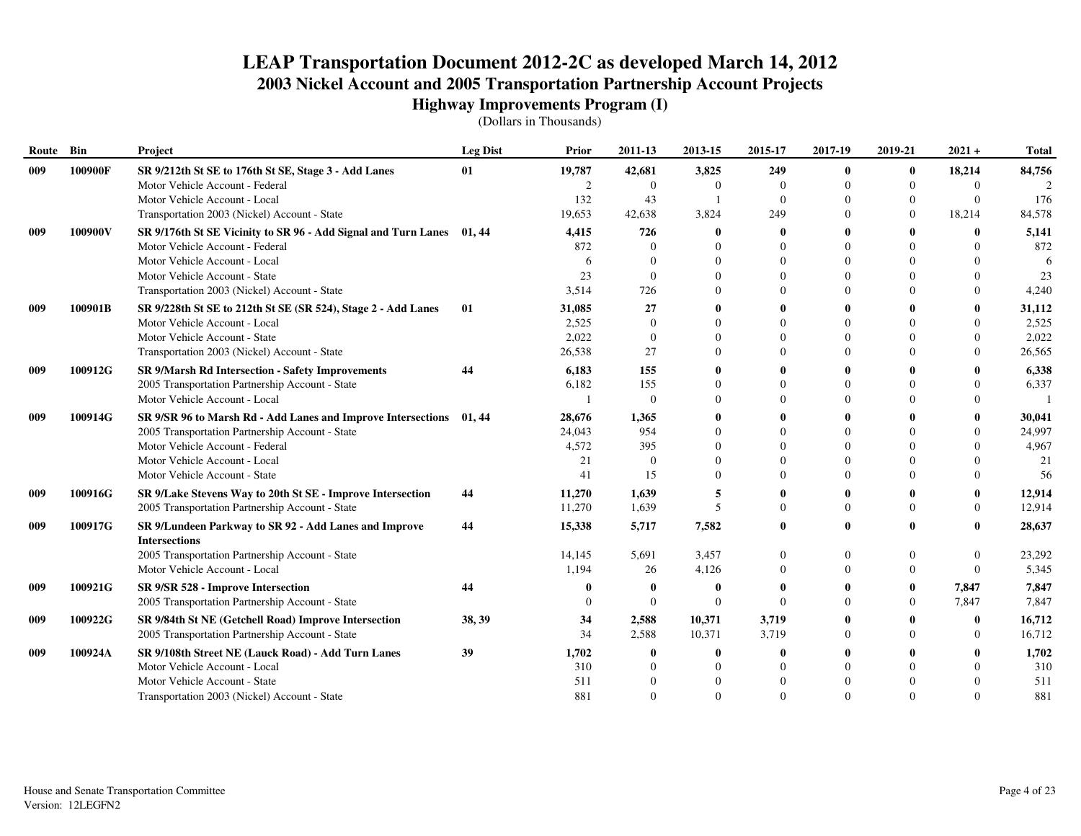| Route | Bin     | Project                                                               | <b>Leg Dist</b> | Prior  | 2011-13        | 2013-15                  | 2015-17      | 2017-19     | 2019-21  | $2021 +$       | <b>Total</b> |
|-------|---------|-----------------------------------------------------------------------|-----------------|--------|----------------|--------------------------|--------------|-------------|----------|----------------|--------------|
| 009   | 100900F | SR 9/212th St SE to 176th St SE, Stage 3 - Add Lanes                  | 01              | 19,787 | 42,681         | 3,825                    | 249          | $\mathbf 0$ | $\bf{0}$ | 18,214         | 84,756       |
|       |         | Motor Vehicle Account - Federal                                       |                 | 2      | $\Omega$       | $\Omega$                 | $\Omega$     | $\Omega$    | $\theta$ | $\theta$       |              |
|       |         | Motor Vehicle Account - Local                                         |                 | 132    | 43             |                          | $\mathbf{0}$ | $\Omega$    | $\Omega$ | $\theta$       | 176          |
|       |         | Transportation 2003 (Nickel) Account - State                          |                 | 19,653 | 42,638         | 3,824                    | 249          | $\Omega$    | $\Omega$ | 18,214         | 84,578       |
| 009   | 100900V | SR 9/176th St SE Vicinity to SR 96 - Add Signal and Turn Lanes 01, 44 |                 | 4,415  | 726            |                          | 0            |             |          | $\bf{0}$       | 5,141        |
|       |         | Motor Vehicle Account - Federal                                       |                 | 872    | $\Omega$       |                          | $\Omega$     | $\Omega$    |          | $\Omega$       | 872          |
|       |         | Motor Vehicle Account - Local                                         |                 | 6      | $\Omega$       |                          | $\Omega$     | $\Omega$    |          | $\Omega$       | -6           |
|       |         | Motor Vehicle Account - State                                         |                 | 23     | $\Omega$       |                          | $\Omega$     | $\Omega$    |          | $\Omega$       | 23           |
|       |         | Transportation 2003 (Nickel) Account - State                          |                 | 3,514  | 726            | $\Omega$                 | $\Omega$     | $\Omega$    |          | $\Omega$       | 4,240        |
| 009   | 100901B | SR 9/228th St SE to 212th St SE (SR 524), Stage 2 - Add Lanes         | 01              | 31,085 | 27             |                          | 0            | 0           |          | 0              | 31,112       |
|       |         | Motor Vehicle Account - Local                                         |                 | 2,525  | $\Omega$       |                          | $\Omega$     | $\Omega$    |          | $\Omega$       | 2,525        |
|       |         | Motor Vehicle Account - State                                         |                 | 2,022  | $\overline{0}$ |                          | $\Omega$     | $\theta$    |          | $\theta$       | 2,022        |
|       |         | Transportation 2003 (Nickel) Account - State                          |                 | 26,538 | 27             |                          | $\Omega$     | $\Omega$    |          | $\Omega$       | 26,565       |
| 009   | 100912G | SR 9/Marsh Rd Intersection - Safety Improvements                      | 44              | 6,183  | 155            |                          | 0            |             |          |                | 6,338        |
|       |         | 2005 Transportation Partnership Account - State                       |                 | 6,182  | 155            |                          | $\Omega$     | $\Omega$    |          | $\Omega$       | 6,337        |
|       |         | Motor Vehicle Account - Local                                         |                 |        | $\Omega$       |                          | $\Omega$     | $\Omega$    |          | $\Omega$       |              |
| 009   | 100914G | SR 9/SR 96 to Marsh Rd - Add Lanes and Improve Intersections 01, 44   |                 | 28,676 | 1,365          |                          | 0            |             |          | $\mathbf{0}$   | 30,041       |
|       |         | 2005 Transportation Partnership Account - State                       |                 | 24,043 | 954            |                          | $\Omega$     | $\Omega$    |          | $\Omega$       | 24,997       |
|       |         | Motor Vehicle Account - Federal                                       |                 | 4,572  | 395            |                          | $\Omega$     |             |          | $\Omega$       | 4,967        |
|       |         | Motor Vehicle Account - Local                                         |                 | 21     | $\Omega$       |                          | $\Omega$     |             |          |                | 21           |
|       |         | Motor Vehicle Account - State                                         |                 | 41     | 15             |                          | $\Omega$     | $\Omega$    |          | $\Omega$       | 56           |
| 009   | 100916G | SR 9/Lake Stevens Way to 20th St SE - Improve Intersection            | 44              | 11,270 | 1,639          |                          | 0            |             |          | $\mathbf{0}$   | 12,914       |
|       |         | 2005 Transportation Partnership Account - State                       |                 | 11,270 | 1,639          | $\overline{\mathcal{L}}$ | $\Omega$     | $\Omega$    | $\Omega$ | $\Omega$       | 12,914       |
| 009   | 100917G | SR 9/Lundeen Parkway to SR 92 - Add Lanes and Improve                 | 44              | 15,338 | 5,717          | 7,582                    | 0            | $\Omega$    |          | 0              | 28,637       |
|       |         | <b>Intersections</b>                                                  |                 |        |                |                          |              |             |          |                |              |
|       |         | 2005 Transportation Partnership Account - State                       |                 | 14,145 | 5,691          | 3,457                    | $\Omega$     | $\theta$    |          | $\overline{0}$ | 23,292       |
|       |         | Motor Vehicle Account - Local                                         |                 | 1,194  | 26             | 4,126                    | $\Omega$     | $\Omega$    | $\Omega$ | $\Omega$       | 5,345        |
| 009   | 100921G | SR 9/SR 528 - Improve Intersection                                    | 44              |        | -0             |                          | 0            |             | $\bf{0}$ | 7,847          | 7,847        |
|       |         | 2005 Transportation Partnership Account - State                       |                 | 0      | $\Omega$       | $\Omega$                 | $\Omega$     | $\Omega$    | $\Omega$ | 7,847          | 7,847        |
| 009   | 100922G | SR 9/84th St NE (Getchell Road) Improve Intersection                  | 38, 39          | 34     | 2,588          | 10,371                   | 3,719        |             |          | $\mathbf{0}$   | 16,712       |
|       |         | 2005 Transportation Partnership Account - State                       |                 | 34     | 2,588          | 10,371                   | 3,719        | $\Omega$    |          | $\Omega$       | 16,712       |
| 009   | 100924A | SR 9/108th Street NE (Lauck Road) - Add Turn Lanes                    | 39              | 1,702  | -0             |                          | 0            |             |          |                | 1,702        |
|       |         | Motor Vehicle Account - Local                                         |                 | 310    | $\Omega$       |                          | $\Omega$     |             |          | $\Omega$       | 310          |
|       |         | Motor Vehicle Account - State                                         |                 | 511    | $\Omega$       |                          | $\Omega$     |             |          | $\Omega$       | 511          |
|       |         | Transportation 2003 (Nickel) Account - State                          |                 | 881    | $\Omega$       | $\Omega$                 | $\Omega$     | $\Omega$    | $\Omega$ | $\Omega$       | 881          |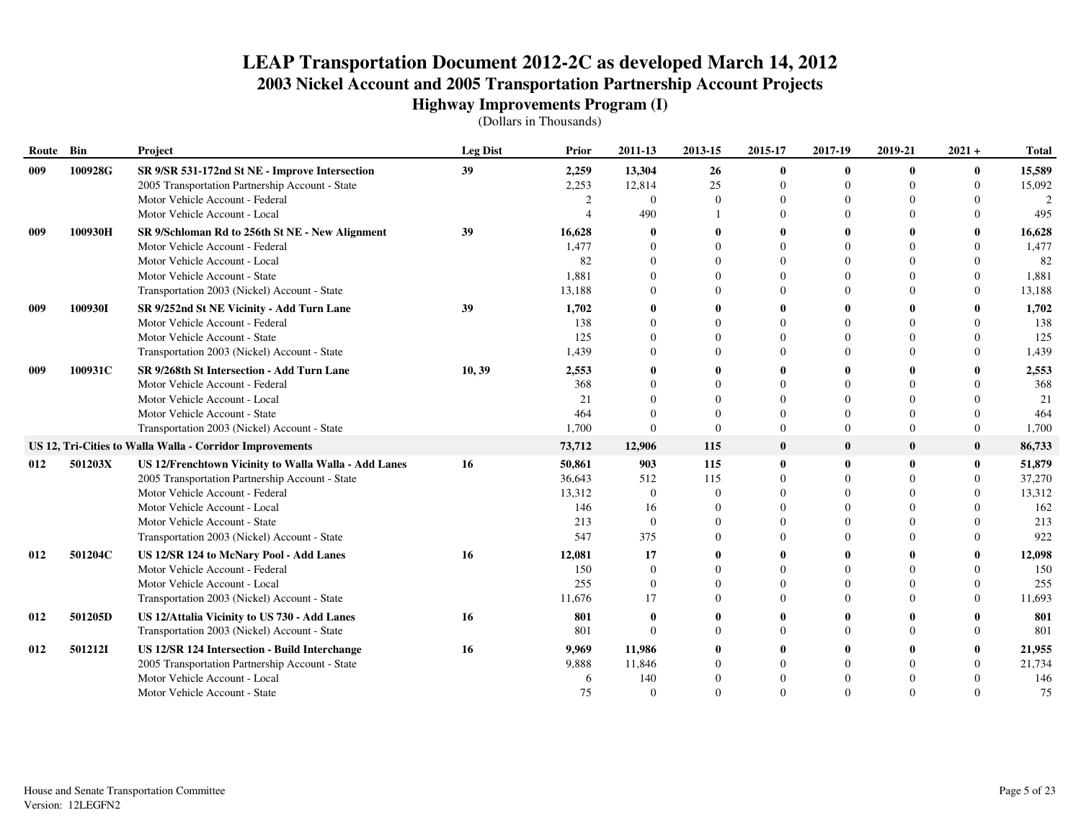| Route | Bin     | Project                                                  | <b>Leg Dist</b> | <b>Prior</b> | 2011-13        | 2013-15      | 2015-17      | 2017-19      | 2019-21      | $2021 +$ | <b>Total</b>  |
|-------|---------|----------------------------------------------------------|-----------------|--------------|----------------|--------------|--------------|--------------|--------------|----------|---------------|
| 009   | 100928G | SR 9/SR 531-172nd St NE - Improve Intersection           | 39              | 2,259        | 13,304         | 26           | 0            | $\mathbf{0}$ | $\mathbf{0}$ | 0        | 15,589        |
|       |         | 2005 Transportation Partnership Account - State          |                 | 2,253        | 12,814         | 25           | $\Omega$     | $\Omega$     | $\Omega$     | $\Omega$ | 15,092        |
|       |         | Motor Vehicle Account - Federal                          |                 | 2            | $\Omega$       | $\Omega$     | $\theta$     | $\Omega$     | $\Omega$     | 0        | $\mathcal{D}$ |
|       |         | Motor Vehicle Account - Local                            |                 |              | 490            |              | $\Omega$     | $\Omega$     | $\Omega$     | 0        | 495           |
| 009   | 100930H | SR 9/Schloman Rd to 256th St NE - New Alignment          | 39              | 16,628       |                |              |              | 0            |              |          | 16,628        |
|       |         | Motor Vehicle Account - Federal                          |                 | 1,477        | $\theta$       | $\Omega$     | $\Omega$     | $\Omega$     |              |          | 1,477         |
|       |         | Motor Vehicle Account - Local                            |                 | 82           | $\Omega$       | $\Omega$     | $\Omega$     | $\Omega$     |              | 0        | 82            |
|       |         | Motor Vehicle Account - State                            |                 | 1,881        | $\Omega$       |              | $\Omega$     | $\Omega$     |              | 0        | 1,881         |
|       |         | Transportation 2003 (Nickel) Account - State             |                 | 13,188       | $\Omega$       | $\Omega$     | $\Omega$     | $\Omega$     |              | $\Omega$ | 13,188        |
| 009   | 100930I | SR 9/252nd St NE Vicinity - Add Turn Lane                | 39              | 1,702        | $\mathbf 0$    |              | 0            | $\mathbf{0}$ |              |          | 1,702         |
|       |         | Motor Vehicle Account - Federal                          |                 | 138          | $\Omega$       | 0            | $\Omega$     | $\Omega$     |              |          | 138           |
|       |         | Motor Vehicle Account - State                            |                 | 125          | $\Omega$       |              | 0            | $\Omega$     |              | $^{(1)}$ | 125           |
|       |         | Transportation 2003 (Nickel) Account - State             |                 | 1,439        | $\Omega$       |              | 0            | $\Omega$     |              |          | 1,439         |
| 009   | 100931C | SR 9/268th St Intersection - Add Turn Lane               | 10, 39          | 2,553        | $\theta$       | 0            | 0            | $\mathbf{0}$ |              |          | 2,553         |
|       |         | Motor Vehicle Account - Federal                          |                 | 368          | $\Omega$       | $\Omega$     | $\Omega$     | $\Omega$     |              |          | 368           |
|       |         | Motor Vehicle Account - Local                            |                 | 21           | $\Omega$       | $\Omega$     | $\Omega$     | $\Omega$     | $\Omega$     |          | 21            |
|       |         | Motor Vehicle Account - State                            |                 | 464          | $\Omega$       | $\Omega$     | $\Omega$     | $\Omega$     | $\Omega$     | 0        | 464           |
|       |         | Transportation 2003 (Nickel) Account - State             |                 | 1,700        | $\Omega$       | $\Omega$     | $\Omega$     | $\Omega$     | $\Omega$     | $\Omega$ | 1,700         |
|       |         | US 12, Tri-Cities to Walla Walla - Corridor Improvements |                 | 73,712       | 12,906         | 115          | $\mathbf{0}$ | $\mathbf{0}$ | $\mathbf{0}$ | $\bf{0}$ | 86,733        |
| 012   | 501203X | US 12/Frenchtown Vicinity to Walla Walla - Add Lanes     | 16              | 50,861       | 903            | 115          | 0            | $\mathbf 0$  | $\mathbf{0}$ | $\bf{0}$ | 51,879        |
|       |         | 2005 Transportation Partnership Account - State          |                 | 36,643       | 512            | 115          | $\Omega$     |              |              | $\Omega$ | 37,270        |
|       |         | Motor Vehicle Account - Federal                          |                 | 13,312       | $\overline{0}$ | $\mathbf{0}$ | $\Omega$     | $\theta$     | $\Omega$     |          | 13,312        |
|       |         | Motor Vehicle Account - Local                            |                 | 146          | 16             | $\Omega$     | 0            | $\Omega$     |              |          | 162           |
|       |         | Motor Vehicle Account - State                            |                 | 213          | $\Omega$       | $\Omega$     | $\Omega$     | $\Omega$     |              |          | 213           |
|       |         | Transportation 2003 (Nickel) Account - State             |                 | 547          | 375            | $\Omega$     | $\Omega$     | $\Omega$     |              | $\Omega$ | 922           |
| 012   | 501204C | US 12/SR 124 to McNary Pool - Add Lanes                  | 16              | 12,081       | 17             |              | 0            | 0            |              | 0        | 12,098        |
|       |         | Motor Vehicle Account - Federal                          |                 | 150          | $\Omega$       | $\Omega$     | $\Omega$     | $\Omega$     |              | $\Omega$ | 150           |
|       |         | Motor Vehicle Account - Local                            |                 | 255          | $\theta$       | $\theta$     | 0            | $\Omega$     | $\Omega$     | $\Omega$ | 255           |
|       |         | Transportation 2003 (Nickel) Account - State             |                 | 11,676       | 17             | $\Omega$     | 0            | $\Omega$     |              | 0        | 11,693        |
| 012   | 501205D | US 12/Attalia Vicinity to US 730 - Add Lanes             | 16              | 801          | $\mathbf 0$    |              | 0            | 0            |              |          | 801           |
|       |         | Transportation 2003 (Nickel) Account - State             |                 | 801          | $\Omega$       | $\Omega$     | $\Omega$     | $\Omega$     | $\Omega$     | $\Omega$ | 801           |
| 012   | 501212I | US 12/SR 124 Intersection - Build Interchange            | 16              | 9,969        | 11,986         |              |              | $\mathbf{0}$ |              | $\bf{0}$ | 21,955        |
|       |         | 2005 Transportation Partnership Account - State          |                 | 9,888        | 11,846         |              | $\Omega$     | $\Omega$     |              | $\Omega$ | 21,734        |
|       |         | Motor Vehicle Account - Local                            |                 | 6            | 140            |              |              | $\Omega$     |              |          | 146           |
|       |         | Motor Vehicle Account - State                            |                 | 75           | $\Omega$       | $\Omega$     | $\Omega$     | $\Omega$     | $\Omega$     | 0        | 75            |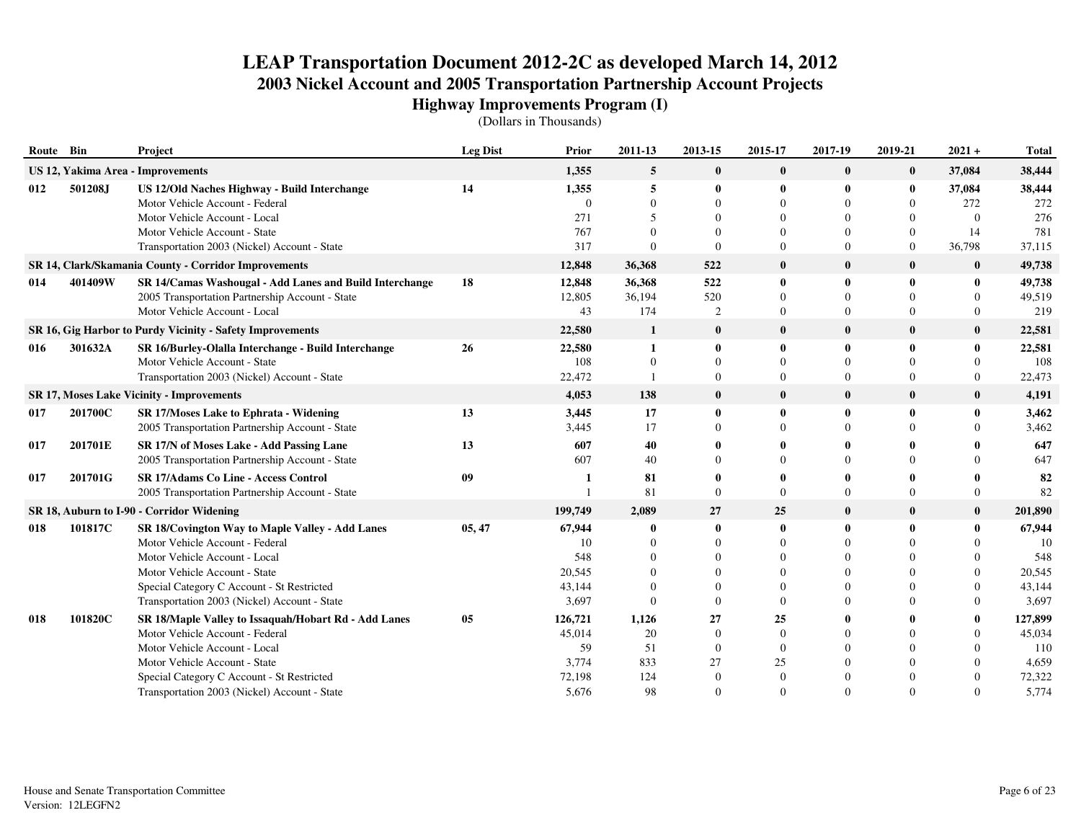| Route Bin |         | Project                                                                                    | <b>Leg Dist</b> | Prior             | 2011-13              | 2013-15               | 2015-17                          | 2017-19                    | 2019-21              | $2021 +$                   | <b>Total</b>     |
|-----------|---------|--------------------------------------------------------------------------------------------|-----------------|-------------------|----------------------|-----------------------|----------------------------------|----------------------------|----------------------|----------------------------|------------------|
|           |         | US 12, Yakima Area - Improvements                                                          |                 | 1,355             | 5                    | $\bf{0}$              | $\bf{0}$                         | $\bf{0}$                   | $\bf{0}$             | 37,084                     | 38,444           |
| 012       | 501208J | US 12/Old Naches Highway - Build Interchange<br>Motor Vehicle Account - Federal            | 14              | 1,355<br>$\Omega$ | 5<br>$\Omega$        | $\bf{0}$<br>$\Omega$  | 0<br>$\Omega$                    | $\mathbf{0}$<br>$\Omega$   | $\bf{0}$<br>$\Omega$ | 37,084<br>272              | 38,444<br>272    |
|           |         | Motor Vehicle Account - Local                                                              |                 | 271               | $\overline{5}$       | 0                     | 0                                | $\Omega$                   | 0                    | $\Omega$                   | 276              |
|           |         | Motor Vehicle Account - State                                                              |                 | 767               | $\Omega$<br>$\Omega$ | 0                     | 0                                | $\Omega$                   | $\mathbf{0}$         | 14                         | 781              |
|           |         | Transportation 2003 (Nickel) Account - State                                               |                 | 317               |                      | $\Omega$              | $\Omega$                         | $\Omega$                   | $\overline{0}$       | 36,798                     | 37,115           |
|           |         | SR 14, Clark/Skamania County - Corridor Improvements                                       |                 | 12,848            | 36,368               | 522                   | $\bf{0}$                         | $\mathbf{0}$               | $\mathbf{0}$         | $\bf{0}$                   | 49,738           |
| 014       | 401409W | SR 14/Camas Washougal - Add Lanes and Build Interchange                                    | 18              | 12,848            | 36,368               | 522                   | 0                                | -0                         | $\bf{0}$             | 0                          | 49,738           |
|           |         | 2005 Transportation Partnership Account - State<br>Motor Vehicle Account - Local           |                 | 12,805<br>43      | 36,194<br>174        | 520<br>$\mathfrak{2}$ | $\overline{0}$<br>$\overline{0}$ | $\Omega$<br>$\overline{0}$ | $\Omega$<br>$\Omega$ | $\theta$<br>$\overline{0}$ | 49,519<br>219    |
|           |         | SR 16, Gig Harbor to Purdy Vicinity - Safety Improvements                                  |                 | 22,580            | 1                    | $\bf{0}$              | $\bf{0}$                         | $\bf{0}$                   | $\mathbf{0}$         | $\bf{0}$                   | 22,581           |
| 016       | 301632A | SR 16/Burley-Olalla Interchange - Build Interchange                                        | 26              | 22,580            | 1                    | $\mathbf{0}$          | 0                                | $\mathbf{0}$               | $\bf{0}$             | $\bf{0}$                   | 22,581           |
|           |         | Motor Vehicle Account - State                                                              |                 | 108               | $\theta$             | $\Omega$              | 0                                | $\Omega$                   | $\Omega$             | $\overline{0}$             | 108              |
|           |         | Transportation 2003 (Nickel) Account - State                                               |                 | 22,472            |                      | $\mathbf{0}$          | $\Omega$                         | $\Omega$                   | $\mathbf{0}$         | $\overline{0}$             | 22,473           |
|           |         | <b>SR 17, Moses Lake Vicinity - Improvements</b>                                           |                 | 4,053             | 138                  | $\bf{0}$              | $\bf{0}$                         | $\mathbf{0}$               | $\bf{0}$             | $\bf{0}$                   | 4,191            |
| 017       | 201700C | <b>SR 17/Moses Lake to Ephrata - Widening</b>                                              | 13              | 3,445             | 17                   | $\mathbf{0}$          | 0                                | $\theta$                   | $\mathbf{0}$         | $\bf{0}$                   | 3,462            |
|           |         | 2005 Transportation Partnership Account - State                                            |                 | 3,445             | 17                   | $\Omega$              | $\Omega$                         | $\Omega$                   |                      | $\Omega$                   | 3,462            |
| 017       | 201701E | SR 17/N of Moses Lake - Add Passing Lane                                                   | 13              | 607               | 40                   |                       |                                  | $\mathbf{0}$               |                      | 0                          | 647              |
|           |         | 2005 Transportation Partnership Account - State                                            |                 | 607               | 40                   |                       |                                  | $\Omega$                   |                      | $\Omega$                   | 647              |
| 017       | 201701G | <b>SR 17/Adams Co Line - Access Control</b>                                                | 09              |                   | 81                   |                       |                                  |                            |                      | 0                          | 82               |
|           |         | 2005 Transportation Partnership Account - State                                            |                 |                   | 81                   | $\Omega$              | 0                                | $\Omega$                   |                      | $\Omega$                   | 82               |
|           |         | SR 18, Auburn to I-90 - Corridor Widening                                                  |                 | 199,749           | 2,089                | 27                    | 25                               | $\bf{0}$                   | $\bf{0}$             | $\bf{0}$                   | 201,890          |
| 018       | 101817C | SR 18/Covington Way to Maple Valley - Add Lanes                                            | 05, 47          | 67,944            |                      | $\mathbf{0}$          | $\bf{0}$                         | $\mathbf 0$                | $\mathbf{0}$         | $\mathbf{0}$               | 67,944           |
|           |         | Motor Vehicle Account - Federal                                                            |                 | 10                | $\Omega$             | $\Omega$              | $\Omega$                         | $\Omega$                   |                      | $\Omega$                   | 10               |
|           |         | Motor Vehicle Account - Local                                                              |                 | 548               | $\Omega$             | $\Omega$              | $\Omega$                         | $\Omega$                   |                      | $\Omega$                   | 548              |
|           |         | Motor Vehicle Account - State                                                              |                 | 20,545<br>43,144  | $\Omega$<br>$\Omega$ | $\Omega$<br>$\Omega$  | 0<br>0                           | $\Omega$<br>$\Omega$       |                      | $\Omega$<br>$\Omega$       | 20,545<br>43,144 |
|           |         | Special Category C Account - St Restricted<br>Transportation 2003 (Nickel) Account - State |                 | 3,697             | $\Omega$             | $\Omega$              | 0                                | $\Omega$                   |                      | $\Omega$                   | 3,697            |
| 018       | 101820C | SR 18/Maple Valley to Issaquah/Hobart Rd - Add Lanes                                       | 05              | 126,721           | 1,126                | 27                    | 25                               | -0                         |                      | $\bf{0}$                   | 127,899          |
|           |         | Motor Vehicle Account - Federal                                                            |                 | 45,014            | 20                   | $\Omega$              | $\Omega$                         | $\Omega$                   |                      | $\theta$                   | 45,034           |
|           |         | Motor Vehicle Account - Local                                                              |                 | 59                | 51                   | $\mathbf{0}$          | $\theta$                         | $\Omega$                   |                      | $\Omega$                   | 110              |
|           |         | Motor Vehicle Account - State                                                              |                 | 3,774             | 833                  | 27                    | 25                               | $\Omega$                   |                      | $\Omega$                   | 4,659            |
|           |         | Special Category C Account - St Restricted                                                 |                 | 72,198            | 124                  | $\Omega$              | $\Omega$                         | $\Omega$                   |                      | $\Omega$                   | 72,322           |
|           |         | Transportation 2003 (Nickel) Account - State                                               |                 | 5,676             | 98                   | $\Omega$              | $\Omega$                         | $\Omega$                   |                      | $\Omega$                   | 5,774            |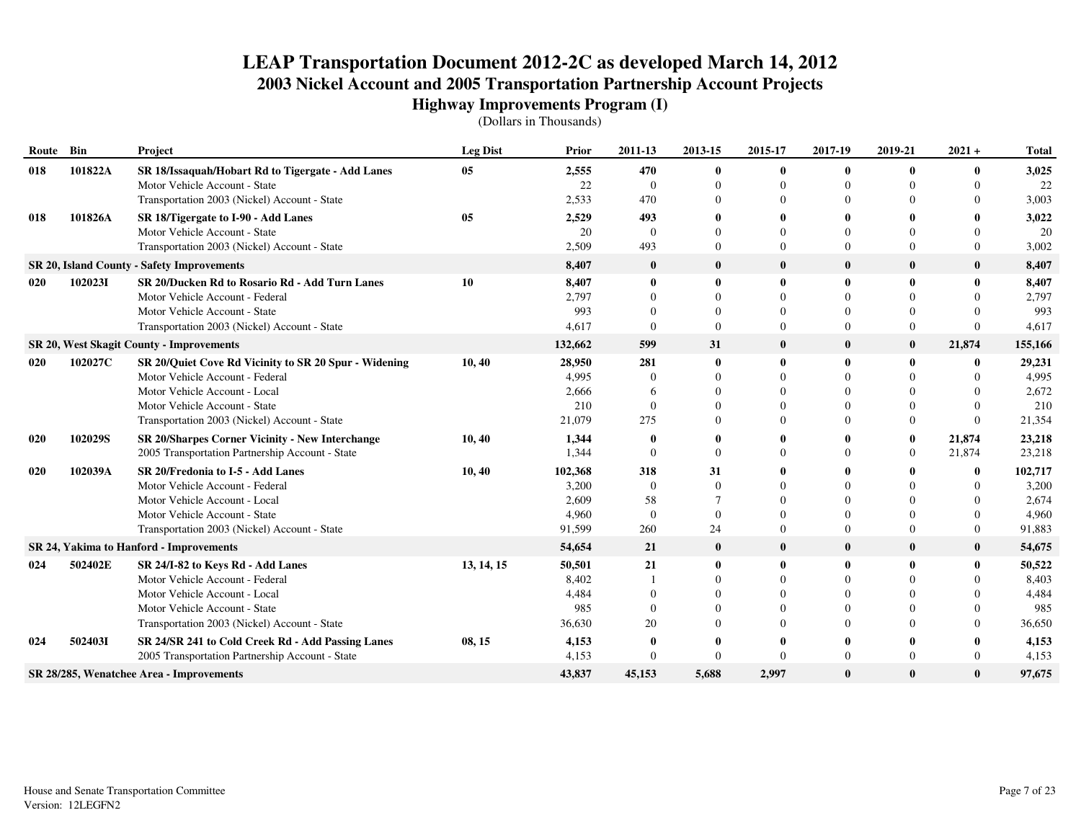| Route Bin |         | Project                                                | <b>Leg Dist</b> | <b>Prior</b> | 2011-13        | 2013-15        | 2015-17  | 2017-19      | 2019-21        | $2021 +$     | <b>Total</b> |
|-----------|---------|--------------------------------------------------------|-----------------|--------------|----------------|----------------|----------|--------------|----------------|--------------|--------------|
| 018       | 101822A | SR 18/Issaquah/Hobart Rd to Tigergate - Add Lanes      | 05              | 2,555        | 470            | $\bf{0}$       | 0        | $\mathbf 0$  | $\bf{0}$       | $\bf{0}$     | 3,025        |
|           |         | Motor Vehicle Account - State                          |                 | 22           | $\overline{0}$ |                | 0        | $\Omega$     |                | $\Omega$     | 22           |
|           |         | Transportation 2003 (Nickel) Account - State           |                 | 2,533        | 470            |                | 0        | $\Omega$     |                | $\Omega$     | 3,003        |
| 018       | 101826A | SR 18/Tigergate to I-90 - Add Lanes                    | 05              | 2,529        | 493            |                | 0        |              |                |              | 3,022        |
|           |         | Motor Vehicle Account - State                          |                 | 20           | $\Omega$       |                | 0        | $\Omega$     |                | $\Omega$     | 20           |
|           |         | Transportation 2003 (Nickel) Account - State           |                 | 2,509        | 493            | $\Omega$       | $\Omega$ | $\Omega$     |                | $\Omega$     | 3,002        |
|           |         | SR 20, Island County - Safety Improvements             |                 | 8,407        | $\bf{0}$       | $\bf{0}$       | $\bf{0}$ | $\mathbf 0$  | $\bf{0}$       | $\bf{0}$     | 8,407        |
| 020       | 1020231 | SR 20/Ducken Rd to Rosario Rd - Add Turn Lanes         | 10              | 8.407        | $\mathbf 0$    | $\bf{0}$       | 0        | $\mathbf{0}$ | $\bf{0}$       | $\bf{0}$     | 8,407        |
|           |         | Motor Vehicle Account - Federal                        |                 | 2,797        | $\Omega$       | $\Omega$       | $\Omega$ | $\Omega$     | $\Omega$       | $\Omega$     | 2,797        |
|           |         | Motor Vehicle Account - State                          |                 | 993          | $\Omega$       | $\Omega$       | $\Omega$ | $\Omega$     |                | $\Omega$     | 993          |
|           |         | Transportation 2003 (Nickel) Account - State           |                 | 4,617        | $\Omega$       | $\theta$       | $\theta$ | $\Omega$     | $\Omega$       | $\theta$     | 4,617        |
|           |         | <b>SR 20, West Skagit County - Improvements</b>        |                 | 132,662      | 599            | 31             | $\bf{0}$ | $\mathbf{0}$ | $\bf{0}$       | 21,874       | 155,166      |
| 020       | 102027C | SR 20/Quiet Cove Rd Vicinity to SR 20 Spur - Widening  | 10, 40          | 28,950       | 281            | $\mathbf{0}$   | 0        |              | $\bf{0}$       | $\mathbf{0}$ | 29,231       |
|           |         | Motor Vehicle Account - Federal                        |                 | 4.995        | $\Omega$       |                | $\Omega$ | $\Omega$     |                | $\Omega$     | 4,995        |
|           |         | Motor Vehicle Account - Local                          |                 | 2.666        | -6             |                | 0        | $\Omega$     |                | $\Omega$     | 2,672        |
|           |         | Motor Vehicle Account - State                          |                 | 210          | $\Omega$       |                | 0        | $\Omega$     |                | $\Omega$     | 210          |
|           |         | Transportation 2003 (Nickel) Account - State           |                 | 21,079       | 275            |                | $\Omega$ | $\Omega$     |                | $\Omega$     | 21,354       |
| 020       | 102029S | <b>SR 20/Sharpes Corner Vicinity - New Interchange</b> | 10, 40          | 1,344        | $\mathbf{0}$   |                | 0        |              | $\bf{0}$       | 21,874       | 23,218       |
|           |         | 2005 Transportation Partnership Account - State        |                 | 1,344        | $\Omega$       | $\Omega$       | $\Omega$ | $\Omega$     | $\overline{0}$ | 21,874       | 23,218       |
| 020       | 102039A | SR 20/Fredonia to I-5 - Add Lanes                      | 10, 40          | 102,368      | 318            | 31             | 0        |              |                | $\mathbf{0}$ | 102,717      |
|           |         | Motor Vehicle Account - Federal                        |                 | 3,200        | $\Omega$       | $\Omega$       | $\Omega$ | $\Omega$     |                | $\Omega$     | 3,200        |
|           |         | Motor Vehicle Account - Local                          |                 | 2,609        | 58             | $\overline{7}$ | $\Omega$ |              |                | $\Omega$     | 2,674        |
|           |         | Motor Vehicle Account - State                          |                 | 4,960        | $\Omega$       | $\Omega$       | 0        | $\Omega$     |                | $\Omega$     | 4,960        |
|           |         | Transportation 2003 (Nickel) Account - State           |                 | 91,599       | 260            | 24             | $\Omega$ | $\Omega$     |                | $\theta$     | 91,883       |
|           |         | SR 24, Yakima to Hanford - Improvements                |                 | 54,654       | 21             | $\bf{0}$       | $\bf{0}$ | $\mathbf 0$  | $\bf{0}$       | $\bf{0}$     | 54,675       |
| 024       | 502402E | SR 24/I-82 to Keys Rd - Add Lanes                      | 13, 14, 15      | 50,501       | 21             | $\bf{0}$       | 0        | $\mathbf{0}$ | $\bf{0}$       | $\mathbf{0}$ | 50,522       |
|           |         | Motor Vehicle Account - Federal                        |                 | 8,402        |                | $\Omega$       | $\Omega$ | $\Omega$     |                | $\Omega$     | 8,403        |
|           |         | Motor Vehicle Account - Local                          |                 | 4,484        | $\Omega$       |                | $\Omega$ | $\Omega$     |                | $\Omega$     | 4,484        |
|           |         | Motor Vehicle Account - State                          |                 | 985          | $\Omega$       |                | $\Omega$ |              |                | $\Omega$     | 985          |
|           |         | Transportation 2003 (Nickel) Account - State           |                 | 36,630       | 20             |                | $\Omega$ | $\Omega$     |                | $\Omega$     | 36,650       |
| 024       | 5024031 | SR 24/SR 241 to Cold Creek Rd - Add Passing Lanes      | 08, 15          | 4,153        | $\mathbf{0}$   |                | 0        |              |                | 0            | 4,153        |
|           |         | 2005 Transportation Partnership Account - State        |                 | 4,153        | $\Omega$       | $\Omega$       | $\Omega$ | $\Omega$     | $\Omega$       | $\Omega$     | 4,153        |
|           |         | SR 28/285, Wenatchee Area - Improvements               |                 | 43,837       | 45,153         | 5,688          | 2,997    | $\mathbf{0}$ | $\bf{0}$       | $\bf{0}$     | 97,675       |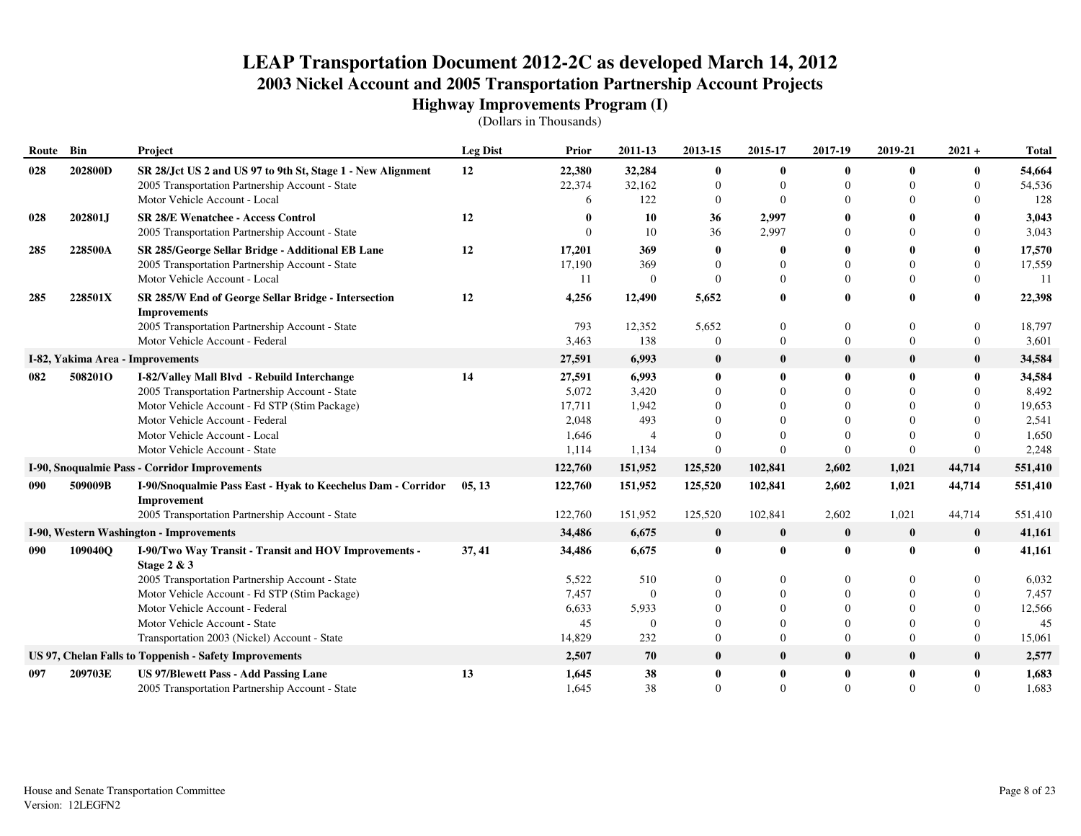| Route | Bin     | Project                                                                     | <b>Leg Dist</b> | <b>Prior</b> | 2011-13        | 2013-15        | 2015-17        | 2017-19        | 2019-21        | $2021 +$     | <b>Total</b> |
|-------|---------|-----------------------------------------------------------------------------|-----------------|--------------|----------------|----------------|----------------|----------------|----------------|--------------|--------------|
| 028   | 202800D | SR 28/Jct US 2 and US 97 to 9th St, Stage 1 - New Alignment                 | 12              | 22,380       | 32,284         | $\bf{0}$       | $\bf{0}$       | $\bf{0}$       | $\mathbf{0}$   | $\bf{0}$     | 54,664       |
|       |         | 2005 Transportation Partnership Account - State                             |                 | 22,374       | 32,162         | $\Omega$       | $\theta$       | $\mathbf{0}$   | $\Omega$       | $\theta$     | 54,536       |
|       |         | Motor Vehicle Account - Local                                               |                 | 6            | 122            | $\mathbf{0}$   | $\Omega$       | $\Omega$       |                | $\Omega$     | 128          |
| 028   | 202801J | <b>SR 28/E Wenatchee - Access Control</b>                                   | 12              | 0            | 10             | 36             | 2,997          | $\mathbf 0$    |                | 0            | 3,043        |
|       |         | 2005 Transportation Partnership Account - State                             |                 | ∩            | 10             | 36             | 2,997          | $\Omega$       |                | $\Omega$     | 3,043        |
| 285   | 228500A | SR 285/George Sellar Bridge - Additional EB Lane                            | 12              | 17,201       | 369            | $\mathbf{0}$   | $\bf{0}$       | 0              |                |              | 17,570       |
|       |         | 2005 Transportation Partnership Account - State                             |                 | 17,190       | 369            |                | $\theta$       | $\Omega$       | $\Omega$       | $\Omega$     | 17,559       |
|       |         | Motor Vehicle Account - Local                                               |                 | 11           | $\overline{0}$ | $\Omega$       | $\Omega$       | $\theta$       | $\Omega$       | $\Omega$     | 11           |
| 285   | 228501X | SR 285/W End of George Sellar Bridge - Intersection<br><b>Improvements</b>  | 12              | 4,256        | 12,490         | 5,652          | $\bf{0}$       | $\mathbf{0}$   | $\mathbf{0}$   | $\mathbf{0}$ | 22,398       |
|       |         | 2005 Transportation Partnership Account - State                             |                 | 793          | 12,352         | 5,652          | $\mathbf{0}$   | $\overline{0}$ | $\Omega$       | $\Omega$     | 18,797       |
|       |         | Motor Vehicle Account - Federal                                             |                 | 3,463        | 138            | $\mathbf{0}$   | $\overline{0}$ | $\overline{0}$ | $\overline{0}$ | $\mathbf{0}$ | 3,601        |
|       |         | I-82, Yakima Area - Improvements                                            |                 | 27,591       | 6,993          | $\bf{0}$       | $\bf{0}$       | $\bf{0}$       | $\bf{0}$       | $\mathbf{0}$ | 34,584       |
| 082   | 508201O | I-82/Valley Mall Blvd - Rebuild Interchange                                 | 14              | 27,591       | 6,993          | $\bf{0}$       | $\bf{0}$       | $\mathbf{0}$   | $\mathbf{0}$   | $\mathbf{0}$ | 34,584       |
|       |         | 2005 Transportation Partnership Account - State                             |                 | 5,072        | 3,420          | $\Omega$       | $\Omega$       | $\Omega$       | $\Omega$       | $\Omega$     | 8,492        |
|       |         | Motor Vehicle Account - Fd STP (Stim Package)                               |                 | 17,711       | 1,942          |                | $\Omega$       | $\Omega$       | $\Omega$       | $\Omega$     | 19,653       |
|       |         | Motor Vehicle Account - Federal                                             |                 | 2,048        | 493            |                | $\Omega$       | $\Omega$       |                |              | 2,541        |
|       |         | Motor Vehicle Account - Local                                               |                 | 1,646        | $\overline{4}$ |                | $\Omega$       |                | $\Omega$       |              | 1,650        |
|       |         | Motor Vehicle Account - State                                               |                 | 1,114        | 1,134          | $\Omega$       | $\Omega$       | $\Omega$       | $\Omega$       | $\Omega$     | 2,248        |
|       |         | I-90, Snoqualmie Pass - Corridor Improvements                               |                 | 122,760      | 151,952        | 125,520        | 102,841        | 2,602          | 1,021          | 44,714       | 551,410      |
| 090   | 509009B | I-90/Snoqualmie Pass East - Hyak to Keechelus Dam - Corridor<br>Improvement | 05, 13          | 122,760      | 151,952        | 125,520        | 102,841        | 2,602          | 1,021          | 44,714       | 551,410      |
|       |         | 2005 Transportation Partnership Account - State                             |                 | 122,760      | 151,952        | 125,520        | 102,841        | 2,602          | 1,021          | 44,714       | 551,410      |
|       |         | I-90, Western Washington - Improvements                                     |                 | 34,486       | 6,675          | $\bf{0}$       | $\bf{0}$       | $\bf{0}$       | $\bf{0}$       | $\mathbf{0}$ | 41,161       |
| 090   | 109040Q | I-90/Two Way Transit - Transit and HOV Improvements -<br>Stage 2 & 3        | 37, 41          | 34,486       | 6,675          | $\bf{0}$       | $\mathbf{0}$   | $\mathbf{0}$   | $\mathbf{0}$   | $\mathbf{0}$ | 41,161       |
|       |         | 2005 Transportation Partnership Account - State                             |                 | 5,522        | 510            | 0              | $\mathbf{0}$   | $\mathbf{0}$   | $\Omega$       | $\Omega$     | 6,032        |
|       |         | Motor Vehicle Account - Fd STP (Stim Package)                               |                 | 7,457        | $\overline{0}$ |                | $\theta$       | $\Omega$       | $\Omega$       | $\Omega$     | 7,457        |
|       |         | Motor Vehicle Account - Federal                                             |                 | 6,633        | 5,933          |                | $\theta$       | $\Omega$       |                | $\Omega$     | 12,566       |
|       |         | Motor Vehicle Account - State                                               |                 | 45           | $\overline{0}$ | $\Omega$       | $\theta$       | $\theta$       | $\Omega$       | $\Omega$     | 45           |
|       |         | Transportation 2003 (Nickel) Account - State                                |                 | 14,829       | 232            | $\overline{0}$ | $\theta$       | $\Omega$       | $\overline{0}$ | $\mathbf{0}$ | 15,061       |
|       |         | US 97, Chelan Falls to Toppenish - Safety Improvements                      |                 | 2,507        | 70             | $\bf{0}$       | $\bf{0}$       | $\bf{0}$       | $\bf{0}$       | $\bf{0}$     | 2,577        |
| 097   | 209703E | US 97/Blewett Pass - Add Passing Lane                                       | 13              | 1,645        | 38             | $\bf{0}$       | $\bf{0}$       | $\bf{0}$       | $\mathbf{0}$   | $\mathbf{0}$ | 1,683        |
|       |         | 2005 Transportation Partnership Account - State                             |                 | 1,645        | 38             | $\mathbf{0}$   | $\Omega$       | $\overline{0}$ | $\theta$       | $\Omega$     | 1,683        |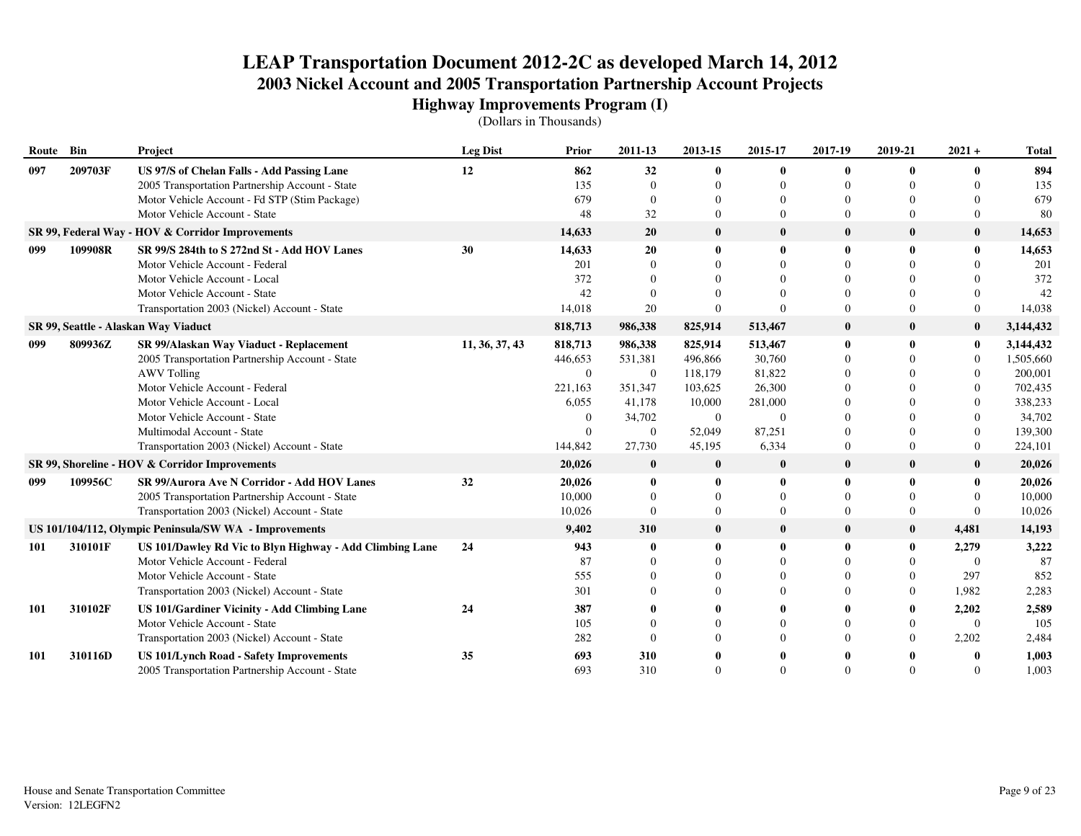| Route Bin  |         | Project                                                                                       | <b>Leg Dist</b> | Prior          | 2011-13        | 2013-15                  | 2015-17        | 2017-19                  | 2019-21      | $2021 +$       | <b>Total</b> |
|------------|---------|-----------------------------------------------------------------------------------------------|-----------------|----------------|----------------|--------------------------|----------------|--------------------------|--------------|----------------|--------------|
| 097        | 209703F | US 97/S of Chelan Falls - Add Passing Lane<br>2005 Transportation Partnership Account - State | 12              | 862<br>135     | 32<br>$\Omega$ | $\mathbf{0}$<br>$\Omega$ | 0              | $\mathbf{0}$<br>$\Omega$ | $\mathbf{0}$ | 0<br>$\Omega$  | 894<br>135   |
|            |         | Motor Vehicle Account - Fd STP (Stim Package)                                                 |                 | 679            | $\Omega$       | 0                        |                | $\Omega$                 |              | 0              | 679          |
|            |         | Motor Vehicle Account - State                                                                 |                 | 48             | 32             | $\Omega$                 | 0              | $\Omega$                 | $\Omega$     | $\Omega$       | 80           |
|            |         | SR 99, Federal Way - HOV & Corridor Improvements                                              |                 | 14,633         | 20             | $\bf{0}$                 | $\bf{0}$       | $\bf{0}$                 | $\bf{0}$     | $\bf{0}$       | 14,653       |
| 099        | 109908R | SR 99/S 284th to S 272nd St - Add HOV Lanes                                                   | 30              | 14,633         | 20             | $\mathbf{0}$             | 0              | $\mathbf{0}$             | $\mathbf{0}$ | 0              | 14,653       |
|            |         | Motor Vehicle Account - Federal                                                               |                 | 201            |                |                          |                |                          |              | $\Omega$       | 201          |
|            |         | Motor Vehicle Account - Local                                                                 |                 | 372            |                |                          |                | $\Omega$                 |              | $\Omega$       | 372          |
|            |         | Motor Vehicle Account - State                                                                 |                 | 42             | $\Omega$       |                          |                | $\Omega$                 |              | $\Omega$       | 42           |
|            |         | Transportation 2003 (Nickel) Account - State                                                  |                 | 14,018         | 20             | $\Omega$                 |                | $\Omega$                 | $\Omega$     | $\Omega$       | 14,038       |
|            |         | SR 99, Seattle - Alaskan Way Viaduct                                                          |                 | 818,713        | 986,338        | 825,914                  | 513,467        | $\mathbf{0}$             | $\bf{0}$     | $\bf{0}$       | 3,144,432    |
| 099        | 809936Z | SR 99/Alaskan Way Viaduct - Replacement                                                       | 11, 36, 37, 43  | 818,713        | 986,338        | 825,914                  | 513,467        | $\mathbf{0}$             | $\mathbf{0}$ | $\bf{0}$       | 3,144,432    |
|            |         | 2005 Transportation Partnership Account - State                                               |                 | 446,653        | 531,381        | 496,866                  | 30,760         | $\Omega$                 |              | $\Omega$       | 1,505,660    |
|            |         | <b>AWV Tolling</b>                                                                            |                 | $\overline{0}$ | $\overline{0}$ | 118,179                  | 81,822         | $\Omega$                 |              | $\mathbf{0}$   | 200,001      |
|            |         | Motor Vehicle Account - Federal                                                               |                 | 221,163        | 351,347        | 103,625                  | 26,300         | $\Omega$                 |              | $\Omega$       | 702,435      |
|            |         | Motor Vehicle Account - Local                                                                 |                 | 6,055          | 41,178         | 10,000                   | 281,000        | $\Omega$                 |              | $\Omega$       | 338,233      |
|            |         | Motor Vehicle Account - State                                                                 |                 | $\theta$       | 34,702         | $\overline{0}$           | $\overline{0}$ | $\Omega$                 |              | $\Omega$       | 34,702       |
|            |         | Multimodal Account - State                                                                    |                 | $\Omega$       | $\Omega$       | 52,049                   | 87,251         | $\Omega$                 | $\Omega$     | $\Omega$       | 139,300      |
|            |         | Transportation 2003 (Nickel) Account - State                                                  |                 | 144,842        | 27,730         | 45,195                   | 6,334          | $\overline{0}$           | $\Omega$     | $\overline{0}$ | 224,101      |
|            |         | SR 99, Shoreline - HOV & Corridor Improvements                                                |                 | 20,026         | $\bf{0}$       | $\bf{0}$                 | $\bf{0}$       | $\bf{0}$                 | $\bf{0}$     | $\bf{0}$       | 20,026       |
| 099        | 109956C | SR 99/Aurora Ave N Corridor - Add HOV Lanes                                                   | 32              | 20,026         | $\mathbf{0}$   | $\mathbf{0}$             | 0              | $\mathbf{0}$             | $\bf{0}$     | $\mathbf{0}$   | 20,026       |
|            |         | 2005 Transportation Partnership Account - State                                               |                 | 10,000         | $\Omega$       | $\Omega$                 | $\Omega$       | $\Omega$                 | $\mathbf{0}$ | $\Omega$       | 10,000       |
|            |         | Transportation 2003 (Nickel) Account - State                                                  |                 | 10,026         | $\Omega$       | $\Omega$                 | $\Omega$       | $\Omega$                 | $\mathbf{0}$ | $\Omega$       | 10,026       |
|            |         | US 101/104/112, Olympic Peninsula/SW WA - Improvements                                        |                 | 9,402          | 310            | $\bf{0}$                 | $\bf{0}$       | $\bf{0}$                 | $\bf{0}$     | 4,481          | 14,193       |
| 101        | 310101F | US 101/Dawley Rd Vic to Blyn Highway - Add Climbing Lane                                      | 24              | 943            | $\mathbf 0$    | $\mathbf{0}$             | 0              | $\mathbf{0}$             | $\bf{0}$     | 2,279          | 3,222        |
|            |         | Motor Vehicle Account - Federal                                                               |                 | 87             |                | 0                        |                | $\Omega$                 |              | $\Omega$       | 87           |
|            |         | Motor Vehicle Account - State                                                                 |                 | 555            |                | $\Omega$                 |                | $\Omega$                 | $\Omega$     | 297            | 852          |
|            |         | Transportation 2003 (Nickel) Account - State                                                  |                 | 301            |                | $\Omega$                 |                | $\Omega$                 | $\mathbf{0}$ | 1,982          | 2,283        |
| <b>101</b> | 310102F | US 101/Gardiner Vicinity - Add Climbing Lane                                                  | 24              | 387            |                |                          |                |                          |              | 2,202          | 2,589        |
|            |         | Motor Vehicle Account - State                                                                 |                 | 105            |                |                          |                | $\Omega$                 | $\Omega$     | $\overline{0}$ | 105          |
|            |         | Transportation 2003 (Nickel) Account - State                                                  |                 | 282            | $\Omega$       | 0                        |                | $\Omega$                 | $\left($     | 2,202          | 2,484        |
| <b>101</b> | 310116D | <b>US 101/Lynch Road - Safety Improvements</b>                                                | 35              | 693            | 310            |                          |                |                          |              |                | 1,003        |
|            |         | 2005 Transportation Partnership Account - State                                               |                 | 693            | 310            | $\Omega$                 |                | $\Omega$                 | $\Omega$     | $\Omega$       | 1,003        |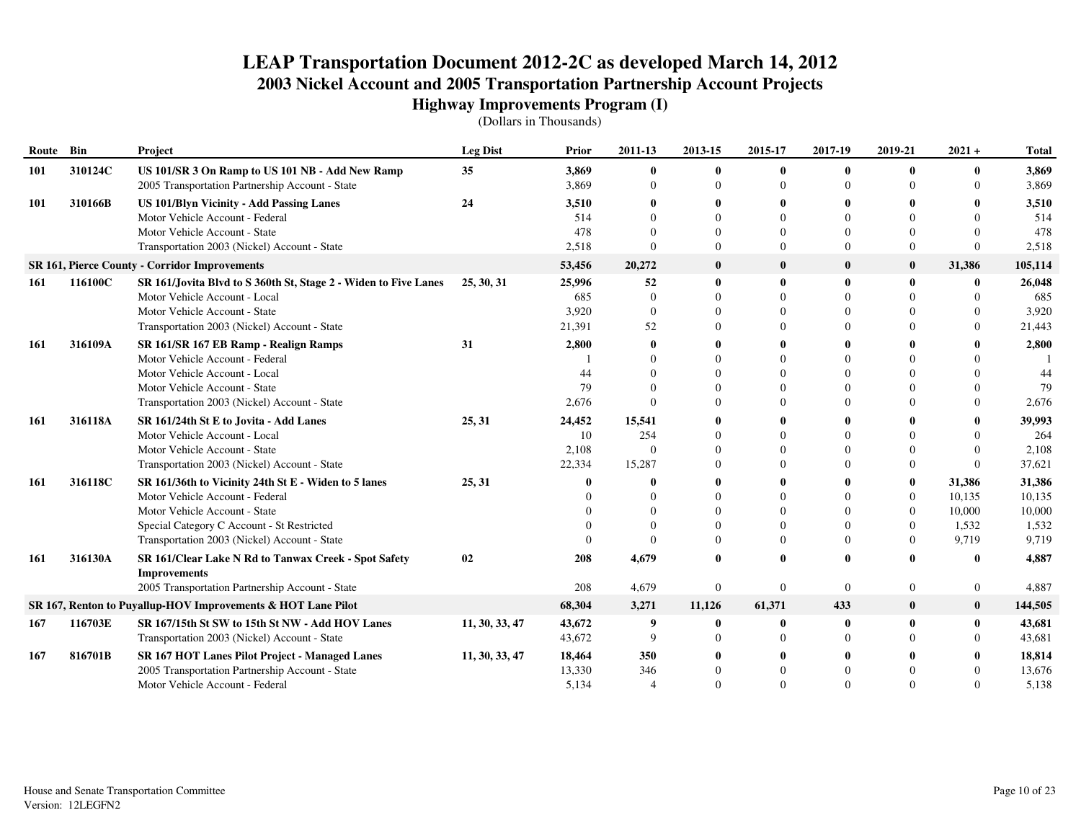| Route | Bin     | Project                                                                                            | <b>Leg Dist</b> | <b>Prior</b>   | 2011-13                  | 2013-15        | 2015-17        | 2017-19      | 2019-21        | $2021 +$       | <b>Total</b>   |
|-------|---------|----------------------------------------------------------------------------------------------------|-----------------|----------------|--------------------------|----------------|----------------|--------------|----------------|----------------|----------------|
| 101   | 310124C | US 101/SR 3 On Ramp to US 101 NB - Add New Ramp<br>2005 Transportation Partnership Account - State | 35              | 3,869<br>3,869 | $\mathbf{0}$<br>$\Omega$ | 0<br>$\Omega$  | 0<br>0         | $\Omega$     |                | 0<br>$\Omega$  | 3,869<br>3,869 |
| 101   | 310166B | <b>US 101/Blyn Vicinity - Add Passing Lanes</b>                                                    | 24              | 3,510          | 0                        |                | 0              |              |                |                | 3,510          |
|       |         | Motor Vehicle Account - Federal                                                                    |                 | 514            | $\Omega$                 |                | $\Omega$       | $\Omega$     |                | $\Omega$       | 514            |
|       |         | Motor Vehicle Account - State                                                                      |                 | 478            | $\Omega$                 |                | $\Omega$       | $\Omega$     |                | $\Omega$       | 478            |
|       |         | Transportation 2003 (Nickel) Account - State                                                       |                 | 2,518          | $\Omega$                 |                | $\theta$       | $\Omega$     | $\Omega$       | $\Omega$       | 2,518          |
|       |         | <b>SR 161, Pierce County - Corridor Improvements</b>                                               |                 | 53,456         | 20,272                   | $\bf{0}$       | $\bf{0}$       | $\mathbf{0}$ | $\bf{0}$       | 31,386         | 105,114        |
| 161   | 116100C | SR 161/Jovita Blvd to S 360th St, Stage 2 - Widen to Five Lanes                                    | 25, 30, 31      | 25,996         | 52                       | $\mathbf{0}$   | 0              | 0            | $\mathbf{0}$   | $\bf{0}$       | 26,048         |
|       |         | Motor Vehicle Account - Local                                                                      |                 | 685            | $\Omega$                 |                | $\Omega$       |              |                | $\Omega$       | 685            |
|       |         | Motor Vehicle Account - State                                                                      |                 | 3,920          | $\Omega$                 |                | $\Omega$       | $\Omega$     |                | $\theta$       | 3,920          |
|       |         | Transportation 2003 (Nickel) Account - State                                                       |                 | 21,391         | 52                       |                | $\Omega$       | $\Omega$     |                | $\theta$       | 21,443         |
| 161   | 316109A | SR 161/SR 167 EB Ramp - Realign Ramps                                                              | 31              | 2,800          | 0                        |                | 0              |              |                |                | 2,800          |
|       |         | Motor Vehicle Account - Federal                                                                    |                 |                |                          |                | $\Omega$       |              |                |                |                |
|       |         | Motor Vehicle Account - Local                                                                      |                 | 44             |                          |                | $\Omega$       | $\Omega$     |                | $\Omega$       | 44             |
|       |         | Motor Vehicle Account - State                                                                      |                 | 79             | $\Omega$                 |                | $\Omega$       | $\Omega$     |                | $\Omega$       | 79             |
|       |         | Transportation 2003 (Nickel) Account - State                                                       |                 | 2,676          | $\Omega$                 |                | $\Omega$       | $\Omega$     |                | $\Omega$       | 2,676          |
| 161   | 316118A | SR 161/24th St E to Jovita - Add Lanes                                                             | 25, 31          | 24,452         | 15,541                   |                | 0              |              |                | 0              | 39,993         |
|       |         | Motor Vehicle Account - Local                                                                      |                 | 10             | 254                      |                | $\Omega$       |              |                | $\Omega$       | 264            |
|       |         | Motor Vehicle Account - State                                                                      |                 | 2,108          | $\Omega$                 |                | $\Omega$       |              |                | $\Omega$       | 2,108          |
|       |         | Transportation 2003 (Nickel) Account - State                                                       |                 | 22,334         | 15,287                   |                | $\Omega$       | $\Omega$     | $\Omega$       | $\Omega$       | 37,621         |
| 161   | 316118C | SR 161/36th to Vicinity 24th St E - Widen to 5 lanes                                               | 25, 31          |                | $\mathbf{0}$             |                | 0              |              | $\bf{0}$       | 31,386         | 31,386         |
|       |         | Motor Vehicle Account - Federal                                                                    |                 |                | $\Omega$                 |                | $\Omega$       | $\Omega$     | $\overline{0}$ | 10,135         | 10,135         |
|       |         | Motor Vehicle Account - State                                                                      |                 |                | $\Omega$                 |                | $\Omega$       | $\Omega$     | $\overline{0}$ | 10,000         | 10,000         |
|       |         | Special Category C Account - St Restricted                                                         |                 |                | $\Omega$                 |                | $\Omega$       | $\Omega$     | $\overline{0}$ | 1,532          | 1,532          |
|       |         | Transportation 2003 (Nickel) Account - State                                                       |                 |                | $\Omega$                 |                | $\Omega$       | $\Omega$     | $\Omega$       | 9,719          | 9,719          |
| 161   | 316130A | SR 161/Clear Lake N Rd to Tanwax Creek - Spot Safety<br><b>Improvements</b>                        | 02              | 208            | 4,679                    |                | 0              | $\Omega$     |                | 0              | 4,887          |
|       |         | 2005 Transportation Partnership Account - State                                                    |                 | 208            | 4,679                    | $\overline{0}$ | $\overline{0}$ | $\theta$     | $\theta$       | $\overline{0}$ | 4,887          |
|       |         | SR 167, Renton to Puyallup-HOV Improvements & HOT Lane Pilot                                       |                 | 68,304         | 3,271                    | 11,126         | 61,371         | 433          | $\bf{0}$       | $\bf{0}$       | 144,505        |
| 167   | 116703E | SR 167/15th St SW to 15th St NW - Add HOV Lanes                                                    | 11, 30, 33, 47  | 43,672         | 9                        | $\mathbf 0$    | 0              | 0            |                | $\mathbf{0}$   | 43,681         |
|       |         | Transportation 2003 (Nickel) Account - State                                                       |                 | 43,672         | 9                        |                | $\Omega$       | $\Omega$     |                | $\Omega$       | 43,681         |
| 167   | 816701B | <b>SR 167 HOT Lanes Pilot Project - Managed Lanes</b>                                              | 11, 30, 33, 47  | 18,464         | 350                      |                |                |              |                |                | 18,814         |
|       |         | 2005 Transportation Partnership Account - State                                                    |                 | 13,330         | 346                      |                |                |              |                |                | 13,676         |
|       |         | Motor Vehicle Account - Federal                                                                    |                 | 5.134          | $\overline{4}$           |                | $\Omega$       |              |                | $\Omega$       | 5,138          |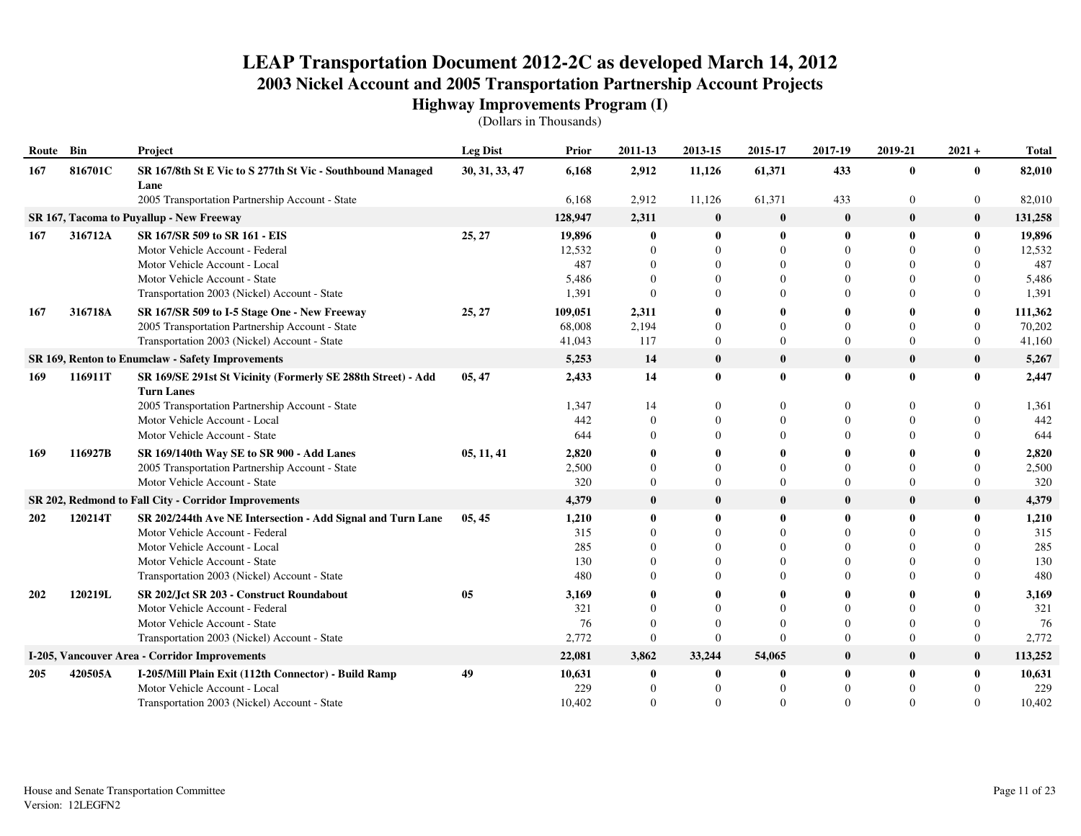| Route Bin |         | Project                                                                           | <b>Leg Dist</b> | Prior   | 2011-13      | 2013-15          | 2015-17  | 2017-19          | 2019-21        | $2021 +$       | <b>Total</b> |
|-----------|---------|-----------------------------------------------------------------------------------|-----------------|---------|--------------|------------------|----------|------------------|----------------|----------------|--------------|
| 167       | 816701C | SR 167/8th St E Vic to S 277th St Vic - Southbound Managed<br>Lane                | 30, 31, 33, 47  | 6,168   | 2,912        | 11,126           | 61,371   | 433              | $\bf{0}$       | 0              | 82,010       |
|           |         | 2005 Transportation Partnership Account - State                                   |                 | 6,168   | 2,912        | 11,126           | 61,371   | 433              | $\overline{0}$ | $\overline{0}$ | 82,010       |
|           |         | SR 167, Tacoma to Puyallup - New Freeway                                          |                 | 128,947 | 2,311        | $\bf{0}$         | $\bf{0}$ | $\bf{0}$         | $\bf{0}$       | $\bf{0}$       | 131,258      |
| 167       | 316712A | SR 167/SR 509 to SR 161 - EIS                                                     | 25, 27          | 19,896  | $\mathbf{0}$ | $\mathbf{0}$     | 0        | $\mathbf 0$      | $\mathbf{0}$   | $\mathbf{0}$   | 19,896       |
|           |         | Motor Vehicle Account - Federal                                                   |                 | 12,532  | $\theta$     | $\Omega$         | $\Omega$ | $\Omega$         | $\Omega$       | $\Omega$       | 12,532       |
|           |         | Motor Vehicle Account - Local                                                     |                 | 487     | $\Omega$     | $\Omega$         | $\Omega$ | $\Omega$         | $\Omega$       |                | 487          |
|           |         | Motor Vehicle Account - State                                                     |                 | 5,486   | $\Omega$     | $\Omega$         | $\Omega$ | $\Omega$         | $\Omega$       | 0              | 5,486        |
|           |         | Transportation 2003 (Nickel) Account - State                                      |                 | 1,391   | $\Omega$     | $\Omega$         | $\Omega$ | $\Omega$         | $\Omega$       | $\Omega$       | 1,391        |
| 167       | 316718A | SR 167/SR 509 to I-5 Stage One - New Freeway                                      | 25, 27          | 109,051 | 2,311        | 0                |          | $\mathbf 0$      | 0              | 0              | 111,362      |
|           |         | 2005 Transportation Partnership Account - State                                   |                 | 68,008  | 2,194        | $\Omega$         | $\Omega$ | $\Omega$         | $\Omega$       | $\Omega$       | 70,202       |
|           |         | Transportation 2003 (Nickel) Account - State                                      |                 | 41,043  | 117          | $\boldsymbol{0}$ | $\Omega$ | $\Omega$         | $\Omega$       | $\overline{0}$ | 41,160       |
|           |         | SR 169, Renton to Enumclaw - Safety Improvements                                  |                 | 5,253   | 14           | $\mathbf{0}$     | $\bf{0}$ | $\bf{0}$         | $\bf{0}$       | $\bf{0}$       | 5,267        |
| 169       | 116911T | SR 169/SE 291st St Vicinity (Formerly SE 288th Street) - Add<br><b>Turn Lanes</b> | 05, 47          | 2,433   | 14           | $\bf{0}$         | $\bf{0}$ | $\boldsymbol{0}$ | $\bf{0}$       | $\mathbf{0}$   | 2,447        |
|           |         | 2005 Transportation Partnership Account - State                                   |                 | 1,347   | 14           | $\theta$         | $\theta$ | $\Omega$         | $\Omega$       |                | 1,361        |
|           |         | Motor Vehicle Account - Local                                                     |                 | 442     | $\theta$     | $\Omega$         | $\Omega$ | $\theta$         | $\Omega$       | $\Omega$       | 442          |
|           |         | Motor Vehicle Account - State                                                     |                 | 644     | $\Omega$     | $\Omega$         | $\Omega$ | $\Omega$         | $\Omega$       | 0              | 644          |
| 169       | 116927B | SR 169/140th Way SE to SR 900 - Add Lanes                                         | 05, 11, 41      | 2,820   |              |                  |          | 0                |                |                | 2,820        |
|           |         | 2005 Transportation Partnership Account - State                                   |                 | 2,500   | $\theta$     | $\Omega$         | $\Omega$ | $\Omega$         | $\Omega$       | $\Omega$       | 2,500        |
|           |         | Motor Vehicle Account - State                                                     |                 | 320     | $\Omega$     | $\Omega$         | $\Omega$ | $\Omega$         | $\Omega$       | $\Omega$       | 320          |
|           |         | SR 202, Redmond to Fall City - Corridor Improvements                              |                 | 4,379   | $\bf{0}$     | $\bf{0}$         | $\bf{0}$ | $\boldsymbol{0}$ | $\bf{0}$       | $\bf{0}$       | 4,379        |
| 202       | 120214T | SR 202/244th Ave NE Intersection - Add Signal and Turn Lane                       | 05, 45          | 1,210   | $\mathbf{0}$ | $\bf{0}$         | 0        | $\mathbf 0$      | $\mathbf{0}$   | 0              | 1,210        |
|           |         | Motor Vehicle Account - Federal                                                   |                 | 315     | $\Omega$     | $\Omega$         | $\Omega$ | $\Omega$         | $\Omega$       | 0              | 315          |
|           |         | Motor Vehicle Account - Local                                                     |                 | 285     | $\Omega$     | $\Omega$         | $\Omega$ | $\Omega$         | $\Omega$       | $\Omega$       | 285          |
|           |         | Motor Vehicle Account - State                                                     |                 | 130     | $\Omega$     | 0                | $\Omega$ | $\Omega$         | $\Omega$       | 0              | 130          |
|           |         | Transportation 2003 (Nickel) Account - State                                      |                 | 480     | $\Omega$     | $\Omega$         | $\Omega$ | $\Omega$         | $\Omega$       | 0              | 480          |
| 202       | 120219L | SR 202/Jct SR 203 - Construct Roundabout                                          | 05              | 3,169   | 0            | 0                |          | $\mathbf 0$      | 0              |                | 3,169        |
|           |         | Motor Vehicle Account - Federal                                                   |                 | 321     | $\Omega$     | $\Omega$         | $\Omega$ |                  | $\Omega$       |                | 321          |
|           |         | Motor Vehicle Account - State                                                     |                 | 76      | $\Omega$     | $\Omega$         | $\Omega$ | $\Omega$         | $\Omega$       | $\Omega$       | 76           |
|           |         | Transportation 2003 (Nickel) Account - State                                      |                 | 2,772   | $\Omega$     | $\theta$         | $\Omega$ | $\Omega$         | $\Omega$       | $\theta$       | 2,772        |
|           |         | I-205, Vancouver Area - Corridor Improvements                                     |                 | 22,081  | 3,862        | 33,244           | 54,065   | $\boldsymbol{0}$ | $\bf{0}$       | $\bf{0}$       | 113,252      |
| 205       | 420505A | I-205/Mill Plain Exit (112th Connector) - Build Ramp                              | 49              | 10,631  | $\mathbf{0}$ | $\bf{0}$         | 0        | $\mathbf 0$      | 0              | $\mathbf{0}$   | 10,631       |
|           |         | Motor Vehicle Account - Local                                                     |                 | 229     | $\Omega$     | $\Omega$         | $\Omega$ | $\Omega$         | $\Omega$       |                | 229          |
|           |         | Transportation 2003 (Nickel) Account - State                                      |                 | 10.402  | $\Omega$     | $\Omega$         | $\Omega$ | $\Omega$         | $\Omega$       | $\Omega$       | 10,402       |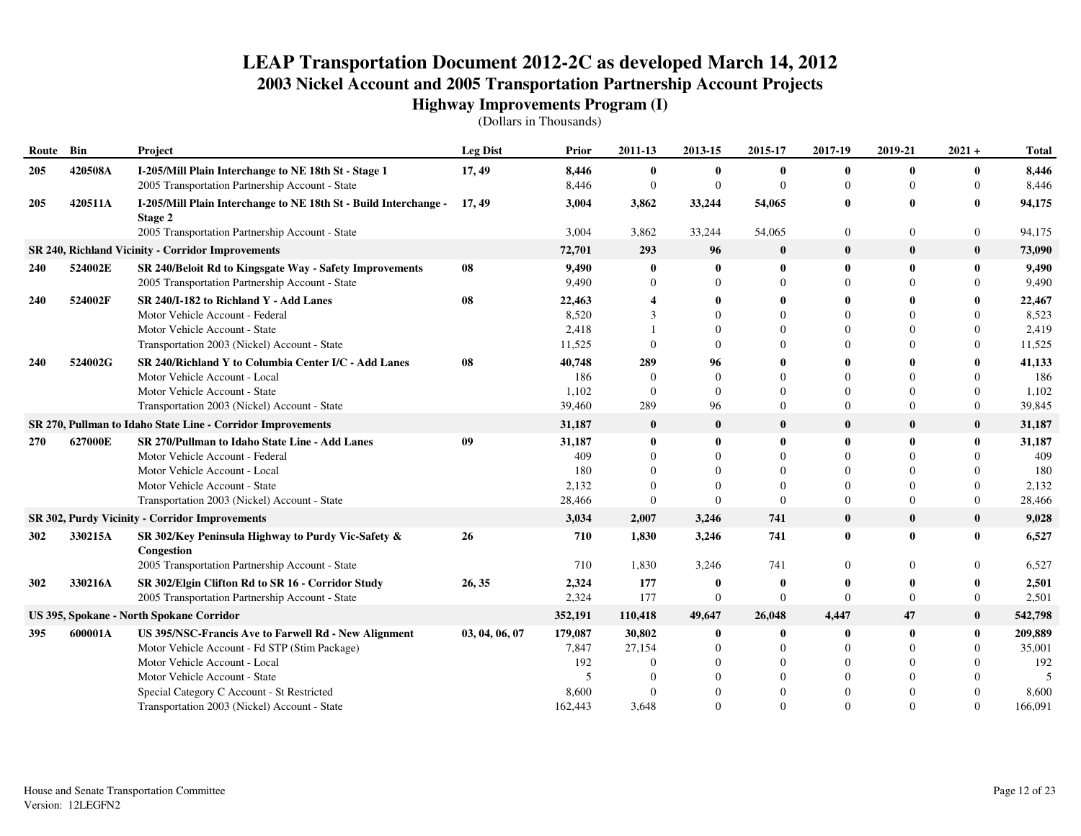| Route      | Bin     | Project                                                                     | <b>Leg Dist</b> | Prior   | 2011-13        | 2013-15      | 2015-17        | 2017-19        | 2019-21      | $2021 +$         | <b>Total</b> |
|------------|---------|-----------------------------------------------------------------------------|-----------------|---------|----------------|--------------|----------------|----------------|--------------|------------------|--------------|
| 205        | 420508A | I-205/Mill Plain Interchange to NE 18th St - Stage 1                        | 17, 49          | 8,446   | $\bf{0}$       | $\bf{0}$     | $\bf{0}$       | $\bf{0}$       | $\bf{0}$     | $\mathbf{0}$     | 8,446        |
|            |         | 2005 Transportation Partnership Account - State                             |                 | 8,446   | $\overline{0}$ | $\mathbf{0}$ | $\Omega$       | $\Omega$       | $\mathbf{0}$ | $\Omega$         | 8,446        |
| 205        | 420511A | I-205/Mill Plain Interchange to NE 18th St - Build Interchange -<br>Stage 2 | 17, 49          | 3,004   | 3,862          | 33,244       | 54,065         | $\bf{0}$       | $\bf{0}$     | $\mathbf{0}$     | 94,175       |
|            |         | 2005 Transportation Partnership Account - State                             |                 | 3,004   | 3,862          | 33,244       | 54,065         | $\overline{0}$ | $\mathbf{0}$ | $\boldsymbol{0}$ | 94,175       |
|            |         | <b>SR 240, Richland Vicinity - Corridor Improvements</b>                    |                 | 72,701  | 293            | 96           | $\bf{0}$       | $\bf{0}$       | $\bf{0}$     | $\bf{0}$         | 73,090       |
| 240        | 524002E | SR 240/Beloit Rd to Kingsgate Way - Safety Improvements                     | 08              | 9,490   | $\mathbf{0}$   | $\mathbf{0}$ | $\bf{0}$       | $\bf{0}$       | $\bf{0}$     | $\bf{0}$         | 9,490        |
|            |         | 2005 Transportation Partnership Account - State                             |                 | 9,490   | $\Omega$       | $\Omega$     | $\Omega$       | $\Omega$       |              | $\Omega$         | 9,490        |
| <b>240</b> | 524002F | SR 240/I-182 to Richland Y - Add Lanes                                      | 08              | 22,463  |                |              | 0              | $\mathbf 0$    |              | $\mathbf{0}$     | 22,467       |
|            |         | Motor Vehicle Account - Federal                                             |                 | 8,520   | 3              | $\Omega$     | $\Omega$       | $\Omega$       |              | $\Omega$         | 8,523        |
|            |         | Motor Vehicle Account - State                                               |                 | 2,418   |                | $\Omega$     | 0              | $\Omega$       |              | $\Omega$         | 2,419        |
|            |         | Transportation 2003 (Nickel) Account - State                                |                 | 11,525  | $\Omega$       | $\Omega$     | 0              | $\Omega$       |              | $\Omega$         | 11,525       |
| 240        | 524002G | SR 240/Richland Y to Columbia Center I/C - Add Lanes                        | 08              | 40,748  | 289            | 96           | 0              | $\mathbf 0$    |              | $\bf{0}$         | 41,133       |
|            |         | Motor Vehicle Account - Local                                               |                 | 186     | $\Omega$       | $\mathbf{0}$ | $\Omega$       | $\Omega$       |              | $\Omega$         | 186          |
|            |         | Motor Vehicle Account - State                                               |                 | 1,102   | $\theta$       | $\Omega$     | $\Omega$       | $\Omega$       | $\Omega$     | $\Omega$         | 1,102        |
|            |         | Transportation 2003 (Nickel) Account - State                                |                 | 39,460  | 289            | 96           | 0              | $\Omega$       | $\mathbf{0}$ | $\overline{0}$   | 39,845       |
|            |         | SR 270, Pullman to Idaho State Line - Corridor Improvements                 |                 | 31,187  | $\bf{0}$       | $\bf{0}$     | $\bf{0}$       | $\mathbf{0}$   | $\bf{0}$     | $\bf{0}$         | 31,187       |
| 270        | 627000E | SR 270/Pullman to Idaho State Line - Add Lanes                              | 09              | 31,187  | $\mathbf{0}$   | $\bf{0}$     | 0              | $\mathbf{0}$   | $\bf{0}$     | $\bf{0}$         | 31,187       |
|            |         | Motor Vehicle Account - Federal                                             |                 | 409     | $\Omega$       | $\Omega$     | 0              | $\Omega$       | $\Omega$     | $\Omega$         | 409          |
|            |         | Motor Vehicle Account - Local                                               |                 | 180     | $\Omega$       | $\Omega$     | $\Omega$       | $\Omega$       |              | $\Omega$         | 180          |
|            |         | Motor Vehicle Account - State                                               |                 | 2,132   | $\Omega$       | $\Omega$     | $\Omega$       | $\Omega$       | $\Omega$     | $\Omega$         | 2,132        |
|            |         | Transportation 2003 (Nickel) Account - State                                |                 | 28,466  | $\theta$       | $\Omega$     | $\Omega$       | $\Omega$       | $\Omega$     | $\theta$         | 28,466       |
|            |         | SR 302, Purdy Vicinity - Corridor Improvements                              |                 | 3,034   | 2,007          | 3,246        | 741            | $\bf{0}$       | $\bf{0}$     | $\bf{0}$         | 9,028        |
| 302        | 330215A | SR 302/Key Peninsula Highway to Purdy Vic-Safety &<br>Congestion            | 26              | 710     | 1,830          | 3,246        | 741            | $\bf{0}$       | $\bf{0}$     | $\bf{0}$         | 6,527        |
|            |         | 2005 Transportation Partnership Account - State                             |                 | 710     | 1,830          | 3,246        | 741            | $\overline{0}$ | $\Omega$     | $\Omega$         | 6,527        |
| 302        | 330216A | SR 302/Elgin Clifton Rd to SR 16 - Corridor Study                           | 26, 35          | 2,324   | 177            | $\mathbf{0}$ | 0              | $\mathbf 0$    |              | $\mathbf{0}$     | 2,501        |
|            |         | 2005 Transportation Partnership Account - State                             |                 | 2,324   | 177            | $\mathbf{0}$ | $\Omega$       | $\Omega$       | $\Omega$     | $\overline{0}$   | 2,501        |
|            |         | US 395, Spokane - North Spokane Corridor                                    |                 | 352,191 | 110,418        | 49,647       | 26,048         | 4,447          | 47           | $\bf{0}$         | 542,798      |
| 395        | 600001A | US 395/NSC-Francis Ave to Farwell Rd - New Alignment                        | 03, 04, 06, 07  | 179,087 | 30,802         | $\bf{0}$     | $\bf{0}$       | $\mathbf 0$    | $\bf{0}$     | $\bf{0}$         | 209,889      |
|            |         | Motor Vehicle Account - Fd STP (Stim Package)                               |                 | 7,847   | 27,154         | $\mathbf{0}$ | $\overline{0}$ | $\overline{0}$ | $\Omega$     | $\theta$         | 35,001       |
|            |         | Motor Vehicle Account - Local                                               |                 | 192     | $\Omega$       | 0            | $\Omega$       | $\Omega$       |              | $\theta$         | 192          |
|            |         | Motor Vehicle Account - State                                               |                 | 5       | $\Omega$       |              |                | $\Omega$       |              | $\Omega$         |              |
|            |         | Special Category C Account - St Restricted                                  |                 | 8,600   | $\Omega$       |              |                | $\Omega$       |              | $\Omega$         | 8,600        |
|            |         | Transportation 2003 (Nickel) Account - State                                |                 | 162,443 | 3,648          | $\Omega$     | $\Omega$       | $\Omega$       | $\Omega$     | $\Omega$         | 166,091      |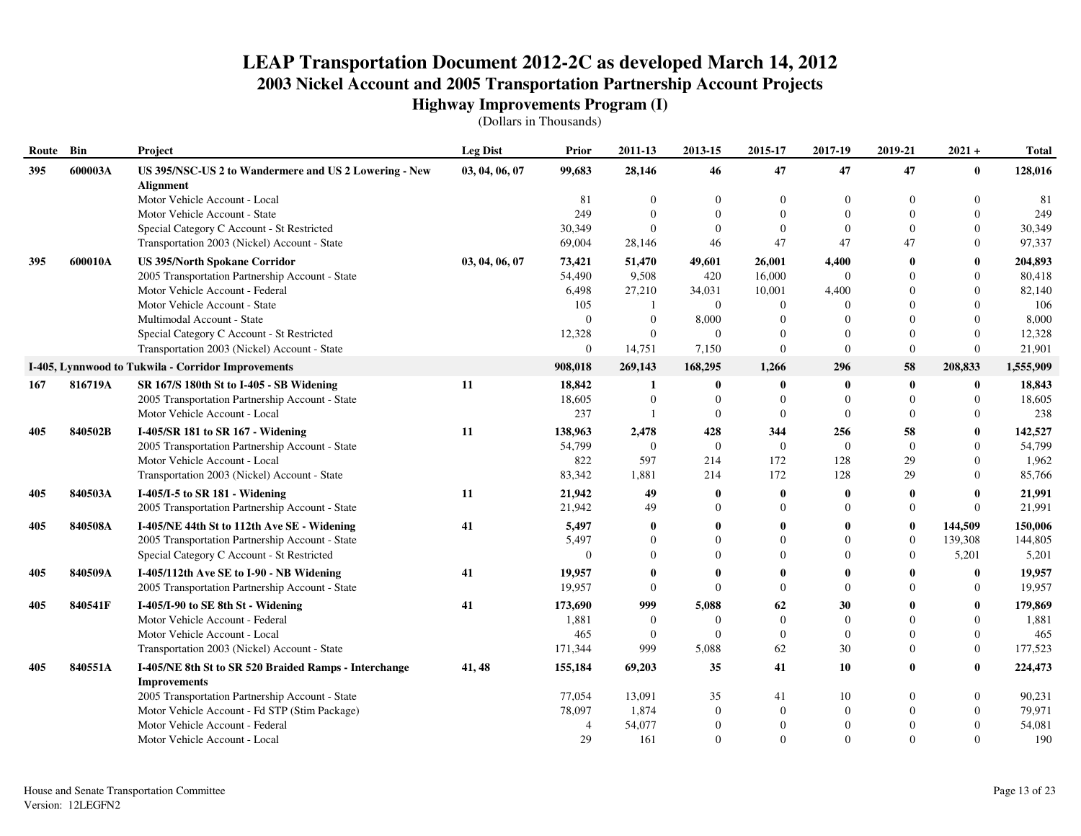| Route | Bin     | Project                                                                   | <b>Leg Dist</b> | <b>Prior</b>   | 2011-13          | 2013-15      | 2015-17        | 2017-19        | 2019-21        | $2021 +$     | <b>Total</b> |
|-------|---------|---------------------------------------------------------------------------|-----------------|----------------|------------------|--------------|----------------|----------------|----------------|--------------|--------------|
| 395   | 600003A | US 395/NSC-US 2 to Wandermere and US 2 Lowering - New<br><b>Alignment</b> | 03, 04, 06, 07  | 99,683         | 28,146           | 46           | 47             | 47             | 47             | $\bf{0}$     | 128,016      |
|       |         | Motor Vehicle Account - Local                                             |                 | 81             | $\Omega$         | $\Omega$     | $\overline{0}$ | $\overline{0}$ | $\mathbf{0}$   | $\mathbf{0}$ | 81           |
|       |         | Motor Vehicle Account - State                                             |                 | 249            | $\Omega$         |              | $\Omega$       | $\Omega$       | $\Omega$       | $\Omega$     | 249          |
|       |         | Special Category C Account - St Restricted                                |                 | 30,349         | $\Omega$         | $\Omega$     | $\Omega$       | $\Omega$       | $\Omega$       | $\Omega$     | 30,349       |
|       |         | Transportation 2003 (Nickel) Account - State                              |                 | 69,004         | 28,146           | 46           | 47             | 47             | 47             | $\Omega$     | 97,337       |
| 395   | 600010A | <b>US 395/North Spokane Corridor</b>                                      | 03, 04, 06, 07  | 73,421         | 51,470           | 49,601       | 26,001         | 4,400          | $\mathbf 0$    | $\mathbf{0}$ | 204,893      |
|       |         | 2005 Transportation Partnership Account - State                           |                 | 54,490         | 9,508            | 420          | 16,000         | $\Omega$       | $\Omega$       | $\Omega$     | 80,418       |
|       |         | Motor Vehicle Account - Federal                                           |                 | 6,498          | 27,210           | 34,031       | 10,001         | 4,400          | $\Omega$       | $\Omega$     | 82,140       |
|       |         | Motor Vehicle Account - State                                             |                 | 105            |                  | $\mathbf{0}$ | $\overline{0}$ | $\Omega$       | $\Omega$       | $\Omega$     | 106          |
|       |         | Multimodal Account - State                                                |                 | $\Omega$       | $\overline{0}$   | 8,000        | $\theta$       | $\Omega$       | $\Omega$       | $\Omega$     | 8,000        |
|       |         | Special Category C Account - St Restricted                                |                 | 12,328         | $\Omega$         | $\theta$     | $\Omega$       | $\Omega$       | $\Omega$       | $\Omega$     | 12,328       |
|       |         | Transportation 2003 (Nickel) Account - State                              |                 | $\overline{0}$ | 14,751           | 7,150        | $\overline{0}$ | $\Omega$       | $\mathbf{0}$   | $\Omega$     | 21,901       |
|       |         | I-405, Lynnwood to Tukwila - Corridor Improvements                        |                 | 908,018        | 269,143          | 168,295      | 1,266          | 296            | 58             | 208,833      | 1,555,909    |
| 167   | 816719A | SR 167/S 180th St to I-405 - SB Widening                                  | 11              | 18,842         | 1                | $\bf{0}$     | $\bf{0}$       | - 0            | $\bf{0}$       | $\bf{0}$     | 18,843       |
|       |         | 2005 Transportation Partnership Account - State                           |                 | 18,605         | $\boldsymbol{0}$ | $\theta$     | $\overline{0}$ | $\theta$       | $\mathbf{0}$   | $\mathbf{0}$ | 18,605       |
|       |         | Motor Vehicle Account - Local                                             |                 | 237            |                  | $\theta$     | $\overline{0}$ | $\Omega$       | $\Omega$       | $\Omega$     | 238          |
| 405   | 840502B | I-405/SR 181 to SR 167 - Widening                                         | 11              | 138,963        | 2,478            | 428          | 344            | 256            | 58             | $\bf{0}$     | 142,527      |
|       |         | 2005 Transportation Partnership Account - State                           |                 | 54,799         | $\Omega$         | $\theta$     | $\overline{0}$ | $\theta$       | $\theta$       | $\Omega$     | 54,799       |
|       |         | Motor Vehicle Account - Local                                             |                 | 822            | 597              | 214          | 172            | 128            | 29             | $\Omega$     | 1,962        |
|       |         | Transportation 2003 (Nickel) Account - State                              |                 | 83,342         | 1,881            | 214          | 172            | 128            | 29             | $\Omega$     | 85,766       |
| 405   | 840503A | I-405/I-5 to SR 181 - Widening                                            | 11              | 21,942         | 49               | $\mathbf 0$  | $\bf{0}$       | $\mathbf 0$    | $\bf{0}$       | $\mathbf{0}$ | 21,991       |
|       |         | 2005 Transportation Partnership Account - State                           |                 | 21,942         | 49               | $\Omega$     | $\Omega$       | $\Omega$       | $\overline{0}$ | $\Omega$     | 21,991       |
| 405   | 840508A | I-405/NE 44th St to 112th Ave SE - Widening                               | 41              | 5,497          | $\bf{0}$         | $\mathbf{0}$ | 0              | $\mathbf{0}$   | $\bf{0}$       | 144,509      | 150,006      |
|       |         | 2005 Transportation Partnership Account - State                           |                 | 5,497          | $\Omega$         | $\Omega$     | $\Omega$       | $\Omega$       | $\mathbf{0}$   | 139,308      | 144,805      |
|       |         | Special Category C Account - St Restricted                                |                 | $\Omega$       | $\Omega$         | $\Omega$     | $\Omega$       | $\Omega$       | $\mathbf{0}$   | 5,201        | 5,201        |
| 405   | 840509A | I-405/112th Ave SE to I-90 - NB Widening                                  | 41              | 19,957         | $\mathbf{0}$     |              | 0              | $\mathbf{0}$   | $\mathbf{0}$   | $\bf{0}$     | 19,957       |
|       |         | 2005 Transportation Partnership Account - State                           |                 | 19,957         | $\Omega$         | $\mathbf{0}$ | $\overline{0}$ | $\theta$       | $\Omega$       | $\mathbf{0}$ | 19,957       |
| 405   | 840541F | I-405/I-90 to SE 8th St - Widening                                        | 41              | 173,690        | 999              | 5,088        | 62             | 30             | $\mathbf{0}$   | $\mathbf{0}$ | 179,869      |
|       |         | Motor Vehicle Account - Federal                                           |                 | 1,881          | $\overline{0}$   | $\Omega$     | $\overline{0}$ | $\overline{0}$ | $\Omega$       | $\mathbf{0}$ | 1,881        |
|       |         | Motor Vehicle Account - Local                                             |                 | 465            | $\overline{0}$   | $\Omega$     | $\overline{0}$ | $\Omega$       | $\Omega$       | $\Omega$     | 465          |
|       |         | Transportation 2003 (Nickel) Account - State                              |                 | 171,344        | 999              | 5,088        | 62             | 30             | $\Omega$       | $\mathbf{0}$ | 177,523      |
| 405   | 840551A | I-405/NE 8th St to SR 520 Braided Ramps - Interchange                     | 41, 48          | 155,184        | 69,203           | 35           | 41             | 10             | $\mathbf{0}$   | 0            | 224,473      |
|       |         | <b>Improvements</b>                                                       |                 |                |                  |              |                |                |                |              |              |
|       |         | 2005 Transportation Partnership Account - State                           |                 | 77,054         | 13,091           | 35           | 41             | 10             | $\Omega$       | $\mathbf{0}$ | 90,231       |
|       |         | Motor Vehicle Account - Fd STP (Stim Package)                             |                 | 78,097         | 1,874            | $\Omega$     | $\Omega$       | $\overline{0}$ |                | $\Omega$     | 79,971       |
|       |         | Motor Vehicle Account - Federal                                           |                 | $\overline{4}$ | 54,077           |              | $\overline{0}$ | $\theta$       |                | $\Omega$     | 54,081       |
|       |         | Motor Vehicle Account - Local                                             |                 | 29             | 161              | $\Omega$     | $\Omega$       | $\Omega$       | $\Omega$       | $\Omega$     | 190          |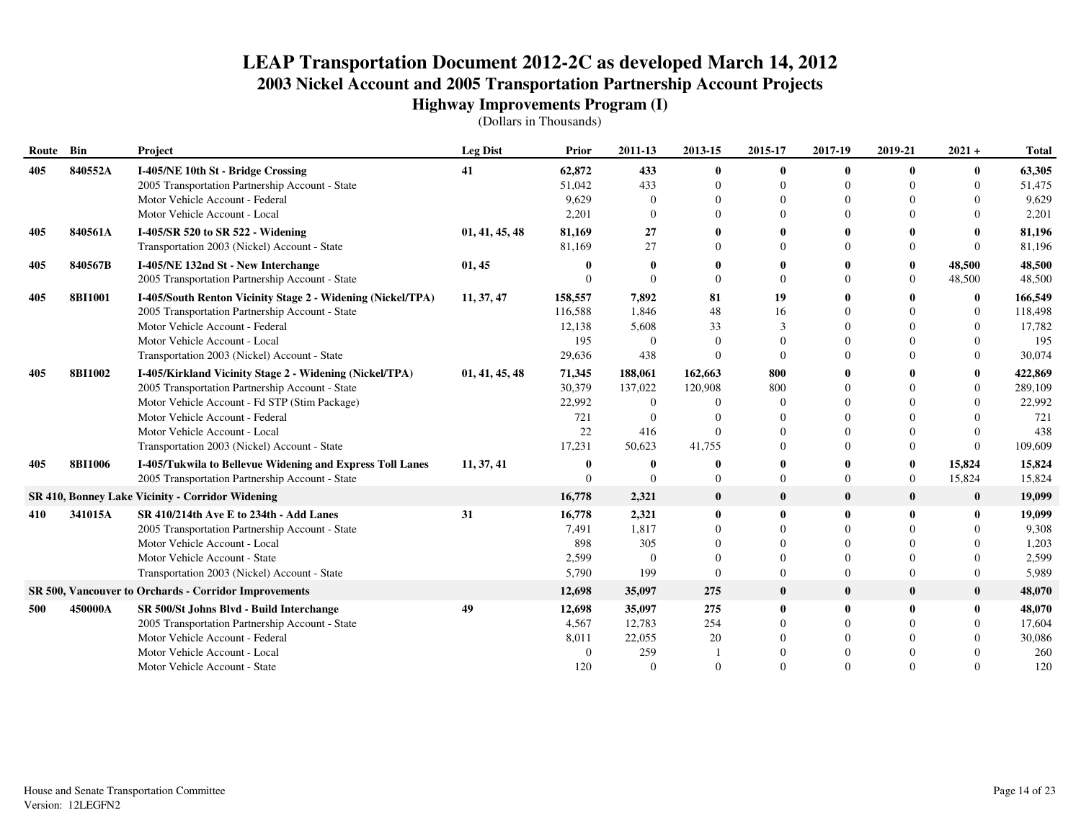| Route Bin |                | Project                                                      | <b>Leg Dist</b> | Prior       | 2011-13        | 2013-15      | 2015-17      | 2017-19      | 2019-21        | $2021 +$       | <b>Total</b> |
|-----------|----------------|--------------------------------------------------------------|-----------------|-------------|----------------|--------------|--------------|--------------|----------------|----------------|--------------|
| 405       | 840552A        | I-405/NE 10th St - Bridge Crossing                           | 41              | 62,872      | 433            | $\bf{0}$     | 0            | $\bf{0}$     | $\mathbf{0}$   | 0              | 63,305       |
|           |                | 2005 Transportation Partnership Account - State              |                 | 51,042      | 433            | $\Omega$     | 0            | $\Omega$     | $\Omega$       | 0              | 51,475       |
|           |                | Motor Vehicle Account - Federal                              |                 | 9,629       | $\Omega$       | $\Omega$     | $\Omega$     | $\Omega$     |                | 0              | 9,629        |
|           |                | Motor Vehicle Account - Local                                |                 | 2,201       | $\Omega$       | $\Omega$     | $\Omega$     | $\Omega$     |                | 0              | 2,201        |
| 405       | 840561A        | I-405/SR 520 to SR 522 - Widening                            | 01, 41, 45, 48  | 81,169      | 27             |              |              |              |                |                | 81,196       |
|           |                | Transportation 2003 (Nickel) Account - State                 |                 | 81,169      | 27             | $\Omega$     | $\Omega$     | $\Omega$     | $\Omega$       | $\Omega$       | 81,196       |
| 405       | 840567B        | I-405/NE 132nd St - New Interchange                          | 01, 45          |             | 0              | 0            |              |              | $\mathbf{0}$   | 48,500         | 48,500       |
|           |                | 2005 Transportation Partnership Account - State              |                 | $\Omega$    | $\Omega$       | $\Omega$     | $\Omega$     | $\Omega$     | $\overline{0}$ | 48,500         | 48,500       |
| 405       | <b>8BI1001</b> | I-405/South Renton Vicinity Stage 2 - Widening (Nickel/TPA)  | 11, 37, 47      | 158,557     | 7,892          | 81           | 19           | $\mathbf 0$  |                | $\bf{0}$       | 166,549      |
|           |                | 2005 Transportation Partnership Account - State              |                 | 116,588     | 1.846          | 48           | 16           | $\Omega$     | $\Omega$       | $\overline{0}$ | 118,498      |
|           |                | Motor Vehicle Account - Federal                              |                 | 12,138      | 5,608          | 33           | 3            | $\Omega$     |                | $\overline{0}$ | 17,782       |
|           |                | Motor Vehicle Account - Local                                |                 | 195         | $\Omega$       | $\Omega$     | $\Omega$     | $\Omega$     |                | 0              | 195          |
|           |                | Transportation 2003 (Nickel) Account - State                 |                 | 29,636      | 438            | $\Omega$     | $\Omega$     | $\Omega$     | $\Omega$       | $\Omega$       | 30,074       |
| 405       | <b>8BI1002</b> | I-405/Kirkland Vicinity Stage 2 - Widening (Nickel/TPA)      | 01, 41, 45, 48  | 71,345      | 188,061        | 162,663      | 800          | $\mathbf{0}$ |                | 0              | 422,869      |
|           |                | 2005 Transportation Partnership Account - State              |                 | 30,379      | 137,022        | 120,908      | 800          | $\Omega$     | $\Omega$       | $\Omega$       | 289,109      |
|           |                | Motor Vehicle Account - Fd STP (Stim Package)                |                 | 22,992      | $\Omega$       | $\Omega$     | $\Omega$     | $\Omega$     | $\Omega$       |                | 22,992       |
|           |                | Motor Vehicle Account - Federal                              |                 | 721         | $\Omega$       |              | 0            | $\Omega$     | $\Omega$       |                | 721          |
|           |                | Motor Vehicle Account - Local                                |                 | 22          | 416            | $\Omega$     | $\Omega$     | $\Omega$     | $\Omega$       | 0              | 438          |
|           |                | Transportation 2003 (Nickel) Account - State                 |                 | 17,231      | 50,623         | 41,755       | $\Omega$     | $\Omega$     | $\overline{0}$ | $\Omega$       | 109,609      |
| 405       | <b>8BI1006</b> | I-405/Tukwila to Bellevue Widening and Express Toll Lanes    | 11, 37, 41      | $\mathbf 0$ | 0              | $\mathbf 0$  | 0            | $\mathbf 0$  | $\bf{0}$       | 15,824         | 15,824       |
|           |                | 2005 Transportation Partnership Account - State              |                 | $\Omega$    | $\Omega$       | $\Omega$     | $\Omega$     | $\Omega$     | $\overline{0}$ | 15,824         | 15,824       |
|           |                | SR 410, Bonney Lake Vicinity - Corridor Widening             |                 | 16,778      | 2,321          | $\bf{0}$     | $\bf{0}$     | $\mathbf{0}$ | $\bf{0}$       | $\bf{0}$       | 19,099       |
| 410       | 341015A        | SR 410/214th Ave E to 234th - Add Lanes                      | 31              | 16,778      | 2,321          | $\bf{0}$     | 0            | $\mathbf 0$  | 0              | 0              | 19,099       |
|           |                | 2005 Transportation Partnership Account - State              |                 | 7,491       | 1,817          | $\Omega$     | $\Omega$     | $\Omega$     | $\Omega$       |                | 9,308        |
|           |                | Motor Vehicle Account - Local                                |                 | 898         | 305            | $\Omega$     | $\Omega$     | $\Omega$     | $\Omega$       |                | 1,203        |
|           |                | Motor Vehicle Account - State                                |                 | 2,599       | $\overline{0}$ | $\Omega$     | $\Omega$     | $\Omega$     | $\Omega$       |                | 2,599        |
|           |                | Transportation 2003 (Nickel) Account - State                 |                 | 5,790       | 199            | $\mathbf{0}$ | $\Omega$     | $\Omega$     | $\Omega$       | $\Omega$       | 5,989        |
|           |                | <b>SR 500, Vancouver to Orchards - Corridor Improvements</b> |                 | 12,698      | 35,097         | 275          | $\bf{0}$     | $\mathbf 0$  | $\bf{0}$       | $\bf{0}$       | 48,070       |
| 500       | 450000A        | SR 500/St Johns Blvd - Build Interchange                     | 49              | 12,698      | 35,097         | 275          | $\mathbf{0}$ | $\mathbf 0$  | $\mathbf{0}$   | $\bf{0}$       | 48,070       |
|           |                | 2005 Transportation Partnership Account - State              |                 | 4,567       | 12,783         | 254          | $\Omega$     | $\Omega$     | $\Omega$       | $\Omega$       | 17,604       |
|           |                | Motor Vehicle Account - Federal                              |                 | 8,011       | 22,055         | 20           | $\Omega$     | $\Omega$     | $\Omega$       |                | 30,086       |
|           |                | Motor Vehicle Account - Local                                |                 | $\Omega$    | 259            |              |              | $\Omega$     | $\Omega$       |                | 260          |
|           |                | Motor Vehicle Account - State                                |                 | 120         | $\Omega$       | $\Omega$     | $\Omega$     | $\Omega$     | $\Omega$       |                | 120          |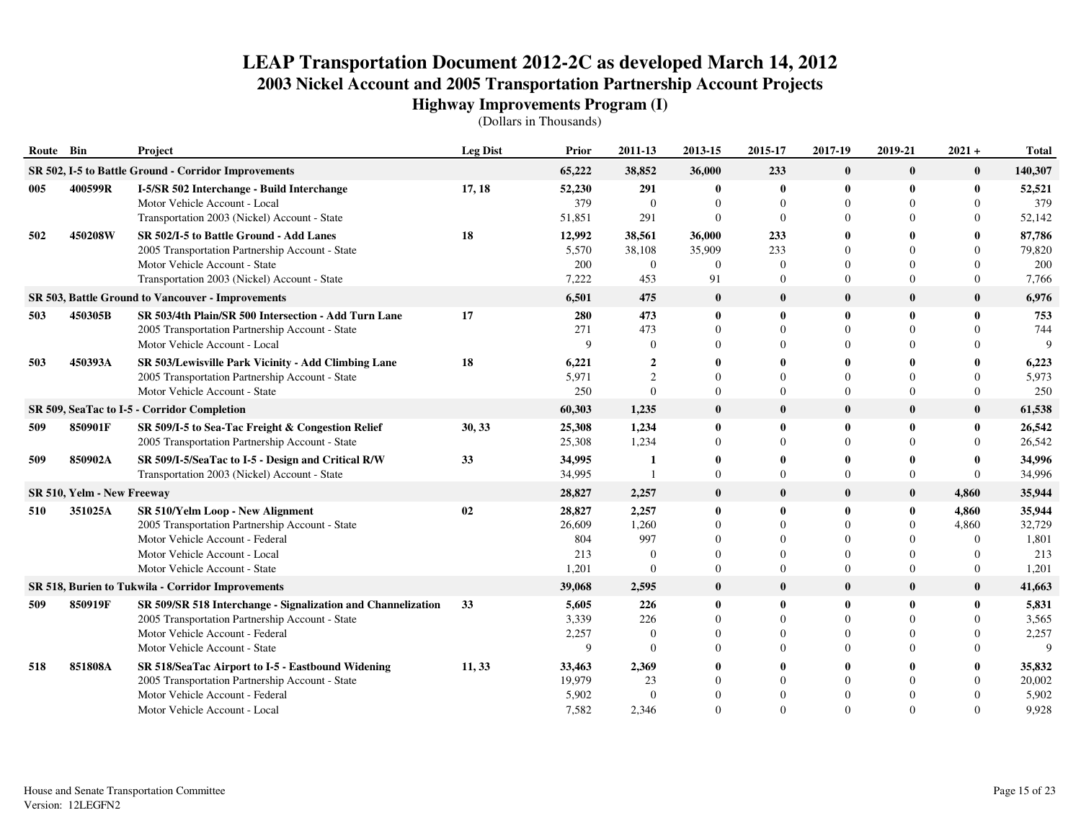| Route Bin |                            | Project                                                                                                                                                                                  | <b>Leg Dist</b> | <b>Prior</b>                            | 2011-13                                        | 2013-15                                  | 2015-17                                                  | 2017-19                                                  | 2019-21                                            | $2021 +$                                                 | <b>Total</b>                              |
|-----------|----------------------------|------------------------------------------------------------------------------------------------------------------------------------------------------------------------------------------|-----------------|-----------------------------------------|------------------------------------------------|------------------------------------------|----------------------------------------------------------|----------------------------------------------------------|----------------------------------------------------|----------------------------------------------------------|-------------------------------------------|
|           |                            | SR 502, I-5 to Battle Ground - Corridor Improvements                                                                                                                                     |                 | 65,222                                  | 38,852                                         | 36,000                                   | 233                                                      | $\mathbf{0}$                                             | $\bf{0}$                                           | $\bf{0}$                                                 | 140,307                                   |
| 005       | 400599R                    | I-5/SR 502 Interchange - Build Interchange<br>Motor Vehicle Account - Local<br>Transportation 2003 (Nickel) Account - State                                                              | 17, 18          | 52,230<br>379<br>51,851                 | 291<br>$\overline{0}$<br>291                   | $\bf{0}$<br>$\Omega$<br>$\Omega$         | $\bf{0}$<br>$\Omega$<br>$\Omega$                         | $\mathbf{0}$<br>$\Omega$<br>$\Omega$                     | $\mathbf{0}$                                       | $\mathbf{0}$<br>$\Omega$<br>$\Omega$                     | 52,521<br>379<br>52,142                   |
| 502       | 450208W                    | SR 502/I-5 to Battle Ground - Add Lanes<br>2005 Transportation Partnership Account - State<br>Motor Vehicle Account - State<br>Transportation 2003 (Nickel) Account - State              | 18              | 12,992<br>5,570<br>200<br>7,222         | 38,561<br>38,108<br>$\overline{0}$<br>453      | 36,000<br>35,909<br>$\overline{0}$<br>91 | 233<br>233<br>$\Omega$<br>$\Omega$                       | 0<br>$\Omega$<br>$\Omega$<br>$\Omega$                    | 0                                                  | $\Omega$<br>$\Omega$<br>$\theta$                         | 87,786<br>79,820<br>200<br>7,766          |
|           |                            | SR 503, Battle Ground to Vancouver - Improvements                                                                                                                                        |                 | 6,501                                   | 475                                            | $\bf{0}$                                 | $\bf{0}$                                                 | $\mathbf{0}$                                             | $\bf{0}$                                           | $\bf{0}$                                                 | 6,976                                     |
| 503       | 450305B                    | SR 503/4th Plain/SR 500 Intersection - Add Turn Lane<br>2005 Transportation Partnership Account - State<br>Motor Vehicle Account - Local                                                 | 17              | 280<br>271<br>$\mathbf Q$               | 473<br>473<br>$\theta$                         | $\mathbf{0}$<br>$\Omega$                 | $\bf{0}$<br>$\Omega$<br>$\Omega$                         | $\mathbf{0}$<br>$\Omega$<br>$\Omega$                     | $\mathbf{0}$                                       | $\mathbf{0}$<br>$\Omega$                                 | 753<br>744                                |
| 503       | 450393A                    | SR 503/Lewisville Park Vicinity - Add Climbing Lane<br>2005 Transportation Partnership Account - State<br>Motor Vehicle Account - State                                                  | 18              | 6,221<br>5.971<br>250                   | $\overline{2}$<br>$\overline{c}$<br>$\Omega$   | $\Omega$<br>$\Omega$                     | $\Omega$<br>$\Omega$                                     | 0<br>$\theta$<br>$\Omega$                                | 0                                                  | $\Omega$<br>$\theta$                                     | 6,223<br>5,973<br>250                     |
|           |                            | SR 509, SeaTac to I-5 - Corridor Completion                                                                                                                                              |                 | 60,303                                  | 1,235                                          | $\bf{0}$                                 | $\mathbf{0}$                                             | $\mathbf{0}$                                             | $\bf{0}$                                           | $\bf{0}$                                                 | 61,538                                    |
| 509       | 850901F                    | SR 509/I-5 to Sea-Tac Freight & Congestion Relief<br>2005 Transportation Partnership Account - State                                                                                     | 30, 33          | 25,308<br>25,308                        | 1,234<br>1,234                                 | $\mathbf{0}$<br>$\theta$                 | $\mathbf{0}$<br>$\Omega$                                 | $\mathbf{0}$<br>$\Omega$                                 | $\mathbf{0}$<br>$\Omega$                           | $\mathbf{0}$<br>$\Omega$                                 | 26,542<br>26,542                          |
| 509       | 850902A                    | SR 509/I-5/SeaTac to I-5 - Design and Critical R/W<br>Transportation 2003 (Nickel) Account - State                                                                                       | 33              | 34,995<br>34,995                        | -1                                             | $\mathbf{0}$<br>$\Omega$                 | $\mathbf{0}$<br>$\Omega$                                 | 0<br>$\Omega$                                            | $\mathbf{0}$<br>$\Omega$                           | $\Omega$<br>$\Omega$                                     | 34,996<br>34,996                          |
|           | SR 510, Yelm - New Freeway |                                                                                                                                                                                          |                 | 28,827                                  | 2,257                                          | $\bf{0}$                                 | $\mathbf{0}$                                             | $\mathbf{0}$                                             | $\bf{0}$                                           | 4,860                                                    | 35,944                                    |
| 510       | 351025A                    | SR 510/Yelm Loop - New Alignment<br>2005 Transportation Partnership Account - State<br>Motor Vehicle Account - Federal<br>Motor Vehicle Account - Local<br>Motor Vehicle Account - State | 02              | 28,827<br>26,609<br>804<br>213<br>1,201 | 2,257<br>1,260<br>997<br>$\Omega$<br>$\Omega$  | $\bf{0}$<br>$\mathbf{0}$                 | $\bf{0}$<br>$\Omega$<br>$\Omega$<br>$\Omega$<br>$\Omega$ | $\bf{0}$<br>$\Omega$<br>$\Omega$<br>$\Omega$<br>$\Omega$ | $\bf{0}$<br>$\overline{0}$<br>$\Omega$<br>$\Omega$ | 4,860<br>4,860<br>$\Omega$<br>$\Omega$<br>$\overline{0}$ | 35,944<br>32,729<br>1,801<br>213<br>1,201 |
|           |                            | SR 518, Burien to Tukwila - Corridor Improvements                                                                                                                                        |                 | 39,068                                  | 2,595                                          | $\bf{0}$                                 | $\mathbf{0}$                                             | $\mathbf{0}$                                             | $\bf{0}$                                           | $\mathbf{0}$                                             | 41,663                                    |
| 509       | 850919F                    | SR 509/SR 518 Interchange - Signalization and Channelization<br>2005 Transportation Partnership Account - State<br>Motor Vehicle Account - Federal<br>Motor Vehicle Account - State      | 33              | 5,605<br>3,339<br>2,257<br>9            | 226<br>226<br>$\overline{0}$<br>$\overline{0}$ | $\mathbf{0}$                             | $\mathbf{0}$<br>$\Omega$<br>$\Omega$                     | $\mathbf{0}$<br>$\Omega$<br>$\Omega$<br>$\Omega$         | $\mathbf{0}$                                       | $\mathbf{0}$<br>$\Omega$<br>$\theta$<br>$\Omega$         | 5,831<br>3,565<br>2,257<br>$\mathbf Q$    |
| 518       | 851808A                    | SR 518/SeaTac Airport to I-5 - Eastbound Widening<br>2005 Transportation Partnership Account - State<br>Motor Vehicle Account - Federal<br>Motor Vehicle Account - Local                 | 11, 33          | 33,463<br>19,979<br>5,902<br>7,582      | 2,369<br>23<br>$\overline{0}$<br>2,346         |                                          | $\mathbf{0}$                                             | 0<br>$\Omega$<br>$\Omega$<br>$\Omega$                    | $\Omega$                                           | $\Omega$<br>$\Omega$<br>$\Omega$                         | 35,832<br>20,002<br>5,902<br>9,928        |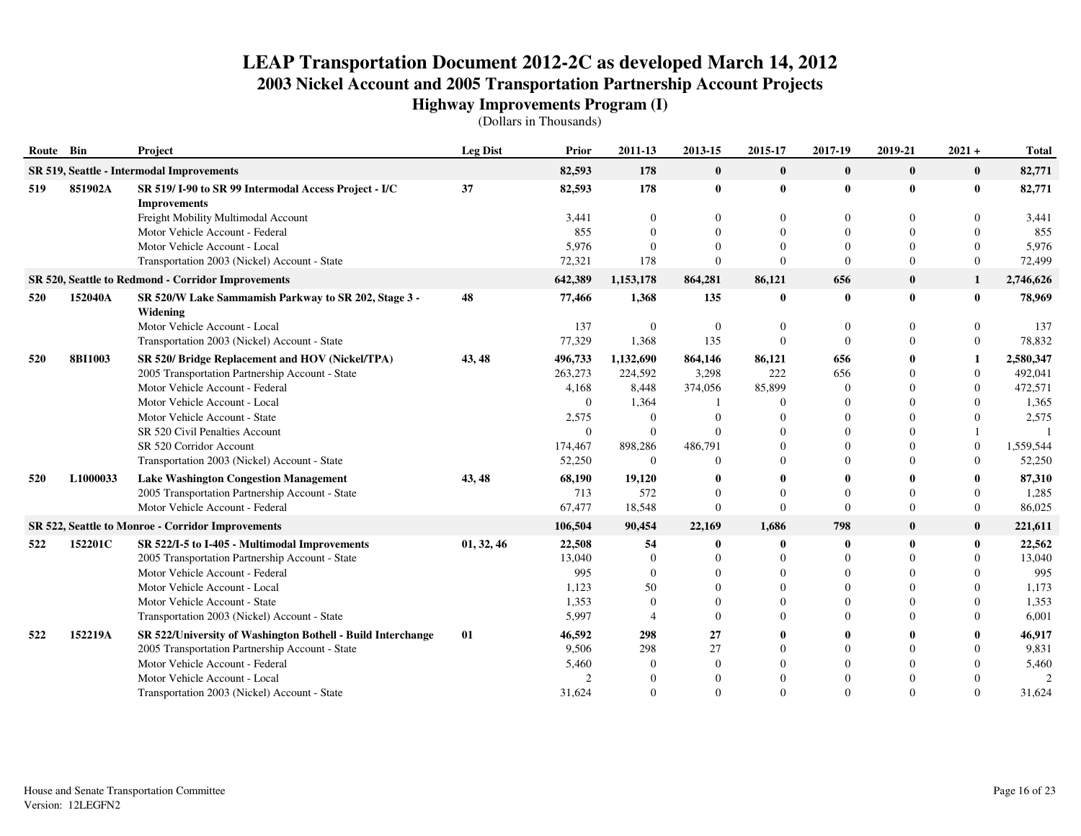| Route Bin |                                           | Project                                                                     | <b>Leg Dist</b> | Prior    | 2011-13               | 2013-15      | 2015-17  | 2017-19      | 2019-21        | $2021 +$         | <b>Total</b>  |
|-----------|-------------------------------------------|-----------------------------------------------------------------------------|-----------------|----------|-----------------------|--------------|----------|--------------|----------------|------------------|---------------|
|           | SR 519, Seattle - Intermodal Improvements |                                                                             |                 | 82,593   | 178                   | $\bf{0}$     | $\bf{0}$ | $\bf{0}$     | $\bf{0}$       | $\bf{0}$         | 82,771        |
| 519       | 851902A                                   | SR 519/I-90 to SR 99 Intermodal Access Project - I/C<br><b>Improvements</b> | 37              | 82,593   | 178                   | $\bf{0}$     | 0        | $\mathbf 0$  | $\bf{0}$       | $\bf{0}$         | 82,771        |
|           |                                           | Freight Mobility Multimodal Account                                         |                 | 3,441    | $\theta$              | $\mathbf{0}$ | $\Omega$ | $\Omega$     | $\theta$       | 0                | 3,441         |
|           |                                           | Motor Vehicle Account - Federal                                             |                 | 855      | $\Omega$              | $\Omega$     | $\Omega$ | $\Omega$     | $\Omega$       | $\Omega$         | 855           |
|           |                                           | Motor Vehicle Account - Local                                               |                 | 5,976    | $\Omega$              | $\Omega$     | $\Omega$ | $\Omega$     | $\Omega$       | $\Omega$         | 5,976         |
|           |                                           | Transportation 2003 (Nickel) Account - State                                |                 | 72,321   | 178                   | $\mathbf{0}$ | $\Omega$ | $\Omega$     | $\Omega$       | $\overline{0}$   | 72,499        |
|           |                                           | SR 520, Seattle to Redmond - Corridor Improvements                          |                 | 642,389  | 1,153,178             | 864,281      | 86,121   | 656          | $\bf{0}$       | $\mathbf{1}$     | 2,746,626     |
| 520       | 152040A                                   | SR 520/W Lake Sammamish Parkway to SR 202, Stage 3 -<br>Widening            | 48              | 77,466   | 1,368                 | 135          | 0        | $\mathbf 0$  | $\bf{0}$       | 0                | 78,969        |
|           |                                           | Motor Vehicle Account - Local                                               |                 | 137      | $\overline{0}$        | $\mathbf{0}$ | $\Omega$ | $\Omega$     | $\theta$       | 0                | 137           |
|           |                                           | Transportation 2003 (Nickel) Account - State                                |                 | 77,329   | 1,368                 | 135          | $\Omega$ | $\theta$     | $\Omega$       | $\Omega$         | 78,832        |
| 520       | <b>8BI1003</b>                            | SR 520/ Bridge Replacement and HOV (Nickel/TPA)                             | 43, 48          | 496,733  | 1,132,690             | 864,146      | 86,121   | 656          |                | 1                | 2,580,347     |
|           |                                           | 2005 Transportation Partnership Account - State                             |                 | 263,273  | 224,592               | 3,298        | 222      | 656          |                | $\overline{0}$   | 492,041       |
|           |                                           | Motor Vehicle Account - Federal                                             |                 | 4,168    | 8,448                 | 374,056      | 85,899   | $\Omega$     | $\Omega$       | $\Omega$         | 472,571       |
|           |                                           | Motor Vehicle Account - Local                                               |                 | $\Omega$ | 1,364                 |              | 0        | $\Omega$     | $\Omega$       |                  | 1,365         |
|           |                                           | Motor Vehicle Account - State                                               |                 | 2,575    | $\overline{0}$        | $\Omega$     | $\Omega$ | $\Omega$     | $\Omega$       |                  | 2,575         |
|           |                                           | SR 520 Civil Penalties Account                                              |                 | $\theta$ | $\theta$              | $\Omega$     |          | $\Omega$     | $\Omega$       |                  |               |
|           |                                           | SR 520 Corridor Account                                                     |                 | 174,467  | 898,286               | 486,791      | $\Omega$ | $\Omega$     | $\Omega$       | $\boldsymbol{0}$ | 1,559,544     |
|           |                                           | Transportation 2003 (Nickel) Account - State                                |                 | 52,250   | $\overline{0}$        | $\Omega$     | $\Omega$ | $\Omega$     | $\Omega$       | $\overline{0}$   | 52,250        |
| 520       | L1000033                                  | <b>Lake Washington Congestion Management</b>                                | 43, 48          | 68,190   | 19,120                |              | 0        | $\mathbf{0}$ |                | 0                | 87,310        |
|           |                                           | 2005 Transportation Partnership Account - State                             |                 | 713      | 572                   | $\Omega$     | $\Omega$ | $\Omega$     | $\Omega$       | $\Omega$         | 1,285         |
|           |                                           | Motor Vehicle Account - Federal                                             |                 | 67,477   | 18,548                | $\mathbf{0}$ | $\Omega$ | $\Omega$     | $\overline{0}$ | $\overline{0}$   | 86,025        |
|           |                                           | SR 522, Seattle to Monroe - Corridor Improvements                           |                 | 106,504  | 90,454                | 22,169       | 1,686    | 798          | $\bf{0}$       | $\bf{0}$         | 221,611       |
| 522       | 152201C                                   | SR 522/I-5 to I-405 - Multimodal Improvements                               | 01, 32, 46      | 22,508   | 54                    | 0            | 0        | $\mathbf 0$  | $\mathbf{0}$   | $\bf{0}$         | 22,562        |
|           |                                           | 2005 Transportation Partnership Account - State                             |                 | 13,040   | $\theta$              | $\Omega$     | $\Omega$ | $\Omega$     | $\Omega$       | $\Omega$         | 13,040        |
|           |                                           | Motor Vehicle Account - Federal                                             |                 | 995      | $\Omega$              | $\Omega$     | $\Omega$ | $\Omega$     | $\Omega$       | 0                | 995           |
|           |                                           | Motor Vehicle Account - Local                                               |                 | 1,123    | 50                    | $\Omega$     | $\Omega$ | $\Omega$     | $\Omega$       | 0                | 1,173         |
|           |                                           | Motor Vehicle Account - State                                               |                 | 1,353    | $\theta$              | $\Omega$     | $\Omega$ | $\Omega$     | $\Omega$       |                  | 1,353         |
|           |                                           | Transportation 2003 (Nickel) Account - State                                |                 | 5,997    | $\boldsymbol{\Delta}$ | $\Omega$     | 0        | $\Omega$     | $\Omega$       | 0                | 6,001         |
| 522       | 152219A                                   | SR 522/University of Washington Bothell - Build Interchange                 | 01              | 46,592   | 298                   | 27           | 0        | $\mathbf 0$  |                | 0                | 46,917        |
|           |                                           | 2005 Transportation Partnership Account - State                             |                 | 9,506    | 298                   | 27           | $\Omega$ | $\Omega$     | $\Omega$       | 0                | 9,831         |
|           |                                           | Motor Vehicle Account - Federal                                             |                 | 5,460    | $\Omega$              | $\mathbf{0}$ | $\Omega$ | $\Omega$     | $\Omega$       |                  | 5,460         |
|           |                                           | Motor Vehicle Account - Local                                               |                 |          | $\Omega$              |              | $\Omega$ | $\Omega$     |                |                  | $\mathcal{P}$ |
|           |                                           | Transportation 2003 (Nickel) Account - State                                |                 | 31,624   | $\Omega$              | $\Omega$     | $\Omega$ | $\Omega$     | $\Omega$       | $\Omega$         | 31,624        |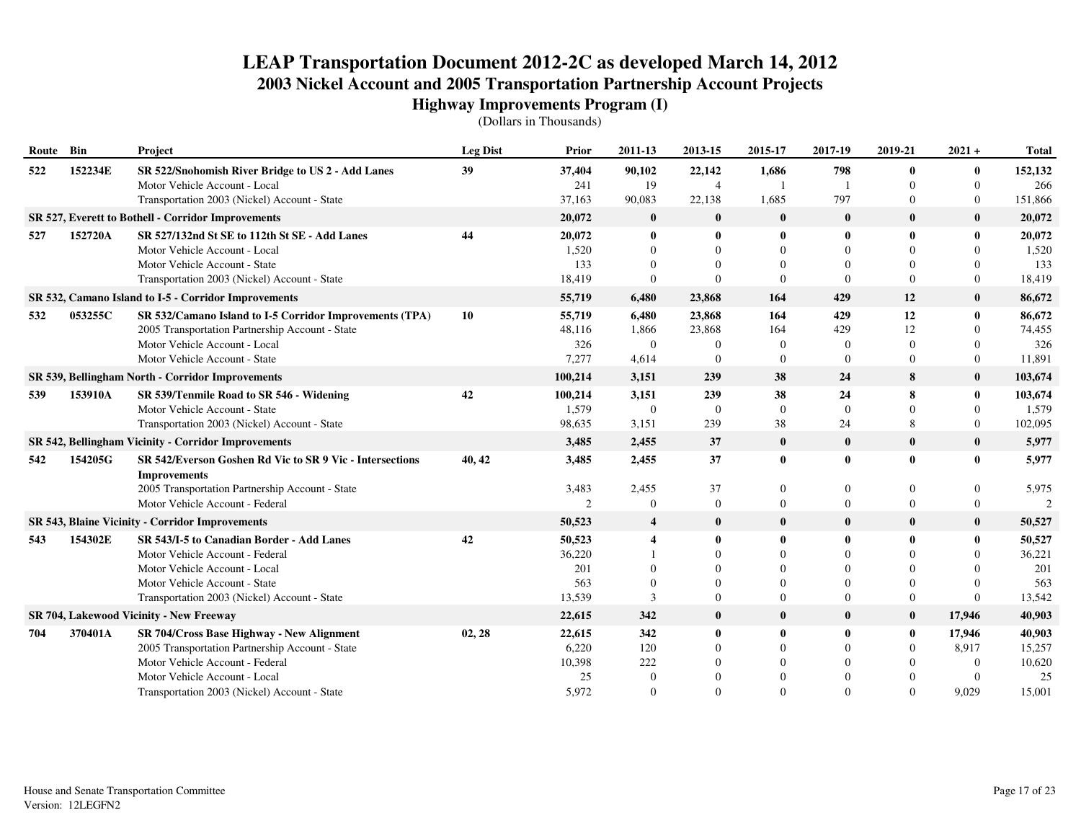| Route Bin |         | Project                                                                         | <b>Leg Dist</b> | Prior          | 2011-13                 | 2013-15        | 2015-17        | 2017-19        | 2019-21        | $2021 +$         | <b>Total</b>  |
|-----------|---------|---------------------------------------------------------------------------------|-----------------|----------------|-------------------------|----------------|----------------|----------------|----------------|------------------|---------------|
| 522       | 152234E | SR 522/Snohomish River Bridge to US 2 - Add Lanes                               | 39              | 37,404         | 90,102                  | 22,142         | 1,686          | 798            | $\bf{0}$       | $\bf{0}$         | 152,132       |
|           |         | Motor Vehicle Account - Local                                                   |                 | 241            | 19                      | $\overline{4}$ | 1              |                | $\Omega$       | $\mathbf{0}$     | 266           |
|           |         | Transportation 2003 (Nickel) Account - State                                    |                 | 37,163         | 90,083                  | 22,138         | 1,685          | 797            | $\overline{0}$ | $\boldsymbol{0}$ | 151,866       |
|           |         | SR 527, Everett to Bothell - Corridor Improvements                              |                 | 20,072         | $\bf{0}$                | $\bf{0}$       | $\bf{0}$       | $\bf{0}$       | $\bf{0}$       | $\bf{0}$         | 20,072        |
| 527       | 152720A | SR 527/132nd St SE to 112th St SE - Add Lanes                                   | 44              | 20,072         | $\bf{0}$                | $\bf{0}$       | $\mathbf{0}$   | $\mathbf{0}$   | $\bf{0}$       | $\mathbf{0}$     | 20,072        |
|           |         | Motor Vehicle Account - Local                                                   |                 | 1,520          | $\Omega$                |                | $\Omega$       | $\Omega$       | $\Omega$       | $\Omega$         | 1,520         |
|           |         | Motor Vehicle Account - State                                                   |                 | 133            | $\Omega$                |                | $\Omega$       | $\Omega$       | $\Omega$       | $\Omega$         | 133           |
|           |         | Transportation 2003 (Nickel) Account - State                                    |                 | 18,419         | $\Omega$                | $\Omega$       | $\Omega$       | $\theta$       | $\Omega$       | $\Omega$         | 18,419        |
|           |         | SR 532, Camano Island to I-5 - Corridor Improvements                            |                 | 55,719         | 6,480                   | 23,868         | 164            | 429            | 12             | $\bf{0}$         | 86,672        |
| 532       | 053255C | SR 532/Camano Island to I-5 Corridor Improvements (TPA)                         | 10              | 55,719         | 6,480                   | 23,868         | 164            | 429            | 12             | $\mathbf{0}$     | 86,672        |
|           |         | 2005 Transportation Partnership Account - State                                 |                 | 48,116         | 1,866                   | 23,868         | 164            | 429            | 12             | $\Omega$         | 74,455        |
|           |         | Motor Vehicle Account - Local                                                   |                 | 326            | $\overline{0}$          | $\Omega$       | $\overline{0}$ | $\overline{0}$ | $\overline{0}$ | $\mathbf{0}$     | 326           |
|           |         | Motor Vehicle Account - State                                                   |                 | 7,277          | 4,614                   | $\mathbf{0}$   | $\mathbf{0}$   | $\Omega$       | $\overline{0}$ | $\mathbf{0}$     | 11,891        |
|           |         | SR 539, Bellingham North - Corridor Improvements                                |                 | 100,214        | 3,151                   | 239            | 38             | 24             | 8              | $\mathbf{0}$     | 103,674       |
| 539       | 153910A | SR 539/Tenmile Road to SR 546 - Widening                                        | 42              | 100,214        | 3,151                   | 239            | 38             | 24             | 8              | $\bf{0}$         | 103,674       |
|           |         | Motor Vehicle Account - State                                                   |                 | 1,579          | $\overline{0}$          | $\overline{0}$ | $\Omega$       | $\theta$       | $\Omega$       | $\Omega$         | 1,579         |
|           |         | Transportation 2003 (Nickel) Account - State                                    |                 | 98,635         | 3,151                   | 239            | 38             | 24             | 8              | $\mathbf{0}$     | 102,095       |
|           |         | <b>SR 542, Bellingham Vicinity - Corridor Improvements</b>                      |                 | 3,485          | 2,455                   | 37             | $\bf{0}$       | $\bf{0}$       | $\bf{0}$       | $\bf{0}$         | 5,977         |
| 542       | 154205G | SR 542/Everson Goshen Rd Vic to SR 9 Vic - Intersections<br><b>Improvements</b> | 40, 42          | 3,485          | 2,455                   | 37             | $\bf{0}$       | $\bf{0}$       | $\bf{0}$       | $\mathbf{0}$     | 5,977         |
|           |         | 2005 Transportation Partnership Account - State                                 |                 | 3,483          | 2,455                   | 37             | $\theta$       | $\mathbf{0}$   | $\theta$       | $\Omega$         | 5,975         |
|           |         | Motor Vehicle Account - Federal                                                 |                 | $\mathfrak{D}$ | $\Omega$                | $\mathbf{0}$   | $\mathbf{0}$   | $\Omega$       | $\theta$       | $\Omega$         | $\mathcal{D}$ |
|           |         | <b>SR 543, Blaine Vicinity - Corridor Improvements</b>                          |                 | 50,523         | $\overline{4}$          | $\bf{0}$       | $\bf{0}$       | $\bf{0}$       | $\bf{0}$       | $\mathbf{0}$     | 50,527        |
| 543       | 154302E | SR 543/I-5 to Canadian Border - Add Lanes                                       | 42              | 50,523         | $\overline{\mathbf{4}}$ | $\mathbf{0}$   | 0              | $\mathbf{0}$   | $\mathbf{0}$   | $\mathbf{0}$     | 50,527        |
|           |         | Motor Vehicle Account - Federal                                                 |                 | 36,220         |                         | $\Omega$       | $\Omega$       | $\Omega$       | $\Omega$       | $\Omega$         | 36,221        |
|           |         | Motor Vehicle Account - Local                                                   |                 | 201            | $\Omega$                |                | $\Omega$       | $\Omega$       |                | $\Omega$         | 201           |
|           |         | Motor Vehicle Account - State                                                   |                 | 563            | $\overline{0}$          |                | $\theta$       | $\Omega$       | $\Omega$       | $\Omega$         | 563           |
|           |         | Transportation 2003 (Nickel) Account - State                                    |                 | 13,539         | 3                       | $\Omega$       | $\Omega$       | $\Omega$       | $\Omega$       | $\Omega$         | 13,542        |
|           |         | SR 704, Lakewood Vicinity - New Freeway                                         |                 | 22,615         | 342                     | $\bf{0}$       | $\bf{0}$       | $\bf{0}$       | $\bf{0}$       | 17,946           | 40,903        |
| 704       | 370401A | SR 704/Cross Base Highway - New Alignment                                       | 02, 28          | 22,615         | 342                     | $\bf{0}$       | $\mathbf{0}$   | 0              | $\bf{0}$       | 17,946           | 40,903        |
|           |         | 2005 Transportation Partnership Account - State                                 |                 | 6,220          | 120                     | $\Omega$       | $\theta$       | $\mathbf{0}$   | $\mathbf{0}$   | 8,917            | 15,257        |
|           |         | Motor Vehicle Account - Federal                                                 |                 | 10,398         | 222                     |                | $\Omega$       | $\Omega$       |                | $\Omega$         | 10,620        |
|           |         | Motor Vehicle Account - Local                                                   |                 | 25             | $\overline{0}$          |                | $\Omega$       | $\Omega$       |                | $\Omega$         | 25            |
|           |         | Transportation 2003 (Nickel) Account - State                                    |                 | 5,972          | $\Omega$                |                | $\Omega$       | $\Omega$       | $\Omega$       | 9.029            | 15,001        |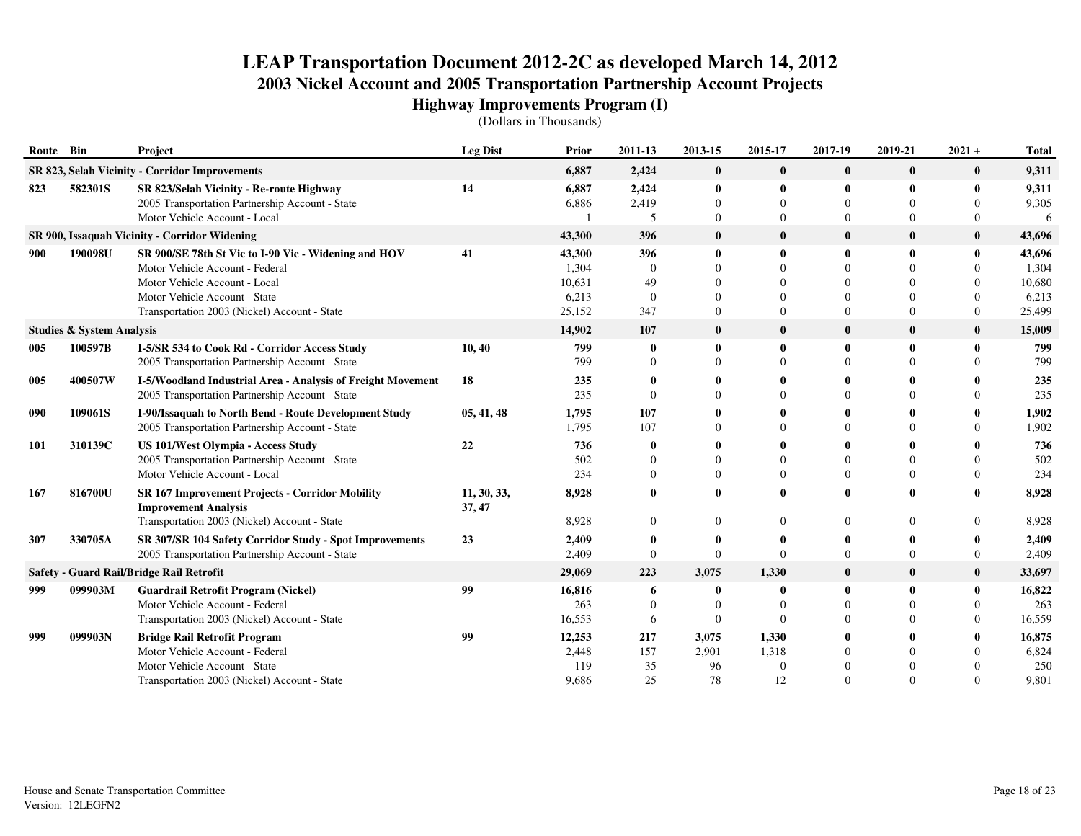| Route Bin  |                                      | Project                                                                                 | <b>Leg Dist</b>       | Prior           | 2011-13         | 2013-15                  | 2015-17                  | 2017-19                  | 2019-21      | $2021 +$                 | <b>Total</b>    |
|------------|--------------------------------------|-----------------------------------------------------------------------------------------|-----------------------|-----------------|-----------------|--------------------------|--------------------------|--------------------------|--------------|--------------------------|-----------------|
|            |                                      | SR 823, Selah Vicinity - Corridor Improvements                                          |                       | 6,887           | 2,424           | $\bf{0}$                 | $\bf{0}$                 | $\bf{0}$                 | $\bf{0}$     | $\bf{0}$                 | 9,311           |
| 823        | 582301S                              | SR 823/Selah Vicinity - Re-route Highway                                                | 14                    | 6,887           | 2,424           | $\mathbf{0}$             | 0                        | $\mathbf{0}$             | $\mathbf{0}$ | 0                        | 9,311           |
|            |                                      | 2005 Transportation Partnership Account - State<br>Motor Vehicle Account - Local        |                       | 6,886           | 2,419<br>5      | $\Omega$<br>$\Omega$     | 0<br>$\Omega$            | $\Omega$<br>$\Omega$     | $\Omega$     | $\Omega$<br>$\Omega$     | 9,305<br>6      |
|            |                                      |                                                                                         |                       |                 | 396             |                          |                          |                          |              |                          |                 |
|            |                                      | SR 900, Issaquah Vicinity - Corridor Widening                                           |                       | 43,300          |                 | $\bf{0}$                 | $\bf{0}$                 | $\bf{0}$                 | $\bf{0}$     | $\bf{0}$                 | 43,696          |
| 900        | 190098U                              | SR 900/SE 78th St Vic to I-90 Vic - Widening and HOV<br>Motor Vehicle Account - Federal | 41                    | 43,300<br>1,304 | 396<br>$\Omega$ | $\mathbf{0}$<br>$\Omega$ | $\mathbf{0}$<br>$\Omega$ | $\mathbf{0}$<br>$\Omega$ | $\bf{0}$     | $\mathbf{0}$<br>$\Omega$ | 43,696          |
|            |                                      | Motor Vehicle Account - Local                                                           |                       | 10,631          | 49              | $\Omega$                 | $\Omega$                 | $\Omega$                 |              | $\Omega$                 | 1,304<br>10,680 |
|            |                                      | Motor Vehicle Account - State                                                           |                       | 6,213           | $\overline{0}$  | $\Omega$                 | $\Omega$                 | $\Omega$                 | $\Omega$     | $\Omega$                 | 6,213           |
|            |                                      | Transportation 2003 (Nickel) Account - State                                            |                       | 25,152          | 347             | $\mathbf{0}$             | $\Omega$                 | $\Omega$                 | $\Omega$     | $\Omega$                 | 25,499          |
|            | <b>Studies &amp; System Analysis</b> |                                                                                         |                       | 14,902          | 107             | $\bf{0}$                 | $\mathbf{0}$             | $\bf{0}$                 | $\mathbf{0}$ | $\bf{0}$                 | 15,009          |
| 005        | 100597B                              | I-5/SR 534 to Cook Rd - Corridor Access Study                                           | 10, 40                | 799             | $\bf{0}$        | $\mathbf{0}$             | 0                        | $\mathbf{0}$             | 0            | $\mathbf{0}$             | 799             |
|            |                                      | 2005 Transportation Partnership Account - State                                         |                       | 799             | $\Omega$        | $\Omega$                 | $\Omega$                 | $\Omega$                 |              | $\Omega$                 | 799             |
| 005        | 400507W                              | I-5/Woodland Industrial Area - Analysis of Freight Movement                             | 18                    | 235             | $\mathbf{0}$    |                          |                          | $\mathbf{0}$             |              | 0                        | 235             |
|            |                                      | 2005 Transportation Partnership Account - State                                         |                       | 235             | $\Omega$        | $\Omega$                 | 0                        | $\Omega$                 |              | $\Omega$                 | 235             |
| 090        | 109061S                              | I-90/Issaquah to North Bend - Route Development Study                                   | 05, 41, 48            | 1,795           | 107             |                          |                          | -0                       |              | 0                        | 1,902           |
|            |                                      | 2005 Transportation Partnership Account - State                                         |                       | 1,795           | 107             |                          | 0                        | $\Omega$                 |              | $\Omega$                 | 1,902           |
| <b>101</b> | 310139C                              | <b>US 101/West Olympia - Access Study</b>                                               | 22                    | 736             | 0               |                          |                          | $\theta$                 |              |                          | 736             |
|            |                                      | 2005 Transportation Partnership Account - State                                         |                       | 502             | $\Omega$        | $\Omega$                 |                          | $\Omega$                 |              | $\Omega$                 | 502             |
|            |                                      | Motor Vehicle Account - Local                                                           |                       | 234             | $\Omega$        | $\Omega$                 | $\Omega$                 | $\Omega$                 | $\Omega$     | $\Omega$                 | 234             |
| 167        | 816700U                              | <b>SR 167 Improvement Projects - Corridor Mobility</b><br><b>Improvement Analysis</b>   | 11, 30, 33,<br>37, 47 | 8,928           | $\mathbf{0}$    | 0                        | $\mathbf{0}$             | $\bf{0}$                 |              | 0                        | 8,928           |
|            |                                      | Transportation 2003 (Nickel) Account - State                                            |                       | 8,928           | $\Omega$        | $\Omega$                 | $\Omega$                 | $\Omega$                 |              | $\Omega$                 | 8,928           |
| 307        | 330705A                              | SR 307/SR 104 Safety Corridor Study - Spot Improvements                                 | 23                    | 2,409           | 0               | $\mathbf{0}$             | 0                        | $\bf{0}$                 |              | 0                        | 2,409           |
|            |                                      | 2005 Transportation Partnership Account - State                                         |                       | 2,409           | $\Omega$        | $\mathbf{0}$             | $\Omega$                 | $\overline{0}$           | $\Omega$     | $\theta$                 | 2,409           |
|            |                                      | Safety - Guard Rail/Bridge Rail Retrofit                                                |                       | 29,069          | 223             | 3,075                    | 1,330                    | $\bf{0}$                 | $\bf{0}$     | $\bf{0}$                 | 33,697          |
| 999        | 099903M                              | <b>Guardrail Retrofit Program (Nickel)</b>                                              | 99                    | 16,816          | 6               | $\mathbf{0}$             | 0                        | $\mathbf 0$              | 0            | $\mathbf{0}$             | 16,822          |
|            |                                      | Motor Vehicle Account - Federal                                                         |                       | 263             | $\Omega$        | $\Omega$                 | $\Omega$                 | $\Omega$                 | $\Omega$     | $\Omega$                 | 263             |
|            |                                      | Transportation 2003 (Nickel) Account - State                                            |                       | 16,553          | 6               | $\Omega$                 | $\Omega$                 | $\Omega$                 | $\Omega$     | $\Omega$                 | 16,559          |
| 999        | 099903N                              | <b>Bridge Rail Retrofit Program</b>                                                     | 99                    | 12,253          | 217             | 3,075                    | 1,330                    | $\mathbf{0}$             |              | 0                        | 16,875          |
|            |                                      | Motor Vehicle Account - Federal                                                         |                       | 2,448           | 157             | 2,901                    | 1,318                    | $\Omega$                 |              | $\Omega$                 | 6,824           |
|            |                                      | Motor Vehicle Account - State                                                           |                       | 119             | 35              | 96                       | $\Omega$                 | $\Omega$                 |              |                          | 250             |
|            |                                      | Transportation 2003 (Nickel) Account - State                                            |                       | 9,686           | 25              | 78                       | 12                       | $\Omega$                 |              | $\Omega$                 | 9,801           |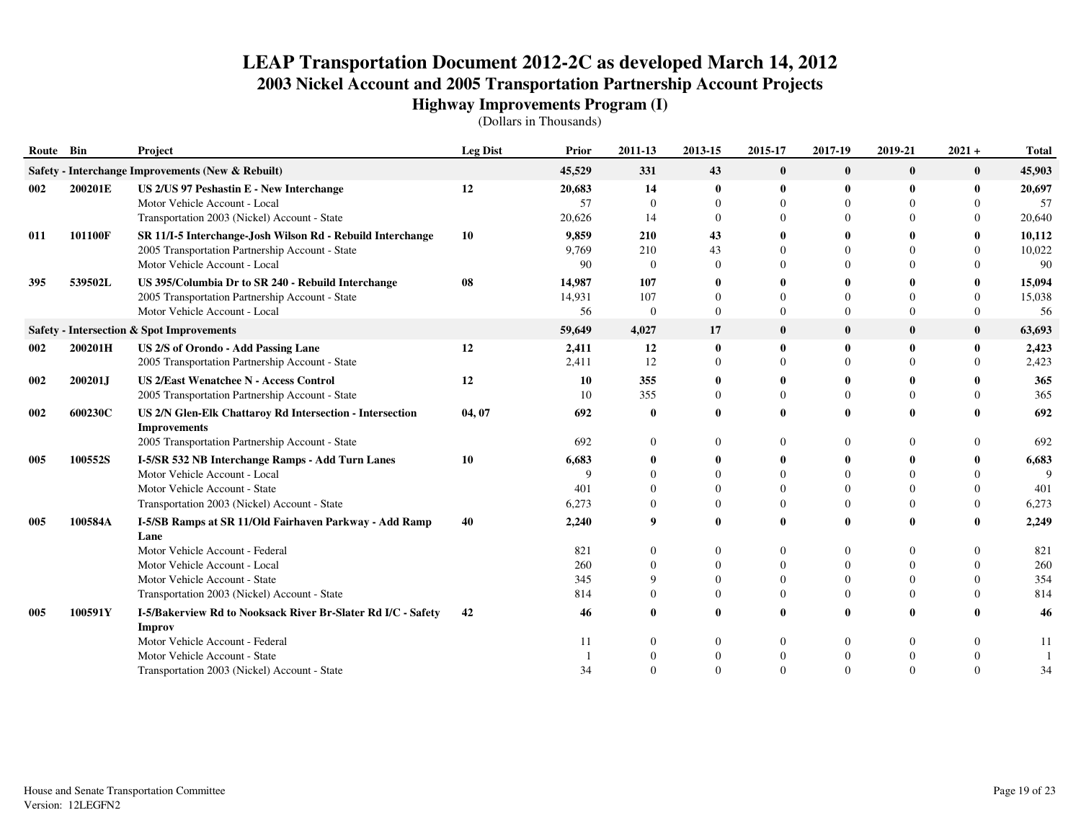| Route Bin |         | Project                                                                                                                                        | <b>Leg Dist</b> | Prior                  | 2011-13                      | 2013-15                          | 2015-17                   | 2017-19                      | 2019-21              | $2021 +$                  | <b>Total</b>           |
|-----------|---------|------------------------------------------------------------------------------------------------------------------------------------------------|-----------------|------------------------|------------------------------|----------------------------------|---------------------------|------------------------------|----------------------|---------------------------|------------------------|
|           |         | Safety - Interchange Improvements (New & Rebuilt)                                                                                              |                 | 45,529                 | 331                          | 43                               | $\bf{0}$                  | $\bf{0}$                     | $\bf{0}$             | $\bf{0}$                  | 45,903                 |
| 002       | 200201E | US 2/US 97 Peshastin E - New Interchange<br>Motor Vehicle Account - Local<br>Transportation 2003 (Nickel) Account - State                      | 12              | 20,683<br>57<br>20,626 | 14<br>$\Omega$<br>14         | $\bf{0}$<br>$\Omega$<br>$\Omega$ | 0<br>$\Omega$<br>$\Omega$ | $\theta$                     | 0<br>$\Omega$        | 0<br>$\Omega$<br>$\Omega$ | 20,697<br>57<br>20,640 |
| 011       | 101100F | SR 11/I-5 Interchange-Josh Wilson Rd - Rebuild Interchange<br>2005 Transportation Partnership Account - State<br>Motor Vehicle Account - Local | 10              | 9,859<br>9.769<br>90   | 210<br>210<br>$\Omega$       | 43<br>43<br>$\mathbf{0}$         | 0<br>$\Omega$<br>$\Omega$ | $\Omega$                     | $\Omega$<br>$\Omega$ | 0<br>$\Omega$<br>$\Omega$ | 10,112<br>10,022<br>90 |
| 395       | 539502L | US 395/Columbia Dr to SR 240 - Rebuild Interchange<br>2005 Transportation Partnership Account - State<br>Motor Vehicle Account - Local         | 08              | 14,987<br>14,931<br>56 | 107<br>107<br>$\overline{0}$ | $\Omega$<br>$\Omega$             | $\Omega$<br>$\Omega$      | $\Omega$                     | $\Omega$<br>$\Omega$ | $\Omega$<br>$\Omega$      | 15,094<br>15,038<br>56 |
|           |         | Safety - Intersection & Spot Improvements                                                                                                      |                 | 59,649                 | 4,027                        | 17                               | $\bf{0}$                  | $\mathbf 0$                  | $\bf{0}$             | $\bf{0}$                  | 63,693                 |
| 002       | 200201H | US 2/S of Orondo - Add Passing Lane<br>2005 Transportation Partnership Account - State                                                         | 12              | 2,411<br>2,411         | 12<br>12                     | $\bf{0}$<br>$\Omega$             | 0<br>$\Omega$             | $\boldsymbol{0}$<br>$\Omega$ | $\bf{0}$<br>$\Omega$ | 0<br>$\Omega$             | 2,423<br>2,423         |
| 002       | 200201J | <b>US 2/East Wenatchee N - Access Control</b><br>2005 Transportation Partnership Account - State                                               | 12              | 10<br>10               | 355<br>355                   | $\mathbf{0}$<br>$\Omega$         | 0<br>$\Omega$             | $\Omega$                     | 0<br>$\Omega$        | $\Omega$                  | 365<br>365             |
| 002       | 600230C | US 2/N Glen-Elk Chattaroy Rd Intersection - Intersection<br><b>Improvements</b>                                                                | 04, 07          | 692                    | $\mathbf 0$<br>$\Omega$      |                                  |                           | $\theta$                     | 0<br>$\Omega$        |                           | 692                    |
|           |         | 2005 Transportation Partnership Account - State                                                                                                |                 | 692                    |                              |                                  | $\theta$                  | $\Omega$                     |                      | $\Omega$                  | 692                    |
| 005       | 100552S | I-5/SR 532 NB Interchange Ramps - Add Turn Lanes<br>Motor Vehicle Account - Local                                                              | 10              | 6,683<br>q             | 0<br>$\Omega$                | $\mathbf{0}$<br>$\Omega$         | 0<br>$\Omega$             | $\mathbf 0$                  | 0                    | 0                         | 6,683<br>Q             |
|           |         | Motor Vehicle Account - State                                                                                                                  |                 | 401                    | $\Omega$                     | $\Omega$                         | $\Omega$                  | $\Omega$                     | $\Omega$             | $\Omega$                  | 401                    |
|           |         | Transportation 2003 (Nickel) Account - State                                                                                                   |                 | 6,273                  | $\Omega$                     | $\Omega$                         | $\Omega$                  |                              | $\Omega$             | $\Omega$                  | 6,273                  |
| 005       | 100584A | I-5/SB Ramps at SR 11/Old Fairhaven Parkway - Add Ramp<br>Lane                                                                                 | 40              | 2,240                  | 9                            | 0                                |                           | $\mathbf 0$                  | 0                    |                           | 2,249                  |
|           |         | Motor Vehicle Account - Federal                                                                                                                |                 | 821                    | $\Omega$                     |                                  | $\Omega$                  | $\Omega$                     | $\Omega$             | $\Omega$                  | 821                    |
|           |         | Motor Vehicle Account - Local                                                                                                                  |                 | 260                    | $\Omega$                     |                                  | $\theta$                  | $\theta$                     | $\Omega$             | $\theta$                  | 260                    |
|           |         | Motor Vehicle Account - State                                                                                                                  |                 | 345                    | 9<br>$\Omega$                | $\Omega$<br>$\Omega$             | $\Omega$<br>$\theta$      | $\Omega$                     | $\Omega$<br>$\Omega$ | $\Omega$<br>$\Omega$      | 354                    |
|           | 100591Y | Transportation 2003 (Nickel) Account - State                                                                                                   | 42              | 814                    |                              | $\mathbf{0}$                     | 0                         | $\mathbf{0}$                 | 0                    |                           | 814                    |
| 005       |         | I-5/Bakerview Rd to Nooksack River Br-Slater Rd I/C - Safety<br><b>Improv</b>                                                                  |                 | 46                     |                              |                                  |                           |                              |                      |                           | 46                     |
|           |         | Motor Vehicle Account - Federal<br>Motor Vehicle Account - State                                                                               |                 | 11                     | $\Omega$                     | 0                                | 0<br>$\Omega$             | $\boldsymbol{0}$             | $\Omega$             | 0                         | 11                     |
|           |         | Transportation 2003 (Nickel) Account - State                                                                                                   |                 | 34                     | $\Omega$                     | $\Omega$                         |                           |                              | $\Omega$             |                           | 34                     |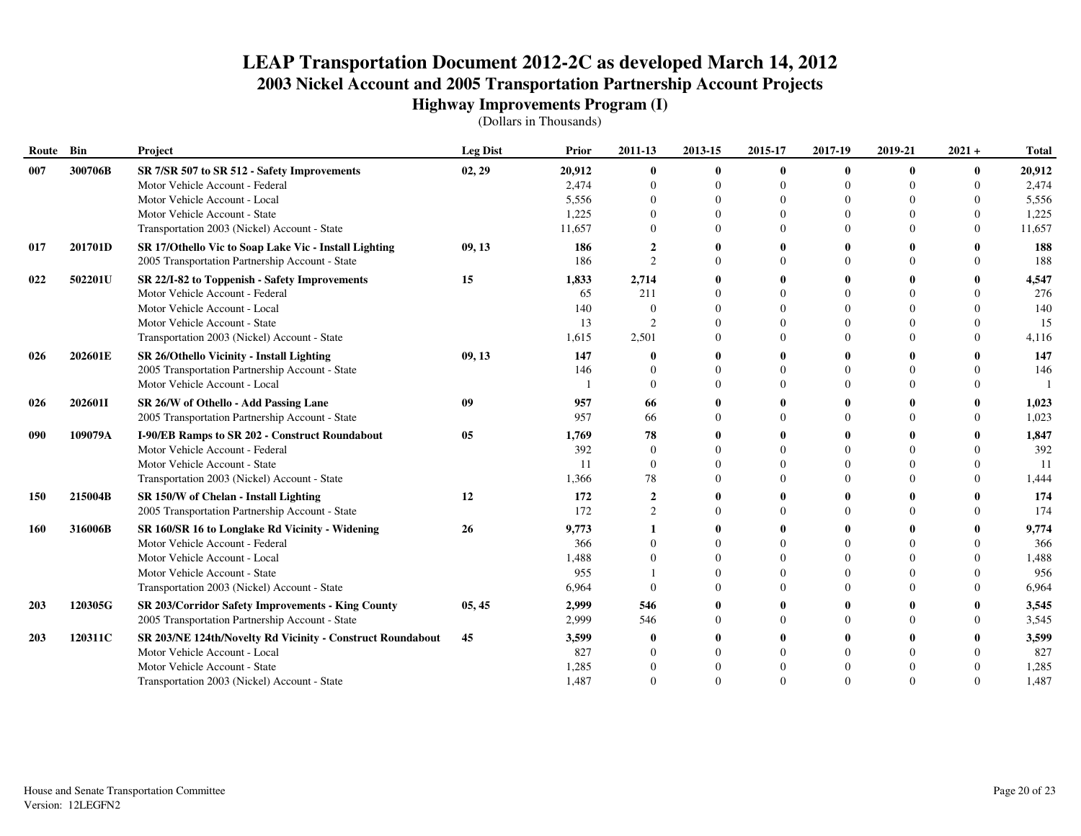| Route Bin  |         | Project                                                    | <b>Leg Dist</b> | Prior  | 2011-13                 | 2013-15  | 2015-17      | 2017-19      | 2019-21      | $2021 +$ | <b>Total</b> |
|------------|---------|------------------------------------------------------------|-----------------|--------|-------------------------|----------|--------------|--------------|--------------|----------|--------------|
| 007        | 300706B | SR 7/SR 507 to SR 512 - Safety Improvements                | 02, 29          | 20,912 | $\bf{0}$                | $\bf{0}$ | $\bf{0}$     | $\bf{0}$     | $\mathbf{0}$ | 0        | 20,912       |
|            |         | Motor Vehicle Account - Federal                            |                 | 2,474  | $\theta$                | $\Omega$ | $\theta$     | $\Omega$     |              | $\theta$ | 2,474        |
|            |         | Motor Vehicle Account - Local                              |                 | 5,556  |                         | $\Omega$ | $\Omega$     | $\Omega$     |              |          | 5,556        |
|            |         | Motor Vehicle Account - State                              |                 | 1,225  |                         |          | $\theta$     | $\theta$     |              |          | 1,225        |
|            |         | Transportation 2003 (Nickel) Account - State               |                 | 11,657 |                         | $\Omega$ | $\Omega$     | $\Omega$     |              | $\Omega$ | 11,657       |
| 017        | 201701D | SR 17/Othello Vic to Soap Lake Vic - Install Lighting      | 09, 13          | 186    | $\mathbf{2}$            |          | 0            | 0            |              |          | 188          |
|            |         | 2005 Transportation Partnership Account - State            |                 | 186    | $\mathcal{D}$           |          | $\Omega$     | $\Omega$     |              | 0        | 188          |
| 022        | 502201U | SR 22/I-82 to Toppenish - Safety Improvements              | 15              | 1,833  | 2,714                   |          |              | $\mathbf{0}$ |              |          | 4,547        |
|            |         | Motor Vehicle Account - Federal                            |                 | 65     | 211                     |          | $\Omega$     | $\Omega$     |              | $\Omega$ | 276          |
|            |         | Motor Vehicle Account - Local                              |                 | 140    |                         |          |              | $\Omega$     |              |          | 140          |
|            |         | Motor Vehicle Account - State                              |                 | 13     | $\mathcal{D}$           | $\Omega$ | 0            | $\Omega$     |              | 0        | 15           |
|            |         | Transportation 2003 (Nickel) Account - State               |                 | 1,615  | 2,501                   | $\Omega$ | 0            | $\Omega$     |              | $\Omega$ | 4,116        |
| 026        | 202601E | SR 26/Othello Vicinity - Install Lighting                  | 09, 13          | 147    |                         |          |              | 0            |              |          | 147          |
|            |         | 2005 Transportation Partnership Account - State            |                 | 146    |                         |          | 0            | $\Omega$     |              | 0        | 146          |
|            |         | Motor Vehicle Account - Local                              |                 |        | $\Omega$                | $\Omega$ | 0            | $\Omega$     |              | $\Omega$ |              |
| 026        | 202601I | SR 26/W of Othello - Add Passing Lane                      | 09              | 957    | 66                      |          |              | $\mathbf{0}$ |              |          | 1,023        |
|            |         | 2005 Transportation Partnership Account - State            |                 | 957    | 66                      | $\Omega$ |              | $\Omega$     |              |          | 1,023        |
| 090        | 109079A | I-90/EB Ramps to SR 202 - Construct Roundabout             | 05              | 1,769  | 78                      |          |              | 0            |              |          | 1,847        |
|            |         | Motor Vehicle Account - Federal                            |                 | 392    | $\theta$                |          |              | $\Omega$     |              |          | 392          |
|            |         | Motor Vehicle Account - State                              |                 | 11     | $\overline{0}$          | $\Omega$ |              | $\theta$     |              | $\Omega$ | 11           |
|            |         | Transportation 2003 (Nickel) Account - State               |                 | 1,366  | 78                      | 0        |              | $\Omega$     |              |          | 1,444        |
| 150        | 215004B | SR 150/W of Chelan - Install Lighting                      | 12              | 172    | $\overline{\mathbf{2}}$ | 0        | $\mathbf{0}$ | 0            |              |          | 174          |
|            |         | 2005 Transportation Partnership Account - State            |                 | 172    | $\mathcal{D}$           |          | 0            | $\Omega$     |              |          | 174          |
| 160        | 316006B | SR 160/SR 16 to Longlake Rd Vicinity - Widening            | 26              | 9,773  |                         |          | 0            | $\mathbf{0}$ |              |          | 9,774        |
|            |         | Motor Vehicle Account - Federal                            |                 | 366    |                         |          | 0            | $\Omega$     |              |          | 366          |
|            |         | Motor Vehicle Account - Local                              |                 | 1,488  |                         | $\Omega$ | 0            | $\Omega$     |              |          | 1,488        |
|            |         | Motor Vehicle Account - State                              |                 | 955    |                         |          | 0            | $\theta$     |              |          | 956          |
|            |         | Transportation 2003 (Nickel) Account - State               |                 | 6,964  |                         | $\Omega$ | 0            | $\Omega$     |              | $\Omega$ | 6,964        |
| <b>203</b> | 120305G | SR 203/Corridor Safety Improvements - King County          | 05, 45          | 2,999  | 546                     |          |              | 0            |              |          | 3,545        |
|            |         | 2005 Transportation Partnership Account - State            |                 | 2,999  | 546                     |          | $\Omega$     | $\Omega$     |              | $\Omega$ | 3,545        |
| 203        | 120311C | SR 203/NE 124th/Novelty Rd Vicinity - Construct Roundabout | 45              | 3,599  |                         |          |              | $\mathbf{0}$ |              |          | 3,599        |
|            |         | Motor Vehicle Account - Local                              |                 | 827    |                         |          |              | $\Omega$     |              |          | 827          |
|            |         | Motor Vehicle Account - State                              |                 | 1,285  |                         |          |              | $\Omega$     |              |          | 1,285        |
|            |         | Transportation 2003 (Nickel) Account - State               |                 | 1,487  |                         | $\Omega$ |              | $\Omega$     |              |          | 1,487        |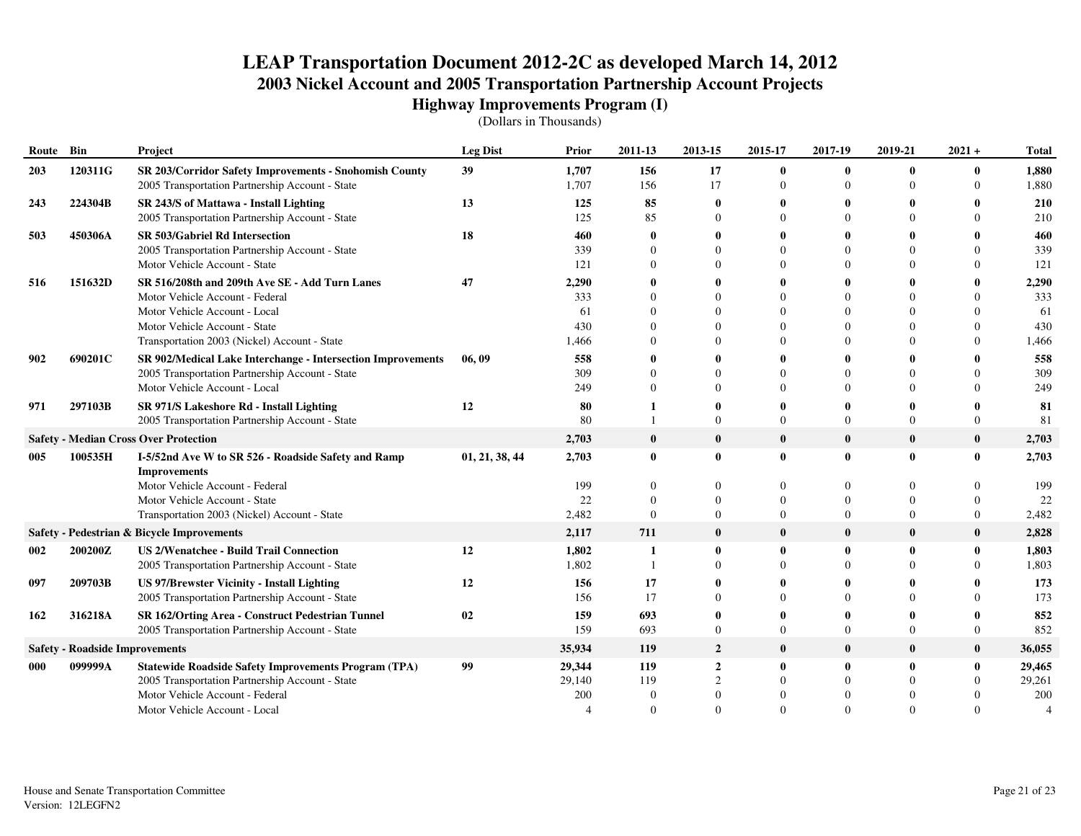| Route Bin |                                       | Project                                                                                                   | <b>Leg Dist</b> | Prior          | 2011-13                 | 2013-15                     | 2015-17              | 2017-19                 | 2019-21      | $2021 +$                 | <b>Total</b>   |
|-----------|---------------------------------------|-----------------------------------------------------------------------------------------------------------|-----------------|----------------|-------------------------|-----------------------------|----------------------|-------------------------|--------------|--------------------------|----------------|
| 203       | 120311G                               | SR 203/Corridor Safety Improvements - Snohomish County<br>2005 Transportation Partnership Account - State | 39              | 1,707<br>1,707 | 156<br>156              | 17<br>17                    | $\bf{0}$<br>$\Omega$ | $\mathbf 0$<br>$\Omega$ | $\mathbf{0}$ | $\mathbf{0}$<br>$\Omega$ | 1,880<br>1,880 |
| 243       | 224304B                               | SR 243/S of Mattawa - Install Lighting                                                                    | 13              | 125            | 85                      |                             | 0                    |                         |              |                          | 210            |
|           |                                       | 2005 Transportation Partnership Account - State                                                           |                 | 125            | 85                      |                             | $\Omega$             | $\Omega$                |              | $\Omega$                 | 210            |
| 503       | 450306A                               | SR 503/Gabriel Rd Intersection                                                                            | 18              | 460            | $\mathbf 0$             |                             | 0                    | 0                       |              | $\bf{0}$                 | 460            |
|           |                                       | 2005 Transportation Partnership Account - State                                                           |                 | 339            | $\Omega$                |                             | $\Omega$             | $\Omega$                |              | $\theta$                 | 339            |
|           |                                       | Motor Vehicle Account - State                                                                             |                 | 121            | $\Omega$                |                             | $\Omega$             | $\Omega$                |              | $\theta$                 | 121            |
| 516       | 151632D                               | SR 516/208th and 209th Ave SE - Add Turn Lanes                                                            | 47              | 2,290          | $\mathbf 0$             |                             | 0                    |                         |              | 0                        | 2,290          |
|           |                                       | Motor Vehicle Account - Federal                                                                           |                 | 333            | $\Omega$                |                             | $\Omega$             | $\Omega$                |              | $\Omega$                 | 333            |
|           |                                       | Motor Vehicle Account - Local                                                                             |                 | 61             | $\Omega$                |                             | $\Omega$             | $\Omega$                |              | $\Omega$                 | 61             |
|           |                                       | Motor Vehicle Account - State                                                                             |                 | 430            | $\theta$<br>$\Omega$    |                             | $\Omega$<br>$\Omega$ | $\Omega$<br>$\Omega$    |              | $\theta$<br>$\Omega$     | 430            |
|           |                                       | Transportation 2003 (Nickel) Account - State                                                              |                 | 1,466          |                         |                             |                      |                         |              |                          | 1,466          |
| 902       | 690201C                               | SR 902/Medical Lake Interchange - Intersection Improvements                                               | 06, 09          | 558<br>309     | $\mathbf 0$<br>$\Omega$ |                             | 0<br>$\theta$        | $\Omega$                |              | 0<br>$\theta$            | 558<br>309     |
|           |                                       | 2005 Transportation Partnership Account - State<br>Motor Vehicle Account - Local                          |                 | 249            | $\Omega$                |                             | $\Omega$             | $\Omega$                |              | $\Omega$                 | 249            |
| 971       | 297103B                               | SR 971/S Lakeshore Rd - Install Lighting                                                                  | 12              | 80             |                         |                             | 0                    |                         |              | 0                        | 81             |
|           |                                       | 2005 Transportation Partnership Account - State                                                           |                 | 80             |                         | 0                           | $\overline{0}$       | $\Omega$                | $\Omega$     | $\overline{0}$           | 81             |
|           |                                       | <b>Safety - Median Cross Over Protection</b>                                                              |                 | 2,703          | $\bf{0}$                | $\bf{0}$                    | $\bf{0}$             | $\bf{0}$                | $\bf{0}$     | $\bf{0}$                 | 2,703          |
| 005       | 100535H                               | I-5/52nd Ave W to SR 526 - Roadside Safety and Ramp<br><b>Improvements</b>                                | 01, 21, 38, 44  | 2,703          | $\mathbf{0}$            | $\bf{0}$                    | $\mathbf{0}$         | $\mathbf 0$             | $\bf{0}$     | $\bf{0}$                 | 2,703          |
|           |                                       | Motor Vehicle Account - Federal                                                                           |                 | 199            | $\Omega$                |                             | 0                    | $\Omega$                |              | $\Omega$                 | 199            |
|           |                                       | Motor Vehicle Account - State                                                                             |                 | 22             | $\Omega$                |                             | $\Omega$             | $\Omega$                |              | $\Omega$                 | 22             |
|           |                                       | Transportation 2003 (Nickel) Account - State                                                              |                 | 2,482          | $\Omega$                | $\Omega$                    | $\Omega$             | $\Omega$                |              | $\Omega$                 | 2,482          |
|           |                                       | Safety - Pedestrian & Bicycle Improvements                                                                |                 | 2,117          | 711                     | $\bf{0}$                    | $\bf{0}$             | $\mathbf 0$             | $\bf{0}$     | $\bf{0}$                 | 2,828          |
| 002       | 200200Z                               | <b>US 2/Wenatchee - Build Trail Connection</b>                                                            | 12              | 1,802          | 1                       | $\bf{0}$                    | $\bf{0}$             | $\mathbf 0$             | $\bf{0}$     | $\bf{0}$                 | 1,803          |
|           |                                       | 2005 Transportation Partnership Account - State                                                           |                 | 1,802          | $\mathbf{1}$            |                             | $\Omega$             | $\Omega$                |              | $\Omega$                 | 1,803          |
| 097       | 209703B                               | <b>US 97/Brewster Vicinity - Install Lighting</b>                                                         | 12              | 156            | 17                      |                             | 0                    |                         |              | $\mathbf{0}$             | 173            |
|           |                                       | 2005 Transportation Partnership Account - State                                                           |                 | 156            | 17                      |                             | $\Omega$             | $\Omega$                |              | $\Omega$                 | 173            |
| 162       | 316218A                               | SR 162/Orting Area - Construct Pedestrian Tunnel                                                          | 02              | 159            | 693                     |                             | 0                    |                         |              | $\mathbf{0}$             | 852            |
|           |                                       | 2005 Transportation Partnership Account - State                                                           |                 | 159            | 693                     | $\theta$                    | $\Omega$             | $\Omega$                | $\Omega$     | $\Omega$                 | 852            |
|           | <b>Safety - Roadside Improvements</b> |                                                                                                           |                 | 35,934         | 119                     | $\overline{2}$              | $\bf{0}$             | $\mathbf 0$             | $\bf{0}$     | $\bf{0}$                 | 36,055         |
| 000       | 099999A                               | <b>Statewide Roadside Safety Improvements Program (TPA)</b>                                               | 99              | 29,344         | 119                     | $\boldsymbol{2}$            | $\bf{0}$             | $\mathbf 0$             | $\mathbf{0}$ | $\bf{0}$                 | 29,465         |
|           |                                       | 2005 Transportation Partnership Account - State                                                           |                 | 29,140         | 119                     | $\mathcal{D}_{\mathcal{L}}$ | $\Omega$             | $\Omega$                |              | $\Omega$                 | 29,261         |
|           |                                       | Motor Vehicle Account - Federal                                                                           |                 | 200            | $\theta$                |                             |                      | $\theta$                |              |                          | 200            |
|           |                                       | Motor Vehicle Account - Local                                                                             |                 |                | $\Omega$                | $\Omega$                    | $\Omega$             | $\Omega$                |              | $\Omega$                 |                |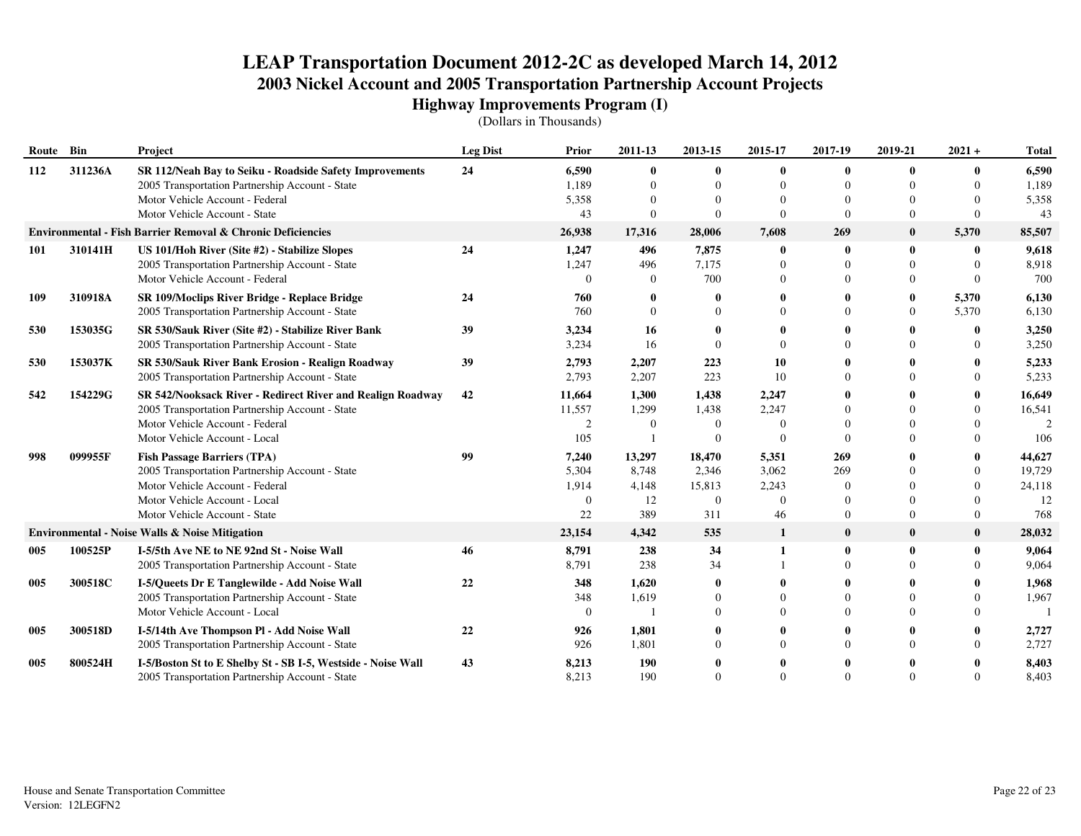| Route Bin |         | Project                                                      | <b>Leg Dist</b> | Prior    | 2011-13      | 2013-15  | 2015-17      | 2017-19      | 2019-21      | $2021 +$       | <b>Total</b> |
|-----------|---------|--------------------------------------------------------------|-----------------|----------|--------------|----------|--------------|--------------|--------------|----------------|--------------|
| 112       | 311236A | SR 112/Neah Bay to Seiku - Roadside Safety Improvements      | 24              | 6,590    | $\mathbf{0}$ |          | 0            |              |              | $\mathbf{0}$   | 6,590        |
|           |         | 2005 Transportation Partnership Account - State              |                 | 1,189    | $\Omega$     |          | 0            | $\Omega$     |              | $\Omega$       | 1,189        |
|           |         | Motor Vehicle Account - Federal                              |                 | 5,358    | $\Omega$     |          | $\theta$     |              |              | $\Omega$       | 5,358        |
|           |         | Motor Vehicle Account - State                                |                 | 43       | $\Omega$     | $\Omega$ | $\Omega$     | $\Omega$     | $\Omega$     | $\Omega$       | 43           |
|           |         | Environmental - Fish Barrier Removal & Chronic Deficiencies  |                 | 26,938   | 17,316       | 28,006   | 7,608        | 269          | $\bf{0}$     | 5,370          | 85,507       |
| 101       | 310141H | US 101/Hoh River (Site #2) - Stabilize Slopes                | 24              | 1,247    | 496          | 7,875    | $\bf{0}$     |              | $\mathbf{0}$ | $\mathbf{0}$   | 9,618        |
|           |         | 2005 Transportation Partnership Account - State              |                 | 1,247    | 496          | 7,175    | $\theta$     | $\Omega$     |              | $\Omega$       | 8,918        |
|           |         | Motor Vehicle Account - Federal                              |                 | $\Omega$ | $\Omega$     | 700      | 0            |              |              | $\Omega$       | 700          |
| 109       | 310918A | SR 109/Moclips River Bridge - Replace Bridge                 | 24              | 760      |              |          |              |              | 0            | 5,370          | 6,130        |
|           |         | 2005 Transportation Partnership Account - State              |                 | 760      | $\Omega$     |          | $\Omega$     | $\Omega$     | $\Omega$     | 5,370          | 6,130        |
| 530       | 153035G | SR 530/Sauk River (Site #2) - Stabilize River Bank           | 39              | 3,234    | 16           |          |              |              |              | $\mathbf{0}$   | 3,250        |
|           |         | 2005 Transportation Partnership Account - State              |                 | 3,234    | 16           |          | $\Omega$     |              |              | $\Omega$       | 3,250        |
| 530       | 153037K | SR 530/Sauk River Bank Erosion - Realign Roadway             | 39              | 2,793    | 2,207        | 223      | 10           |              |              | 0              | 5,233        |
|           |         | 2005 Transportation Partnership Account - State              |                 | 2,793    | 2,207        | 223      | 10           | $\Omega$     |              | $\Omega$       | 5,233        |
| 542       | 154229G | SR 542/Nooksack River - Redirect River and Realign Roadway   | 42              | 11,664   | 1,300        | 1,438    | 2,247        |              |              | 0              | 16,649       |
|           |         | 2005 Transportation Partnership Account - State              |                 | 11,557   | 1,299        | 1,438    | 2,247        |              |              | $\Omega$       | 16,541       |
|           |         | Motor Vehicle Account - Federal                              |                 | 2        | $\Omega$     | $\theta$ | $\Omega$     |              |              | $\Omega$       |              |
|           |         | Motor Vehicle Account - Local                                |                 | 105      |              |          | $\Omega$     | $\Omega$     |              | $\Omega$       | 106          |
| 998       | 099955F | <b>Fish Passage Barriers (TPA)</b>                           | 99              | 7,240    | 13,297       | 18,470   | 5,351        | 269          |              | 0              | 44,627       |
|           |         | 2005 Transportation Partnership Account - State              |                 | 5,304    | 8,748        | 2,346    | 3,062        | 269          |              | $\Omega$       | 19,729       |
|           |         | Motor Vehicle Account - Federal                              |                 | 1,914    | 4,148        | 15,813   | 2,243        | $\Omega$     |              | $\Omega$       | 24,118       |
|           |         | Motor Vehicle Account - Local                                |                 | $\Omega$ | 12           | $\theta$ | $\Omega$     | $\Omega$     |              | $\Omega$       | 12           |
|           |         | Motor Vehicle Account - State                                |                 | 22       | 389          | 311      | 46           | $\Omega$     | $\Omega$     | $\overline{0}$ | 768          |
|           |         | <b>Environmental - Noise Walls &amp; Noise Mitigation</b>    |                 | 23,154   | 4,342        | 535      | $\mathbf{1}$ | $\mathbf 0$  | $\bf{0}$     | $\mathbf{0}$   | 28,032       |
| 005       | 100525P | I-5/5th Ave NE to NE 92nd St - Noise Wall                    | 46              | 8,791    | 238          | 34       |              | $\mathbf{0}$ | $\mathbf{0}$ | $\bf{0}$       | 9,064        |
|           |         | 2005 Transportation Partnership Account - State              |                 | 8,791    | 238          | 34       |              | $\Omega$     |              | $\Omega$       | 9,064        |
| 005       | 300518C | I-5/Queets Dr E Tanglewilde - Add Noise Wall                 | 22              | 348      | 1,620        |          |              |              |              |                | 1,968        |
|           |         | 2005 Transportation Partnership Account - State              |                 | 348      | 1,619        |          | $\Omega$     |              |              | $\Omega$       | 1,967        |
|           |         | Motor Vehicle Account - Local                                |                 | $\Omega$ |              |          | $\Omega$     |              |              | $\Omega$       |              |
| 005       | 300518D | I-5/14th Ave Thompson Pl - Add Noise Wall                    | 22              | 926      | 1,801        |          |              |              |              | 0              | 2,727        |
|           |         | 2005 Transportation Partnership Account - State              |                 | 926      | 1,801        |          | $\Omega$     | $\Omega$     |              | $\Omega$       | 2,727        |
| 005       | 800524H | I-5/Boston St to E Shelby St - SB I-5, Westside - Noise Wall | 43              | 8,213    | 190          |          |              |              |              |                | 8,403        |
|           |         | 2005 Transportation Partnership Account - State              |                 | 8,213    | 190          | $\Omega$ | $\Omega$     | $\Omega$     |              | $\Omega$       | 8,403        |